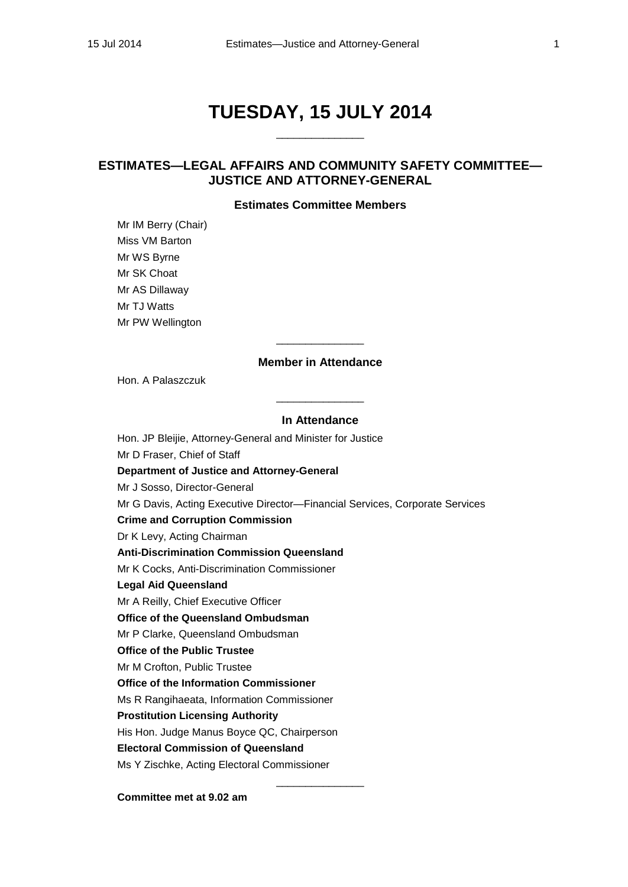# **TUESDAY, 15 JULY 2014**

 $\overline{\phantom{a}}$  , we can also the contract of  $\overline{\phantom{a}}$ 

## **ESTIMATES—LEGAL AFFAIRS AND COMMUNITY SAFETY COMMITTEE— JUSTICE AND ATTORNEY-GENERAL**

## **Estimates Committee Members**

Mr IM Berry (Chair) Miss VM Barton Mr WS Byrne Mr SK Choat Mr AS Dillaway Mr TJ Watts Mr PW Wellington

## **Member in Attendance**

 $\overline{\phantom{a}}$  , where the contract of  $\overline{\phantom{a}}$ 

Hon. A Palaszczuk

## **In Attendance**

\_\_\_\_\_\_\_\_\_\_\_\_\_\_\_

Hon. JP Bleijie, Attorney-General and Minister for Justice Mr D Fraser, Chief of Staff **Department of Justice and Attorney-General** Mr J Sosso, Director-General Mr G Davis, Acting Executive Director—Financial Services, Corporate Services **Crime and Corruption Commission** Dr K Levy, Acting Chairman **Anti-Discrimination Commission Queensland** Mr K Cocks, Anti-Discrimination Commissioner **Legal Aid Queensland** Mr A Reilly, Chief Executive Officer **Office of the Queensland Ombudsman** Mr P Clarke, Queensland Ombudsman **Office of the Public Trustee**  Mr M Crofton, Public Trustee **Office of the Information Commissioner** Ms R Rangihaeata, Information Commissioner **Prostitution Licensing Authority** His Hon. Judge Manus Boyce QC, Chairperson **Electoral Commission of Queensland** Ms Y Zischke, Acting Electoral Commissioner

\_\_\_\_\_\_\_\_\_\_\_\_\_\_\_

**Committee met at 9.02 am**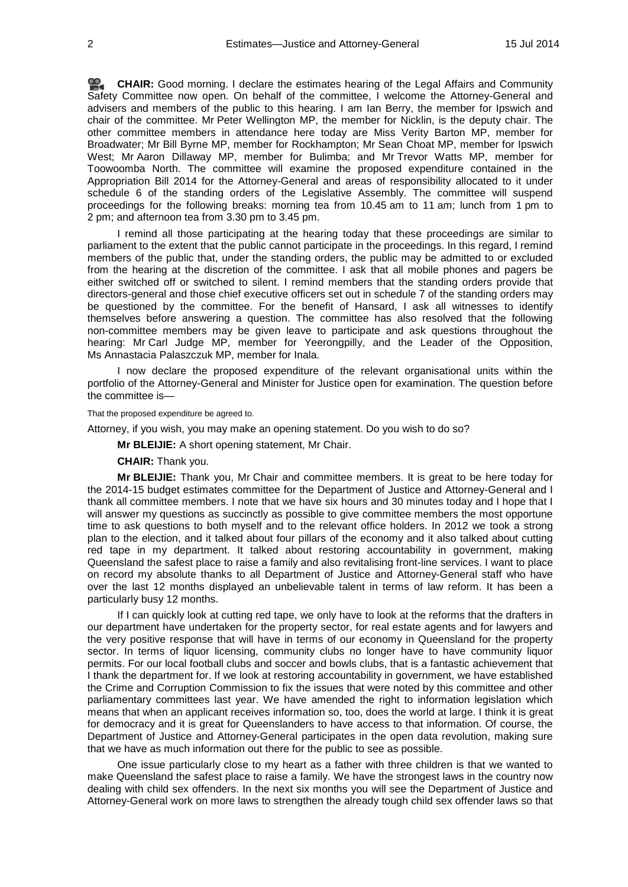**[CHAIR:](http://www.parliament.qld.gov.au/docs/find.aspx?id=0MbaLACSC20140715_090156)** Good morning. I declare the estimates hearing of the Legal Affairs and Community Safety Committee now open. On behalf of the committee, I welcome the Attorney-General and advisers and members of the public to this hearing. I am Ian Berry, the member for Ipswich and chair of the committee. Mr Peter Wellington MP, the member for Nicklin, is the deputy chair. The other committee members in attendance here today are Miss Verity Barton MP, member for Broadwater; Mr Bill Byrne MP, member for Rockhampton; Mr Sean Choat MP, member for Ipswich West; Mr Aaron Dillaway MP, member for Bulimba; and Mr Trevor Watts MP, member for Toowoomba North. The committee will examine the proposed expenditure contained in the Appropriation Bill 2014 for the Attorney-General and areas of responsibility allocated to it under schedule 6 of the standing orders of the Legislative Assembly. The committee will suspend proceedings for the following breaks: morning tea from 10.45 am to 11 am; lunch from 1 pm to 2 pm; and afternoon tea from 3.30 pm to 3.45 pm.

I remind all those participating at the hearing today that these proceedings are similar to parliament to the extent that the public cannot participate in the proceedings. In this regard, I remind members of the public that, under the standing orders, the public may be admitted to or excluded from the hearing at the discretion of the committee. I ask that all mobile phones and pagers be either switched off or switched to silent. I remind members that the standing orders provide that directors-general and those chief executive officers set out in schedule 7 of the standing orders may be questioned by the committee. For the benefit of Hansard, I ask all witnesses to identify themselves before answering a question. The committee has also resolved that the following non-committee members may be given leave to participate and ask questions throughout the hearing: Mr Carl Judge MP, member for Yeerongpilly, and the Leader of the Opposition, Ms Annastacia Palaszczuk MP, member for Inala.

I now declare the proposed expenditure of the relevant organisational units within the portfolio of the Attorney-General and Minister for Justice open for examination. The question before the committee is—

That the proposed expenditure be agreed to.

Attorney, if you wish, you may make an opening statement. Do you wish to do so?

**Mr BLEIJIE:** A short opening statement, Mr Chair.

**CHAIR:** Thank you.

**Mr BLEIJIE:** Thank you, Mr Chair and committee members. It is great to be here today for the 2014-15 budget estimates committee for the Department of Justice and Attorney-General and I thank all committee members. I note that we have six hours and 30 minutes today and I hope that I will answer my questions as succinctly as possible to give committee members the most opportune time to ask questions to both myself and to the relevant office holders. In 2012 we took a strong plan to the election, and it talked about four pillars of the economy and it also talked about cutting red tape in my department. It talked about restoring accountability in government, making Queensland the safest place to raise a family and also revitalising front-line services. I want to place on record my absolute thanks to all Department of Justice and Attorney-General staff who have over the last 12 months displayed an unbelievable talent in terms of law reform. It has been a particularly busy 12 months.

If I can quickly look at cutting red tape, we only have to look at the reforms that the drafters in our department have undertaken for the property sector, for real estate agents and for lawyers and the very positive response that will have in terms of our economy in Queensland for the property sector. In terms of liquor licensing, community clubs no longer have to have community liquor permits. For our local football clubs and soccer and bowls clubs, that is a fantastic achievement that I thank the department for. If we look at restoring accountability in government, we have established the Crime and Corruption Commission to fix the issues that were noted by this committee and other parliamentary committees last year. We have amended the right to information legislation which means that when an applicant receives information so, too, does the world at large. I think it is great for democracy and it is great for Queenslanders to have access to that information. Of course, the Department of Justice and Attorney-General participates in the open data revolution, making sure that we have as much information out there for the public to see as possible.

One issue particularly close to my heart as a father with three children is that we wanted to make Queensland the safest place to raise a family. We have the strongest laws in the country now dealing with child sex offenders. In the next six months you will see the Department of Justice and Attorney-General work on more laws to strengthen the already tough child sex offender laws so that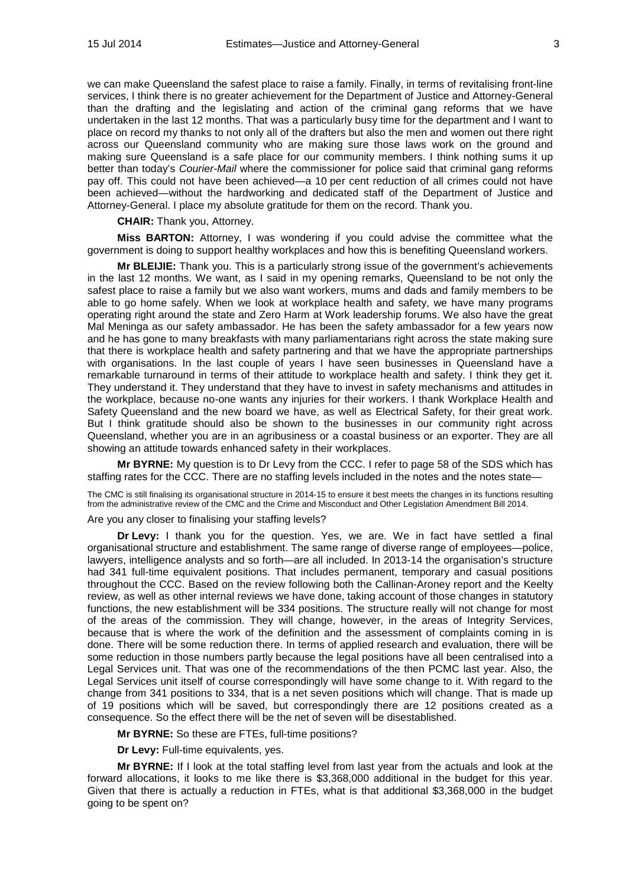we can make Queensland the safest place to raise a family. Finally, in terms of revitalising front-line services, I think there is no greater achievement for the Department of Justice and Attorney-General than the drafting and the legislating and action of the criminal gang reforms that we have undertaken in the last 12 months. That was a particularly busy time for the department and I want to place on record my thanks to not only all of the drafters but also the men and women out there right across our Queensland community who are making sure those laws work on the ground and making sure Queensland is a safe place for our community members. I think nothing sums it up better than today's *Courier-Mail* where the commissioner for police said that criminal gang reforms pay off. This could not have been achieved—a 10 per cent reduction of all crimes could not have been achieved—without the hardworking and dedicated staff of the Department of Justice and Attorney-General. I place my absolute gratitude for them on the record. Thank you.

**CHAIR:** Thank you, Attorney.

**Miss BARTON:** Attorney, I was wondering if you could advise the committee what the government is doing to support healthy workplaces and how this is benefiting Queensland workers.

**Mr BLEIJIE:** Thank you. This is a particularly strong issue of the government's achievements in the last 12 months. We want, as I said in my opening remarks, Queensland to be not only the safest place to raise a family but we also want workers, mums and dads and family members to be able to go home safely. When we look at workplace health and safety, we have many programs operating right around the state and Zero Harm at Work leadership forums. We also have the great Mal Meninga as our safety ambassador. He has been the safety ambassador for a few years now and he has gone to many breakfasts with many parliamentarians right across the state making sure that there is workplace health and safety partnering and that we have the appropriate partnerships with organisations. In the last couple of years I have seen businesses in Queensland have a remarkable turnaround in terms of their attitude to workplace health and safety. I think they get it. They understand it. They understand that they have to invest in safety mechanisms and attitudes in the workplace, because no-one wants any injuries for their workers. I thank Workplace Health and Safety Queensland and the new board we have, as well as Electrical Safety, for their great work. But I think gratitude should also be shown to the businesses in our community right across Queensland, whether you are in an agribusiness or a coastal business or an exporter. They are all showing an attitude towards enhanced safety in their workplaces.

**Mr BYRNE:** My question is to Dr Levy from the CCC. I refer to page 58 of the SDS which has staffing rates for the CCC. There are no staffing levels included in the notes and the notes state—

The CMC is still finalising its organisational structure in 2014-15 to ensure it best meets the changes in its functions resulting from the administrative review of the CMC and the Crime and Misconduct and Other Legislation Amendment Bill 2014.

Are you any closer to finalising your staffing levels?

**Dr Levy:** I thank you for the question. Yes, we are. We in fact have settled a final organisational structure and establishment. The same range of diverse range of employees—police, lawyers, intelligence analysts and so forth—are all included. In 2013-14 the organisation's structure had 341 full-time equivalent positions. That includes permanent, temporary and casual positions throughout the CCC. Based on the review following both the Callinan-Aroney report and the Keelty review, as well as other internal reviews we have done, taking account of those changes in statutory functions, the new establishment will be 334 positions. The structure really will not change for most of the areas of the commission. They will change, however, in the areas of Integrity Services, because that is where the work of the definition and the assessment of complaints coming in is done. There will be some reduction there. In terms of applied research and evaluation, there will be some reduction in those numbers partly because the legal positions have all been centralised into a Legal Services unit. That was one of the recommendations of the then PCMC last year. Also, the Legal Services unit itself of course correspondingly will have some change to it. With regard to the change from 341 positions to 334, that is a net seven positions which will change. That is made up of 19 positions which will be saved, but correspondingly there are 12 positions created as a consequence. So the effect there will be the net of seven will be disestablished.

**Mr BYRNE:** So these are FTEs, full-time positions?

**Dr Levy:** Full-time equivalents, yes.

**Mr BYRNE:** If I look at the total staffing level from last year from the actuals and look at the forward allocations, it looks to me like there is \$3,368,000 additional in the budget for this year. Given that there is actually a reduction in FTEs, what is that additional \$3,368,000 in the budget going to be spent on?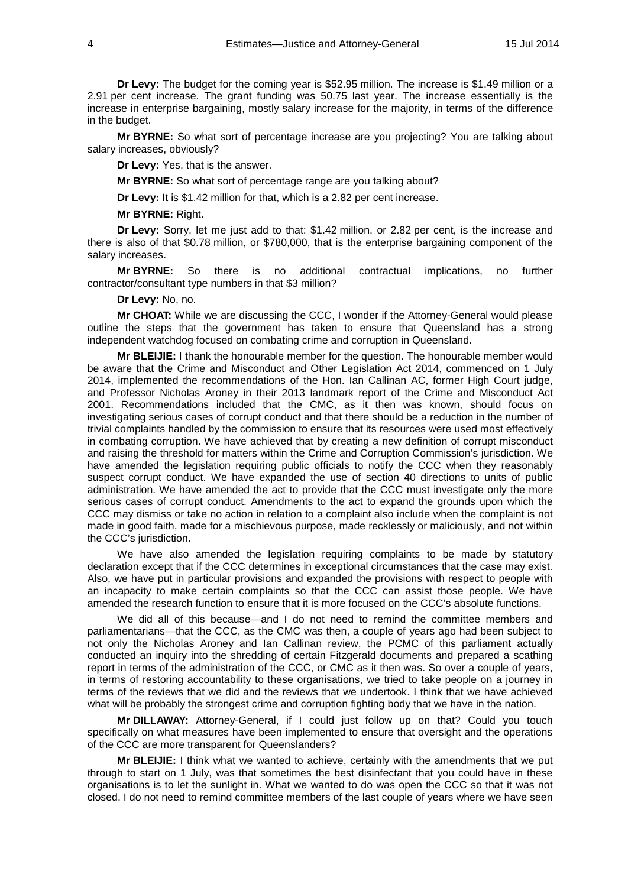**Dr Levy:** The budget for the coming year is \$52.95 million. The increase is \$1.49 million or a 2.91 per cent increase. The grant funding was 50.75 last year. The increase essentially is the increase in enterprise bargaining, mostly salary increase for the majority, in terms of the difference in the budget.

**Mr BYRNE:** So what sort of percentage increase are you projecting? You are talking about salary increases, obviously?

**Dr Levy:** Yes, that is the answer.

**Mr BYRNE:** So what sort of percentage range are you talking about?

**Dr Levy:** It is \$1.42 million for that, which is a 2.82 per cent increase.

**Mr BYRNE:** Right.

**Dr Levy:** Sorry, let me just add to that: \$1.42 million, or 2.82 per cent, is the increase and there is also of that \$0.78 million, or \$780,000, that is the enterprise bargaining component of the salary increases.

**Mr BYRNE:** So there is no additional contractual implications, no further contractor/consultant type numbers in that \$3 million?

**Dr Levy:** No, no.

**Mr CHOAT:** While we are discussing the CCC, I wonder if the Attorney-General would please outline the steps that the government has taken to ensure that Queensland has a strong independent watchdog focused on combating crime and corruption in Queensland.

**Mr BLEIJIE:** I thank the honourable member for the question. The honourable member would be aware that the Crime and Misconduct and Other Legislation Act 2014, commenced on 1 July 2014, implemented the recommendations of the Hon. Ian Callinan AC, former High Court judge, and Professor Nicholas Aroney in their 2013 landmark report of the Crime and Misconduct Act 2001. Recommendations included that the CMC, as it then was known, should focus on investigating serious cases of corrupt conduct and that there should be a reduction in the number of trivial complaints handled by the commission to ensure that its resources were used most effectively in combating corruption. We have achieved that by creating a new definition of corrupt misconduct and raising the threshold for matters within the Crime and Corruption Commission's jurisdiction. We have amended the legislation requiring public officials to notify the CCC when they reasonably suspect corrupt conduct. We have expanded the use of section 40 directions to units of public administration. We have amended the act to provide that the CCC must investigate only the more serious cases of corrupt conduct. Amendments to the act to expand the grounds upon which the CCC may dismiss or take no action in relation to a complaint also include when the complaint is not made in good faith, made for a mischievous purpose, made recklessly or maliciously, and not within the CCC's jurisdiction.

We have also amended the legislation requiring complaints to be made by statutory declaration except that if the CCC determines in exceptional circumstances that the case may exist. Also, we have put in particular provisions and expanded the provisions with respect to people with an incapacity to make certain complaints so that the CCC can assist those people. We have amended the research function to ensure that it is more focused on the CCC's absolute functions.

We did all of this because—and I do not need to remind the committee members and parliamentarians—that the CCC, as the CMC was then, a couple of years ago had been subject to not only the Nicholas Aroney and Ian Callinan review, the PCMC of this parliament actually conducted an inquiry into the shredding of certain Fitzgerald documents and prepared a scathing report in terms of the administration of the CCC, or CMC as it then was. So over a couple of years, in terms of restoring accountability to these organisations, we tried to take people on a journey in terms of the reviews that we did and the reviews that we undertook. I think that we have achieved what will be probably the strongest crime and corruption fighting body that we have in the nation.

**Mr DILLAWAY:** Attorney-General, if I could just follow up on that? Could you touch specifically on what measures have been implemented to ensure that oversight and the operations of the CCC are more transparent for Queenslanders?

**Mr BLEIJIE:** I think what we wanted to achieve, certainly with the amendments that we put through to start on 1 July, was that sometimes the best disinfectant that you could have in these organisations is to let the sunlight in. What we wanted to do was open the CCC so that it was not closed. I do not need to remind committee members of the last couple of years where we have seen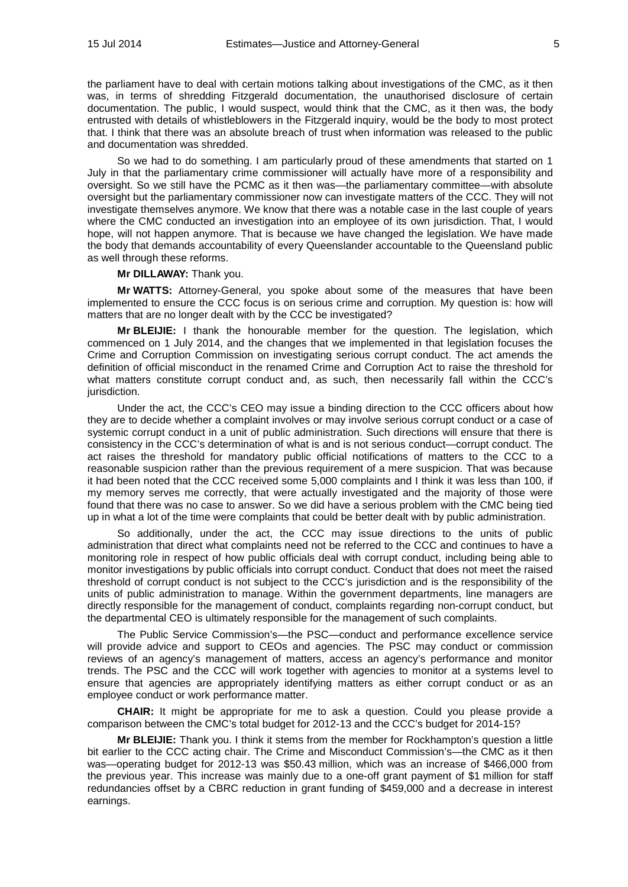the parliament have to deal with certain motions talking about investigations of the CMC, as it then was, in terms of shredding Fitzgerald documentation, the unauthorised disclosure of certain documentation. The public, I would suspect, would think that the CMC, as it then was, the body entrusted with details of whistleblowers in the Fitzgerald inquiry, would be the body to most protect that. I think that there was an absolute breach of trust when information was released to the public and documentation was shredded.

So we had to do something. I am particularly proud of these amendments that started on 1 July in that the parliamentary crime commissioner will actually have more of a responsibility and oversight. So we still have the PCMC as it then was—the parliamentary committee—with absolute oversight but the parliamentary commissioner now can investigate matters of the CCC. They will not investigate themselves anymore. We know that there was a notable case in the last couple of years where the CMC conducted an investigation into an employee of its own jurisdiction. That, I would hope, will not happen anymore. That is because we have changed the legislation. We have made the body that demands accountability of every Queenslander accountable to the Queensland public as well through these reforms.

## **Mr DILLAWAY:** Thank you.

**Mr WATTS:** Attorney-General, you spoke about some of the measures that have been implemented to ensure the CCC focus is on serious crime and corruption. My question is: how will matters that are no longer dealt with by the CCC be investigated?

**Mr BLEIJIE:** I thank the honourable member for the question. The legislation, which commenced on 1 July 2014, and the changes that we implemented in that legislation focuses the Crime and Corruption Commission on investigating serious corrupt conduct. The act amends the definition of official misconduct in the renamed Crime and Corruption Act to raise the threshold for what matters constitute corrupt conduct and, as such, then necessarily fall within the CCC's jurisdiction.

Under the act, the CCC's CEO may issue a binding direction to the CCC officers about how they are to decide whether a complaint involves or may involve serious corrupt conduct or a case of systemic corrupt conduct in a unit of public administration. Such directions will ensure that there is consistency in the CCC's determination of what is and is not serious conduct—corrupt conduct. The act raises the threshold for mandatory public official notifications of matters to the CCC to a reasonable suspicion rather than the previous requirement of a mere suspicion. That was because it had been noted that the CCC received some 5,000 complaints and I think it was less than 100, if my memory serves me correctly, that were actually investigated and the majority of those were found that there was no case to answer. So we did have a serious problem with the CMC being tied up in what a lot of the time were complaints that could be better dealt with by public administration.

So additionally, under the act, the CCC may issue directions to the units of public administration that direct what complaints need not be referred to the CCC and continues to have a monitoring role in respect of how public officials deal with corrupt conduct, including being able to monitor investigations by public officials into corrupt conduct. Conduct that does not meet the raised threshold of corrupt conduct is not subject to the CCC's jurisdiction and is the responsibility of the units of public administration to manage. Within the government departments, line managers are directly responsible for the management of conduct, complaints regarding non-corrupt conduct, but the departmental CEO is ultimately responsible for the management of such complaints.

The Public Service Commission's—the PSC—conduct and performance excellence service will provide advice and support to CEOs and agencies. The PSC may conduct or commission reviews of an agency's management of matters, access an agency's performance and monitor trends. The PSC and the CCC will work together with agencies to monitor at a systems level to ensure that agencies are appropriately identifying matters as either corrupt conduct or as an employee conduct or work performance matter.

**CHAIR:** It might be appropriate for me to ask a question. Could you please provide a comparison between the CMC's total budget for 2012-13 and the CCC's budget for 2014-15?

**Mr BLEIJIE:** Thank you. I think it stems from the member for Rockhampton's question a little bit earlier to the CCC acting chair. The Crime and Misconduct Commission's—the CMC as it then was—operating budget for 2012-13 was \$50.43 million, which was an increase of \$466,000 from the previous year. This increase was mainly due to a one-off grant payment of \$1 million for staff redundancies offset by a CBRC reduction in grant funding of \$459,000 and a decrease in interest earnings.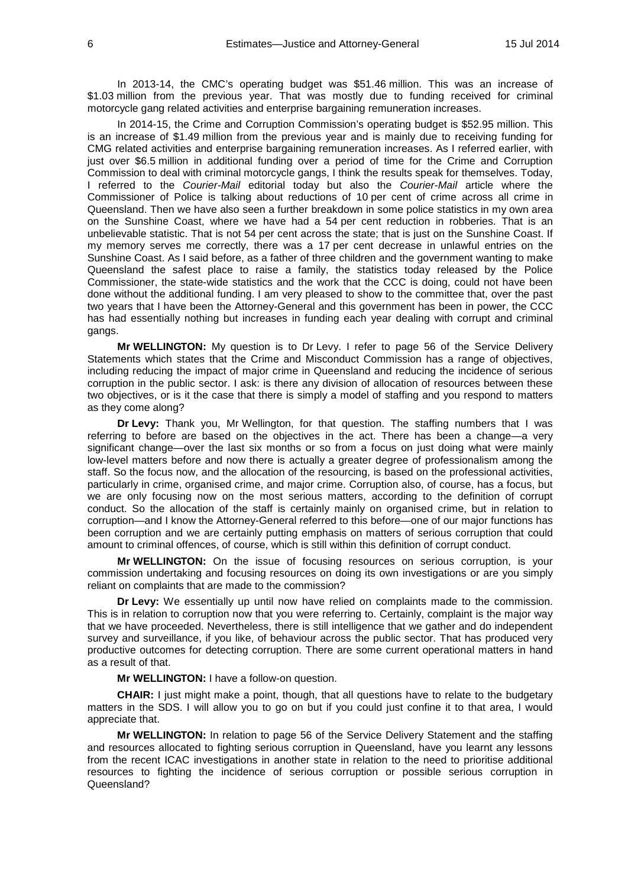In 2013-14, the CMC's operating budget was \$51.46 million. This was an increase of \$1.03 million from the previous year. That was mostly due to funding received for criminal motorcycle gang related activities and enterprise bargaining remuneration increases.

In 2014-15, the Crime and Corruption Commission's operating budget is \$52.95 million. This is an increase of \$1.49 million from the previous year and is mainly due to receiving funding for CMG related activities and enterprise bargaining remuneration increases. As I referred earlier, with just over \$6.5 million in additional funding over a period of time for the Crime and Corruption Commission to deal with criminal motorcycle gangs, I think the results speak for themselves. Today, I referred to the *Courier-Mail* editorial today but also the *Courier-Mail* article where the Commissioner of Police is talking about reductions of 10 per cent of crime across all crime in Queensland. Then we have also seen a further breakdown in some police statistics in my own area on the Sunshine Coast, where we have had a 54 per cent reduction in robberies. That is an unbelievable statistic. That is not 54 per cent across the state; that is just on the Sunshine Coast. If my memory serves me correctly, there was a 17 per cent decrease in unlawful entries on the Sunshine Coast. As I said before, as a father of three children and the government wanting to make Queensland the safest place to raise a family, the statistics today released by the Police Commissioner, the state-wide statistics and the work that the CCC is doing, could not have been done without the additional funding. I am very pleased to show to the committee that, over the past two years that I have been the Attorney-General and this government has been in power, the CCC has had essentially nothing but increases in funding each year dealing with corrupt and criminal gangs.

**Mr WELLINGTON:** My question is to Dr Levy. I refer to page 56 of the Service Delivery Statements which states that the Crime and Misconduct Commission has a range of objectives, including reducing the impact of major crime in Queensland and reducing the incidence of serious corruption in the public sector. I ask: is there any division of allocation of resources between these two objectives, or is it the case that there is simply a model of staffing and you respond to matters as they come along?

**Dr Levy:** Thank you, Mr Wellington, for that question. The staffing numbers that I was referring to before are based on the objectives in the act. There has been a change—a very significant change—over the last six months or so from a focus on just doing what were mainly low-level matters before and now there is actually a greater degree of professionalism among the staff. So the focus now, and the allocation of the resourcing, is based on the professional activities, particularly in crime, organised crime, and major crime. Corruption also, of course, has a focus, but we are only focusing now on the most serious matters, according to the definition of corrupt conduct. So the allocation of the staff is certainly mainly on organised crime, but in relation to corruption—and I know the Attorney-General referred to this before—one of our major functions has been corruption and we are certainly putting emphasis on matters of serious corruption that could amount to criminal offences, of course, which is still within this definition of corrupt conduct.

**Mr WELLINGTON:** On the issue of focusing resources on serious corruption, is your commission undertaking and focusing resources on doing its own investigations or are you simply reliant on complaints that are made to the commission?

**Dr Levy:** We essentially up until now have relied on complaints made to the commission. This is in relation to corruption now that you were referring to. Certainly, complaint is the major way that we have proceeded. Nevertheless, there is still intelligence that we gather and do independent survey and surveillance, if you like, of behaviour across the public sector. That has produced very productive outcomes for detecting corruption. There are some current operational matters in hand as a result of that.

**Mr WELLINGTON:** I have a follow-on question.

**CHAIR:** I just might make a point, though, that all questions have to relate to the budgetary matters in the SDS. I will allow you to go on but if you could just confine it to that area, I would appreciate that.

**Mr WELLINGTON:** In relation to page 56 of the Service Delivery Statement and the staffing and resources allocated to fighting serious corruption in Queensland, have you learnt any lessons from the recent ICAC investigations in another state in relation to the need to prioritise additional resources to fighting the incidence of serious corruption or possible serious corruption in Queensland?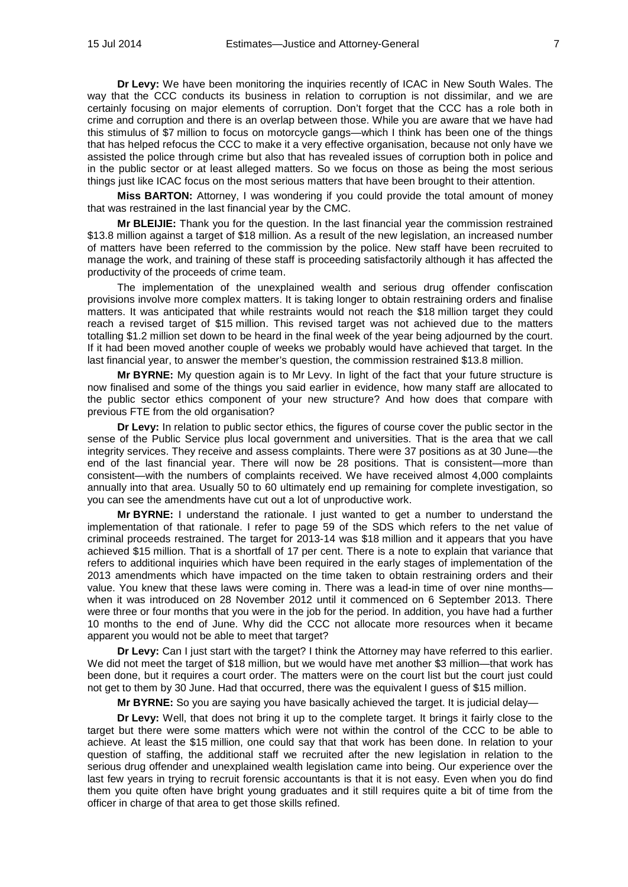**Dr Levy:** We have been monitoring the inquiries recently of ICAC in New South Wales. The way that the CCC conducts its business in relation to corruption is not dissimilar, and we are certainly focusing on major elements of corruption. Don't forget that the CCC has a role both in crime and corruption and there is an overlap between those. While you are aware that we have had this stimulus of \$7 million to focus on motorcycle gangs—which I think has been one of the things that has helped refocus the CCC to make it a very effective organisation, because not only have we assisted the police through crime but also that has revealed issues of corruption both in police and in the public sector or at least alleged matters. So we focus on those as being the most serious things just like ICAC focus on the most serious matters that have been brought to their attention.

**Miss BARTON:** Attorney, I was wondering if you could provide the total amount of money that was restrained in the last financial year by the CMC.

**Mr BLEIJIE:** Thank you for the question. In the last financial year the commission restrained \$13.8 million against a target of \$18 million. As a result of the new legislation, an increased number of matters have been referred to the commission by the police. New staff have been recruited to manage the work, and training of these staff is proceeding satisfactorily although it has affected the productivity of the proceeds of crime team.

The implementation of the unexplained wealth and serious drug offender confiscation provisions involve more complex matters. It is taking longer to obtain restraining orders and finalise matters. It was anticipated that while restraints would not reach the \$18 million target they could reach a revised target of \$15 million. This revised target was not achieved due to the matters totalling \$1.2 million set down to be heard in the final week of the year being adjourned by the court. If it had been moved another couple of weeks we probably would have achieved that target. In the last financial year, to answer the member's question, the commission restrained \$13.8 million.

**Mr BYRNE:** My question again is to Mr Levy. In light of the fact that your future structure is now finalised and some of the things you said earlier in evidence, how many staff are allocated to the public sector ethics component of your new structure? And how does that compare with previous FTE from the old organisation?

**Dr Levy:** In relation to public sector ethics, the figures of course cover the public sector in the sense of the Public Service plus local government and universities. That is the area that we call integrity services. They receive and assess complaints. There were 37 positions as at 30 June—the end of the last financial year. There will now be 28 positions. That is consistent—more than consistent—with the numbers of complaints received. We have received almost 4,000 complaints annually into that area. Usually 50 to 60 ultimately end up remaining for complete investigation, so you can see the amendments have cut out a lot of unproductive work.

**Mr BYRNE:** I understand the rationale. I just wanted to get a number to understand the implementation of that rationale. I refer to page 59 of the SDS which refers to the net value of criminal proceeds restrained. The target for 2013-14 was \$18 million and it appears that you have achieved \$15 million. That is a shortfall of 17 per cent. There is a note to explain that variance that refers to additional inquiries which have been required in the early stages of implementation of the 2013 amendments which have impacted on the time taken to obtain restraining orders and their value. You knew that these laws were coming in. There was a lead-in time of over nine months when it was introduced on 28 November 2012 until it commenced on 6 September 2013. There were three or four months that you were in the job for the period. In addition, you have had a further 10 months to the end of June. Why did the CCC not allocate more resources when it became apparent you would not be able to meet that target?

**Dr Levy:** Can I just start with the target? I think the Attorney may have referred to this earlier. We did not meet the target of \$18 million, but we would have met another \$3 million—that work has been done, but it requires a court order. The matters were on the court list but the court just could not get to them by 30 June. Had that occurred, there was the equivalent I guess of \$15 million.

**Mr BYRNE:** So you are saying you have basically achieved the target. It is judicial delay—

**Dr Levy:** Well, that does not bring it up to the complete target. It brings it fairly close to the target but there were some matters which were not within the control of the CCC to be able to achieve. At least the \$15 million, one could say that that work has been done. In relation to your question of staffing, the additional staff we recruited after the new legislation in relation to the serious drug offender and unexplained wealth legislation came into being. Our experience over the last few years in trying to recruit forensic accountants is that it is not easy. Even when you do find them you quite often have bright young graduates and it still requires quite a bit of time from the officer in charge of that area to get those skills refined.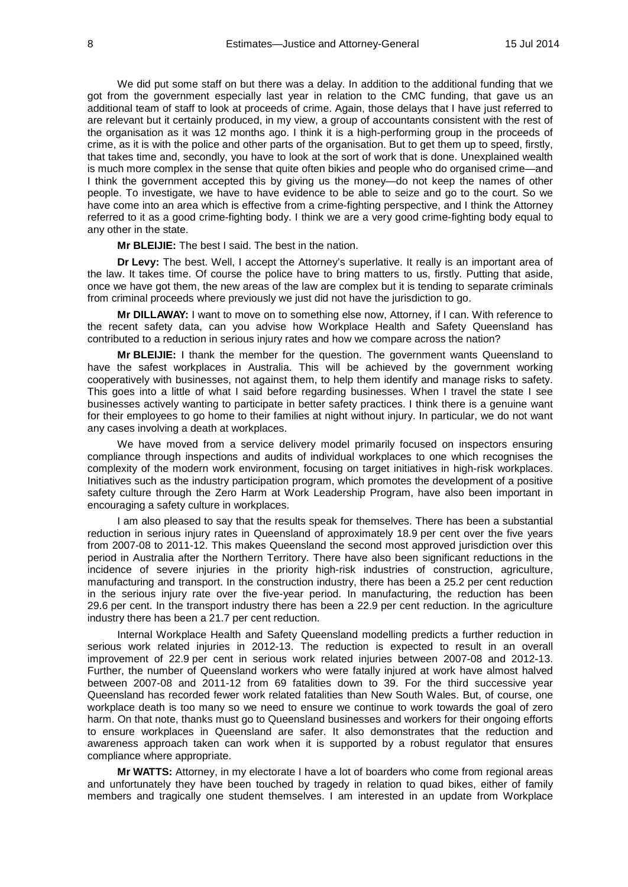We did put some staff on but there was a delay. In addition to the additional funding that we got from the government especially last year in relation to the CMC funding, that gave us an additional team of staff to look at proceeds of crime. Again, those delays that I have just referred to are relevant but it certainly produced, in my view, a group of accountants consistent with the rest of the organisation as it was 12 months ago. I think it is a high-performing group in the proceeds of crime, as it is with the police and other parts of the organisation. But to get them up to speed, firstly, that takes time and, secondly, you have to look at the sort of work that is done. Unexplained wealth is much more complex in the sense that quite often bikies and people who do organised crime—and I think the government accepted this by giving us the money—do not keep the names of other people. To investigate, we have to have evidence to be able to seize and go to the court. So we have come into an area which is effective from a crime-fighting perspective, and I think the Attorney referred to it as a good crime-fighting body. I think we are a very good crime-fighting body equal to any other in the state.

**Mr BLEIJIE:** The best I said. The best in the nation.

**Dr Levy:** The best. Well, I accept the Attorney's superlative. It really is an important area of the law. It takes time. Of course the police have to bring matters to us, firstly. Putting that aside, once we have got them, the new areas of the law are complex but it is tending to separate criminals from criminal proceeds where previously we just did not have the jurisdiction to go.

**Mr DILLAWAY:** I want to move on to something else now, Attorney, if I can. With reference to the recent safety data, can you advise how Workplace Health and Safety Queensland has contributed to a reduction in serious injury rates and how we compare across the nation?

**Mr BLEIJIE:** I thank the member for the question. The government wants Queensland to have the safest workplaces in Australia. This will be achieved by the government working cooperatively with businesses, not against them, to help them identify and manage risks to safety. This goes into a little of what I said before regarding businesses. When I travel the state I see businesses actively wanting to participate in better safety practices. I think there is a genuine want for their employees to go home to their families at night without injury. In particular, we do not want any cases involving a death at workplaces.

We have moved from a service delivery model primarily focused on inspectors ensuring compliance through inspections and audits of individual workplaces to one which recognises the complexity of the modern work environment, focusing on target initiatives in high-risk workplaces. Initiatives such as the industry participation program, which promotes the development of a positive safety culture through the Zero Harm at Work Leadership Program, have also been important in encouraging a safety culture in workplaces.

I am also pleased to say that the results speak for themselves. There has been a substantial reduction in serious injury rates in Queensland of approximately 18.9 per cent over the five years from 2007-08 to 2011-12. This makes Queensland the second most approved jurisdiction over this period in Australia after the Northern Territory. There have also been significant reductions in the incidence of severe injuries in the priority high-risk industries of construction, agriculture, manufacturing and transport. In the construction industry, there has been a 25.2 per cent reduction in the serious injury rate over the five-year period. In manufacturing, the reduction has been 29.6 per cent. In the transport industry there has been a 22.9 per cent reduction. In the agriculture industry there has been a 21.7 per cent reduction.

Internal Workplace Health and Safety Queensland modelling predicts a further reduction in serious work related injuries in 2012-13. The reduction is expected to result in an overall improvement of 22.9 per cent in serious work related injuries between 2007-08 and 2012-13. Further, the number of Queensland workers who were fatally injured at work have almost halved between 2007-08 and 2011-12 from 69 fatalities down to 39. For the third successive year Queensland has recorded fewer work related fatalities than New South Wales. But, of course, one workplace death is too many so we need to ensure we continue to work towards the goal of zero harm. On that note, thanks must go to Queensland businesses and workers for their ongoing efforts to ensure workplaces in Queensland are safer. It also demonstrates that the reduction and awareness approach taken can work when it is supported by a robust regulator that ensures compliance where appropriate.

**Mr WATTS:** Attorney, in my electorate I have a lot of boarders who come from regional areas and unfortunately they have been touched by tragedy in relation to quad bikes, either of family members and tragically one student themselves. I am interested in an update from Workplace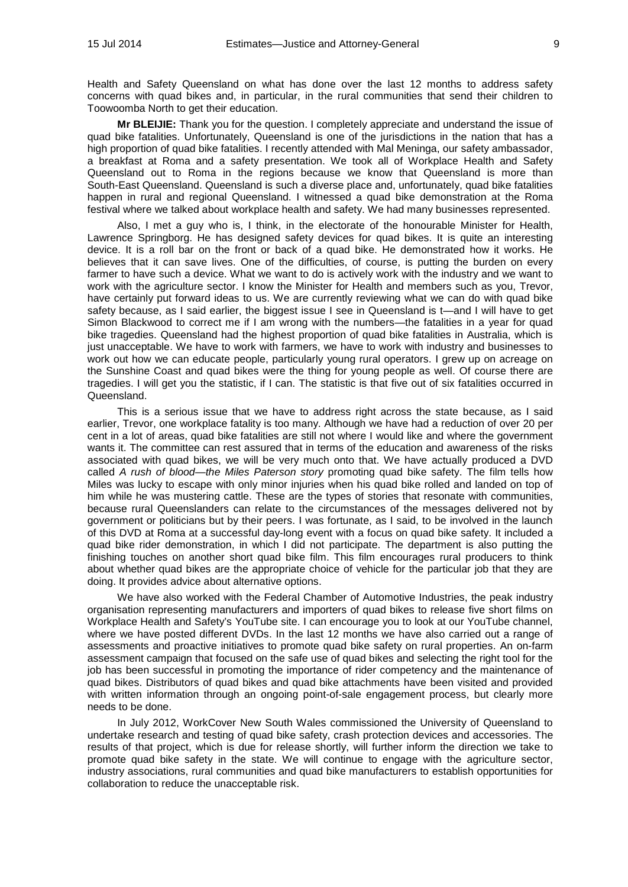Health and Safety Queensland on what has done over the last 12 months to address safety concerns with quad bikes and, in particular, in the rural communities that send their children to Toowoomba North to get their education.

**Mr BLEIJIE:** Thank you for the question. I completely appreciate and understand the issue of quad bike fatalities. Unfortunately, Queensland is one of the jurisdictions in the nation that has a high proportion of quad bike fatalities. I recently attended with Mal Meninga, our safety ambassador, a breakfast at Roma and a safety presentation. We took all of Workplace Health and Safety Queensland out to Roma in the regions because we know that Queensland is more than South-East Queensland. Queensland is such a diverse place and, unfortunately, quad bike fatalities happen in rural and regional Queensland. I witnessed a quad bike demonstration at the Roma festival where we talked about workplace health and safety. We had many businesses represented.

Also, I met a guy who is, I think, in the electorate of the honourable Minister for Health, Lawrence Springborg. He has designed safety devices for quad bikes. It is quite an interesting device. It is a roll bar on the front or back of a quad bike. He demonstrated how it works. He believes that it can save lives. One of the difficulties, of course, is putting the burden on every farmer to have such a device. What we want to do is actively work with the industry and we want to work with the agriculture sector. I know the Minister for Health and members such as you, Trevor, have certainly put forward ideas to us. We are currently reviewing what we can do with quad bike safety because, as I said earlier, the biggest issue I see in Queensland is t—and I will have to get Simon Blackwood to correct me if I am wrong with the numbers—the fatalities in a year for quad bike tragedies. Queensland had the highest proportion of quad bike fatalities in Australia, which is just unacceptable. We have to work with farmers, we have to work with industry and businesses to work out how we can educate people, particularly young rural operators. I grew up on acreage on the Sunshine Coast and quad bikes were the thing for young people as well. Of course there are tragedies. I will get you the statistic, if I can. The statistic is that five out of six fatalities occurred in Queensland.

This is a serious issue that we have to address right across the state because, as I said earlier, Trevor, one workplace fatality is too many. Although we have had a reduction of over 20 per cent in a lot of areas, quad bike fatalities are still not where I would like and where the government wants it. The committee can rest assured that in terms of the education and awareness of the risks associated with quad bikes, we will be very much onto that. We have actually produced a DVD called *A rush of blood—the Miles Paterson story* promoting quad bike safety. The film tells how Miles was lucky to escape with only minor injuries when his quad bike rolled and landed on top of him while he was mustering cattle. These are the types of stories that resonate with communities, because rural Queenslanders can relate to the circumstances of the messages delivered not by government or politicians but by their peers. I was fortunate, as I said, to be involved in the launch of this DVD at Roma at a successful day-long event with a focus on quad bike safety. It included a quad bike rider demonstration, in which I did not participate. The department is also putting the finishing touches on another short quad bike film. This film encourages rural producers to think about whether quad bikes are the appropriate choice of vehicle for the particular job that they are doing. It provides advice about alternative options.

We have also worked with the Federal Chamber of Automotive Industries, the peak industry organisation representing manufacturers and importers of quad bikes to release five short films on Workplace Health and Safety's YouTube site. I can encourage you to look at our YouTube channel, where we have posted different DVDs. In the last 12 months we have also carried out a range of assessments and proactive initiatives to promote quad bike safety on rural properties. An on-farm assessment campaign that focused on the safe use of quad bikes and selecting the right tool for the job has been successful in promoting the importance of rider competency and the maintenance of quad bikes. Distributors of quad bikes and quad bike attachments have been visited and provided with written information through an ongoing point-of-sale engagement process, but clearly more needs to be done.

In July 2012, WorkCover New South Wales commissioned the University of Queensland to undertake research and testing of quad bike safety, crash protection devices and accessories. The results of that project, which is due for release shortly, will further inform the direction we take to promote quad bike safety in the state. We will continue to engage with the agriculture sector, industry associations, rural communities and quad bike manufacturers to establish opportunities for collaboration to reduce the unacceptable risk.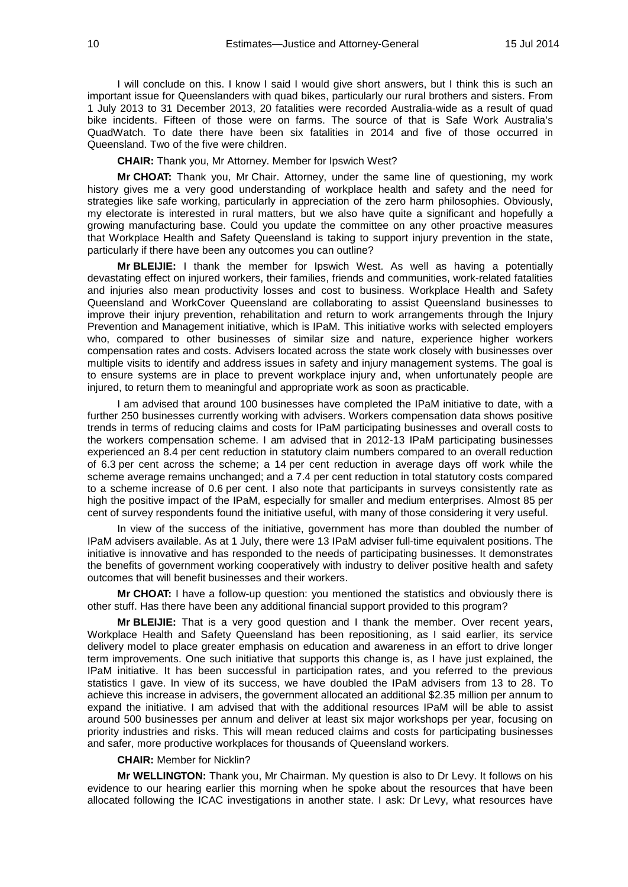I will conclude on this. I know I said I would give short answers, but I think this is such an important issue for Queenslanders with quad bikes, particularly our rural brothers and sisters. From 1 July 2013 to 31 December 2013, 20 fatalities were recorded Australia-wide as a result of quad bike incidents. Fifteen of those were on farms. The source of that is Safe Work Australia's QuadWatch. To date there have been six fatalities in 2014 and five of those occurred in Queensland. Two of the five were children.

**CHAIR:** Thank you, Mr Attorney. Member for Ipswich West?

**Mr CHOAT:** Thank you, Mr Chair. Attorney, under the same line of questioning, my work history gives me a very good understanding of workplace health and safety and the need for strategies like safe working, particularly in appreciation of the zero harm philosophies. Obviously, my electorate is interested in rural matters, but we also have quite a significant and hopefully a growing manufacturing base. Could you update the committee on any other proactive measures that Workplace Health and Safety Queensland is taking to support injury prevention in the state, particularly if there have been any outcomes you can outline?

**Mr BLEIJIE:** I thank the member for Ipswich West. As well as having a potentially devastating effect on injured workers, their families, friends and communities, work-related fatalities and injuries also mean productivity losses and cost to business. Workplace Health and Safety Queensland and WorkCover Queensland are collaborating to assist Queensland businesses to improve their injury prevention, rehabilitation and return to work arrangements through the Injury Prevention and Management initiative, which is IPaM. This initiative works with selected employers who, compared to other businesses of similar size and nature, experience higher workers compensation rates and costs. Advisers located across the state work closely with businesses over multiple visits to identify and address issues in safety and injury management systems. The goal is to ensure systems are in place to prevent workplace injury and, when unfortunately people are injured, to return them to meaningful and appropriate work as soon as practicable.

I am advised that around 100 businesses have completed the IPaM initiative to date, with a further 250 businesses currently working with advisers. Workers compensation data shows positive trends in terms of reducing claims and costs for IPaM participating businesses and overall costs to the workers compensation scheme. I am advised that in 2012-13 IPaM participating businesses experienced an 8.4 per cent reduction in statutory claim numbers compared to an overall reduction of 6.3 per cent across the scheme; a 14 per cent reduction in average days off work while the scheme average remains unchanged; and a 7.4 per cent reduction in total statutory costs compared to a scheme increase of 0.6 per cent. I also note that participants in surveys consistently rate as high the positive impact of the IPaM, especially for smaller and medium enterprises. Almost 85 per cent of survey respondents found the initiative useful, with many of those considering it very useful.

In view of the success of the initiative, government has more than doubled the number of IPaM advisers available. As at 1 July, there were 13 IPaM adviser full-time equivalent positions. The initiative is innovative and has responded to the needs of participating businesses. It demonstrates the benefits of government working cooperatively with industry to deliver positive health and safety outcomes that will benefit businesses and their workers.

**Mr CHOAT:** I have a follow-up question: you mentioned the statistics and obviously there is other stuff. Has there have been any additional financial support provided to this program?

**Mr BLEIJIE:** That is a very good question and I thank the member. Over recent years, Workplace Health and Safety Queensland has been repositioning, as I said earlier, its service delivery model to place greater emphasis on education and awareness in an effort to drive longer term improvements. One such initiative that supports this change is, as I have just explained, the IPaM initiative. It has been successful in participation rates, and you referred to the previous statistics I gave. In view of its success, we have doubled the IPaM advisers from 13 to 28. To achieve this increase in advisers, the government allocated an additional \$2.35 million per annum to expand the initiative. I am advised that with the additional resources IPaM will be able to assist around 500 businesses per annum and deliver at least six major workshops per year, focusing on priority industries and risks. This will mean reduced claims and costs for participating businesses and safer, more productive workplaces for thousands of Queensland workers.

#### **CHAIR:** Member for Nicklin?

**Mr WELLINGTON:** Thank you, Mr Chairman. My question is also to Dr Levy. It follows on his evidence to our hearing earlier this morning when he spoke about the resources that have been allocated following the ICAC investigations in another state. I ask: Dr Levy, what resources have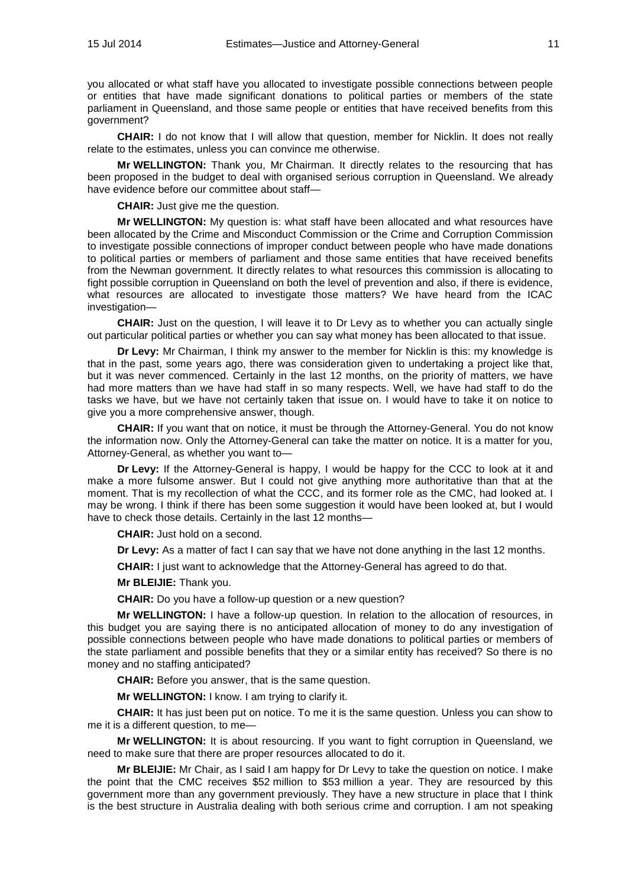you allocated or what staff have you allocated to investigate possible connections between people or entities that have made significant donations to political parties or members of the state parliament in Queensland, and those same people or entities that have received benefits from this government?

**CHAIR:** I do not know that I will allow that question, member for Nicklin. It does not really relate to the estimates, unless you can convince me otherwise.

**Mr WELLINGTON:** Thank you, Mr Chairman. It directly relates to the resourcing that has been proposed in the budget to deal with organised serious corruption in Queensland. We already have evidence before our committee about staff—

**CHAIR:** Just give me the question.

**Mr WELLINGTON:** My question is: what staff have been allocated and what resources have been allocated by the Crime and Misconduct Commission or the Crime and Corruption Commission to investigate possible connections of improper conduct between people who have made donations to political parties or members of parliament and those same entities that have received benefits from the Newman government. It directly relates to what resources this commission is allocating to fight possible corruption in Queensland on both the level of prevention and also, if there is evidence, what resources are allocated to investigate those matters? We have heard from the ICAC investigation—

**CHAIR:** Just on the question, I will leave it to Dr Levy as to whether you can actually single out particular political parties or whether you can say what money has been allocated to that issue.

**Dr Levy:** Mr Chairman, I think my answer to the member for Nicklin is this: my knowledge is that in the past, some years ago, there was consideration given to undertaking a project like that, but it was never commenced. Certainly in the last 12 months, on the priority of matters, we have had more matters than we have had staff in so many respects. Well, we have had staff to do the tasks we have, but we have not certainly taken that issue on. I would have to take it on notice to give you a more comprehensive answer, though.

**CHAIR:** If you want that on notice, it must be through the Attorney-General. You do not know the information now. Only the Attorney-General can take the matter on notice. It is a matter for you, Attorney-General, as whether you want to—

**Dr Levy:** If the Attorney-General is happy, I would be happy for the CCC to look at it and make a more fulsome answer. But I could not give anything more authoritative than that at the moment. That is my recollection of what the CCC, and its former role as the CMC, had looked at. I may be wrong. I think if there has been some suggestion it would have been looked at, but I would have to check those details. Certainly in the last 12 months-

**CHAIR:** Just hold on a second.

**Dr Levy:** As a matter of fact I can say that we have not done anything in the last 12 months.

**CHAIR:** I just want to acknowledge that the Attorney-General has agreed to do that.

**Mr BLEIJIE:** Thank you.

**CHAIR:** Do you have a follow-up question or a new question?

**Mr WELLINGTON:** I have a follow-up question. In relation to the allocation of resources, in this budget you are saying there is no anticipated allocation of money to do any investigation of possible connections between people who have made donations to political parties or members of the state parliament and possible benefits that they or a similar entity has received? So there is no money and no staffing anticipated?

**CHAIR:** Before you answer, that is the same question.

**Mr WELLINGTON:** I know. I am trying to clarify it.

**CHAIR:** It has just been put on notice. To me it is the same question. Unless you can show to me it is a different question, to me—

**Mr WELLINGTON:** It is about resourcing. If you want to fight corruption in Queensland, we need to make sure that there are proper resources allocated to do it.

**Mr BLEIJIE:** Mr Chair, as I said I am happy for Dr Levy to take the question on notice. I make the point that the CMC receives \$52 million to \$53 million a year. They are resourced by this government more than any government previously. They have a new structure in place that I think is the best structure in Australia dealing with both serious crime and corruption. I am not speaking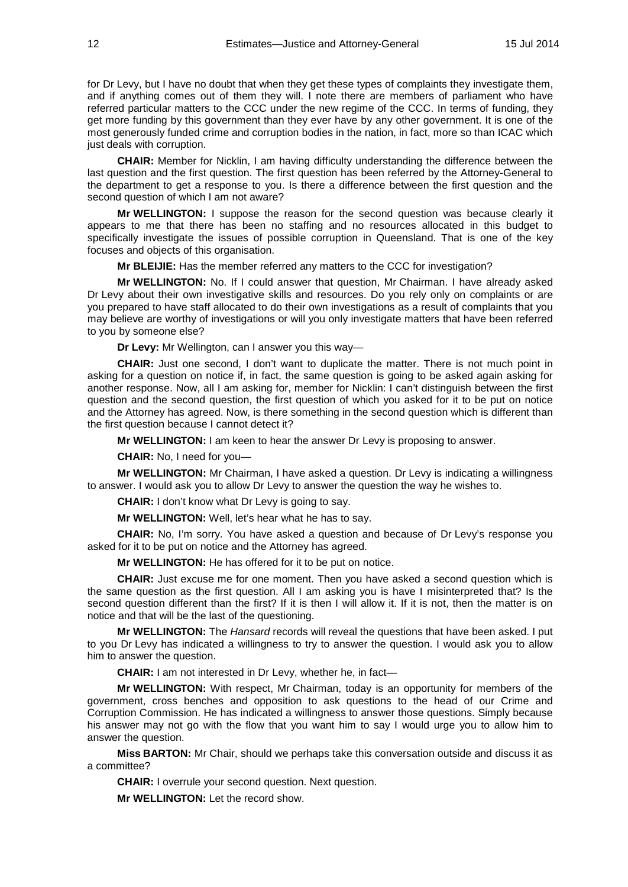for Dr Levy, but I have no doubt that when they get these types of complaints they investigate them, and if anything comes out of them they will. I note there are members of parliament who have referred particular matters to the CCC under the new regime of the CCC. In terms of funding, they get more funding by this government than they ever have by any other government. It is one of the most generously funded crime and corruption bodies in the nation, in fact, more so than ICAC which just deals with corruption.

**CHAIR:** Member for Nicklin, I am having difficulty understanding the difference between the last question and the first question. The first question has been referred by the Attorney-General to the department to get a response to you. Is there a difference between the first question and the second question of which I am not aware?

**Mr WELLINGTON:** I suppose the reason for the second question was because clearly it appears to me that there has been no staffing and no resources allocated in this budget to specifically investigate the issues of possible corruption in Queensland. That is one of the key focuses and objects of this organisation.

**Mr BLEIJIE:** Has the member referred any matters to the CCC for investigation?

**Mr WELLINGTON:** No. If I could answer that question, Mr Chairman. I have already asked Dr Levy about their own investigative skills and resources. Do you rely only on complaints or are you prepared to have staff allocated to do their own investigations as a result of complaints that you may believe are worthy of investigations or will you only investigate matters that have been referred to you by someone else?

**Dr Levy:** Mr Wellington, can I answer you this way—

**CHAIR:** Just one second, I don't want to duplicate the matter. There is not much point in asking for a question on notice if, in fact, the same question is going to be asked again asking for another response. Now, all I am asking for, member for Nicklin: I can't distinguish between the first question and the second question, the first question of which you asked for it to be put on notice and the Attorney has agreed. Now, is there something in the second question which is different than the first question because I cannot detect it?

**Mr WELLINGTON:** I am keen to hear the answer Dr Levy is proposing to answer.

**CHAIR:** No, I need for you—

**Mr WELLINGTON:** Mr Chairman, I have asked a question. Dr Levy is indicating a willingness to answer. I would ask you to allow Dr Levy to answer the question the way he wishes to.

**CHAIR:** I don't know what Dr Levy is going to say.

**Mr WELLINGTON:** Well, let's hear what he has to say.

**CHAIR:** No, I'm sorry. You have asked a question and because of Dr Levy's response you asked for it to be put on notice and the Attorney has agreed.

**Mr WELLINGTON:** He has offered for it to be put on notice.

**CHAIR:** Just excuse me for one moment. Then you have asked a second question which is the same question as the first question. All I am asking you is have I misinterpreted that? Is the second question different than the first? If it is then I will allow it. If it is not, then the matter is on notice and that will be the last of the questioning.

**Mr WELLINGTON:** The *Hansard* records will reveal the questions that have been asked. I put to you Dr Levy has indicated a willingness to try to answer the question. I would ask you to allow him to answer the question.

**CHAIR:** I am not interested in Dr Levy, whether he, in fact—

**Mr WELLINGTON:** With respect, Mr Chairman, today is an opportunity for members of the government, cross benches and opposition to ask questions to the head of our Crime and Corruption Commission. He has indicated a willingness to answer those questions. Simply because his answer may not go with the flow that you want him to say I would urge you to allow him to answer the question.

**Miss BARTON:** Mr Chair, should we perhaps take this conversation outside and discuss it as a committee?

**CHAIR:** I overrule your second question. Next question.

**Mr WELLINGTON:** Let the record show.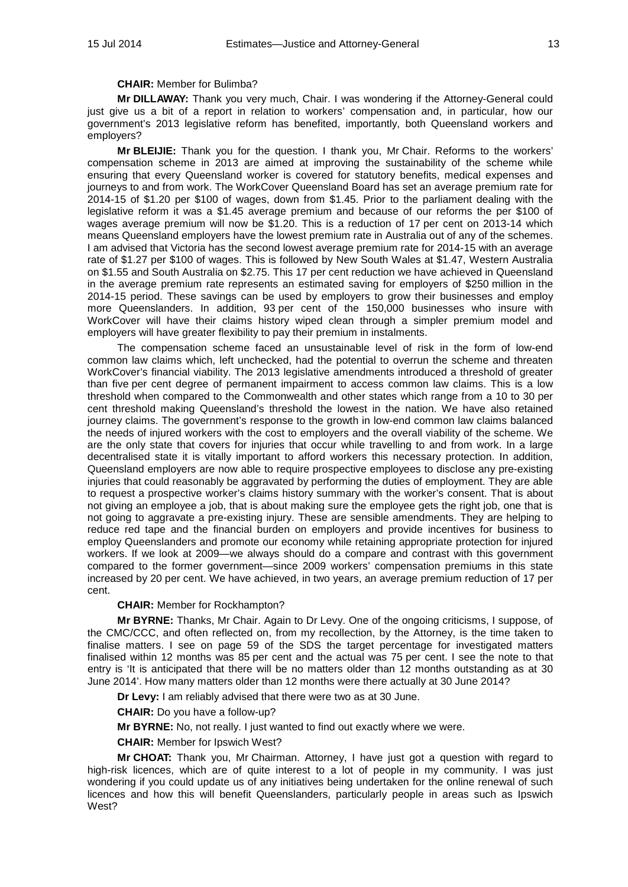## **CHAIR:** Member for Bulimba?

**Mr DILLAWAY:** Thank you very much, Chair. I was wondering if the Attorney-General could just give us a bit of a report in relation to workers' compensation and, in particular, how our government's 2013 legislative reform has benefited, importantly, both Queensland workers and employers?

**Mr BLEIJIE:** Thank you for the question. I thank you, Mr Chair. Reforms to the workers' compensation scheme in 2013 are aimed at improving the sustainability of the scheme while ensuring that every Queensland worker is covered for statutory benefits, medical expenses and journeys to and from work. The WorkCover Queensland Board has set an average premium rate for 2014-15 of \$1.20 per \$100 of wages, down from \$1.45. Prior to the parliament dealing with the legislative reform it was a \$1.45 average premium and because of our reforms the per \$100 of wages average premium will now be \$1.20. This is a reduction of 17 per cent on 2013-14 which means Queensland employers have the lowest premium rate in Australia out of any of the schemes. I am advised that Victoria has the second lowest average premium rate for 2014-15 with an average rate of \$1.27 per \$100 of wages. This is followed by New South Wales at \$1.47, Western Australia on \$1.55 and South Australia on \$2.75. This 17 per cent reduction we have achieved in Queensland in the average premium rate represents an estimated saving for employers of \$250 million in the 2014-15 period. These savings can be used by employers to grow their businesses and employ more Queenslanders. In addition, 93 per cent of the 150,000 businesses who insure with WorkCover will have their claims history wiped clean through a simpler premium model and employers will have greater flexibility to pay their premium in instalments.

The compensation scheme faced an unsustainable level of risk in the form of low-end common law claims which, left unchecked, had the potential to overrun the scheme and threaten WorkCover's financial viability. The 2013 legislative amendments introduced a threshold of greater than five per cent degree of permanent impairment to access common law claims. This is a low threshold when compared to the Commonwealth and other states which range from a 10 to 30 per cent threshold making Queensland's threshold the lowest in the nation. We have also retained journey claims. The government's response to the growth in low-end common law claims balanced the needs of injured workers with the cost to employers and the overall viability of the scheme. We are the only state that covers for injuries that occur while travelling to and from work. In a large decentralised state it is vitally important to afford workers this necessary protection. In addition, Queensland employers are now able to require prospective employees to disclose any pre-existing injuries that could reasonably be aggravated by performing the duties of employment. They are able to request a prospective worker's claims history summary with the worker's consent. That is about not giving an employee a job, that is about making sure the employee gets the right job, one that is not going to aggravate a pre-existing injury. These are sensible amendments. They are helping to reduce red tape and the financial burden on employers and provide incentives for business to employ Queenslanders and promote our economy while retaining appropriate protection for injured workers. If we look at 2009—we always should do a compare and contrast with this government compared to the former government—since 2009 workers' compensation premiums in this state increased by 20 per cent. We have achieved, in two years, an average premium reduction of 17 per cent.

## **CHAIR:** Member for Rockhampton?

**Mr BYRNE:** Thanks, Mr Chair. Again to Dr Levy. One of the ongoing criticisms, I suppose, of the CMC/CCC, and often reflected on, from my recollection, by the Attorney, is the time taken to finalise matters. I see on page 59 of the SDS the target percentage for investigated matters finalised within 12 months was 85 per cent and the actual was 75 per cent. I see the note to that entry is 'It is anticipated that there will be no matters older than 12 months outstanding as at 30 June 2014'. How many matters older than 12 months were there actually at 30 June 2014?

**Dr Levy:** I am reliably advised that there were two as at 30 June.

**CHAIR:** Do you have a follow-up?

**Mr BYRNE:** No, not really. I just wanted to find out exactly where we were.

**CHAIR:** Member for Ipswich West?

**Mr CHOAT:** Thank you, Mr Chairman. Attorney, I have just got a question with regard to high-risk licences, which are of quite interest to a lot of people in my community. I was just wondering if you could update us of any initiatives being undertaken for the online renewal of such licences and how this will benefit Queenslanders, particularly people in areas such as Ipswich West?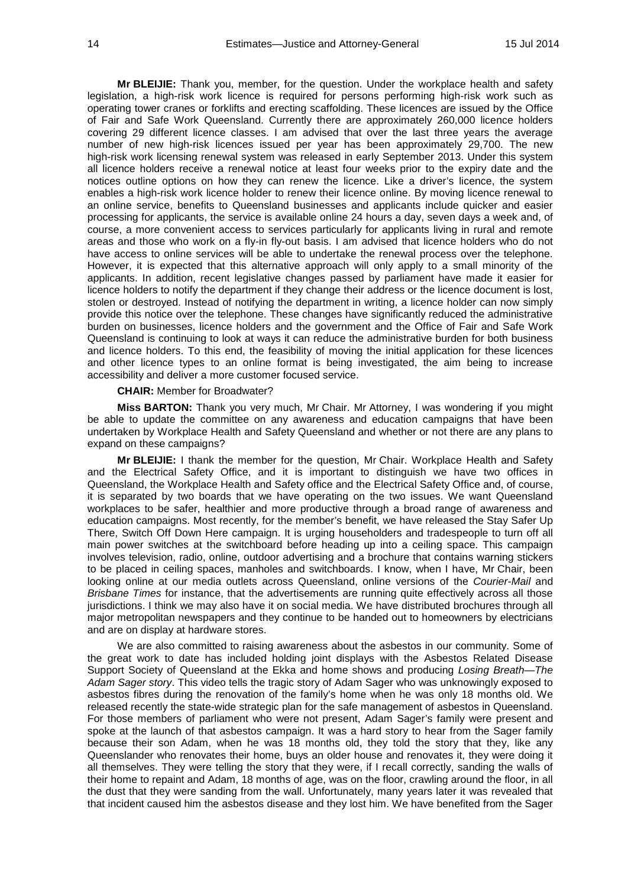**Mr BLEIJIE:** Thank you, member, for the question. Under the workplace health and safety legislation, a high-risk work licence is required for persons performing high-risk work such as operating tower cranes or forklifts and erecting scaffolding. These licences are issued by the Office of Fair and Safe Work Queensland. Currently there are approximately 260,000 licence holders covering 29 different licence classes. I am advised that over the last three years the average number of new high-risk licences issued per year has been approximately 29,700. The new high-risk work licensing renewal system was released in early September 2013. Under this system all licence holders receive a renewal notice at least four weeks prior to the expiry date and the notices outline options on how they can renew the licence. Like a driver's licence, the system enables a high-risk work licence holder to renew their licence online. By moving licence renewal to an online service, benefits to Queensland businesses and applicants include quicker and easier processing for applicants, the service is available online 24 hours a day, seven days a week and, of course, a more convenient access to services particularly for applicants living in rural and remote areas and those who work on a fly-in fly-out basis. I am advised that licence holders who do not have access to online services will be able to undertake the renewal process over the telephone. However, it is expected that this alternative approach will only apply to a small minority of the applicants. In addition, recent legislative changes passed by parliament have made it easier for licence holders to notify the department if they change their address or the licence document is lost, stolen or destroyed. Instead of notifying the department in writing, a licence holder can now simply provide this notice over the telephone. These changes have significantly reduced the administrative burden on businesses, licence holders and the government and the Office of Fair and Safe Work Queensland is continuing to look at ways it can reduce the administrative burden for both business and licence holders. To this end, the feasibility of moving the initial application for these licences and other licence types to an online format is being investigated, the aim being to increase accessibility and deliver a more customer focused service.

#### **CHAIR:** Member for Broadwater?

**Miss BARTON:** Thank you very much, Mr Chair. Mr Attorney, I was wondering if you might be able to update the committee on any awareness and education campaigns that have been undertaken by Workplace Health and Safety Queensland and whether or not there are any plans to expand on these campaigns?

**Mr BLEIJIE:** I thank the member for the question, Mr Chair. Workplace Health and Safety and the Electrical Safety Office, and it is important to distinguish we have two offices in Queensland, the Workplace Health and Safety office and the Electrical Safety Office and, of course, it is separated by two boards that we have operating on the two issues. We want Queensland workplaces to be safer, healthier and more productive through a broad range of awareness and education campaigns. Most recently, for the member's benefit, we have released the Stay Safer Up There, Switch Off Down Here campaign. It is urging householders and tradespeople to turn off all main power switches at the switchboard before heading up into a ceiling space. This campaign involves television, radio, online, outdoor advertising and a brochure that contains warning stickers to be placed in ceiling spaces, manholes and switchboards. I know, when I have, Mr Chair, been looking online at our media outlets across Queensland, online versions of the *Courier-Mail* and *Brisbane Times* for instance, that the advertisements are running quite effectively across all those jurisdictions. I think we may also have it on social media. We have distributed brochures through all major metropolitan newspapers and they continue to be handed out to homeowners by electricians and are on display at hardware stores.

We are also committed to raising awareness about the asbestos in our community. Some of the great work to date has included holding joint displays with the Asbestos Related Disease Support Society of Queensland at the Ekka and home shows and producing *Losing Breath*—*The Adam Sager story*. This video tells the tragic story of Adam Sager who was unknowingly exposed to asbestos fibres during the renovation of the family's home when he was only 18 months old. We released recently the state-wide strategic plan for the safe management of asbestos in Queensland. For those members of parliament who were not present, Adam Sager's family were present and spoke at the launch of that asbestos campaign. It was a hard story to hear from the Sager family because their son Adam, when he was 18 months old, they told the story that they, like any Queenslander who renovates their home, buys an older house and renovates it, they were doing it all themselves. They were telling the story that they were, if I recall correctly, sanding the walls of their home to repaint and Adam, 18 months of age, was on the floor, crawling around the floor, in all the dust that they were sanding from the wall. Unfortunately, many years later it was revealed that that incident caused him the asbestos disease and they lost him. We have benefited from the Sager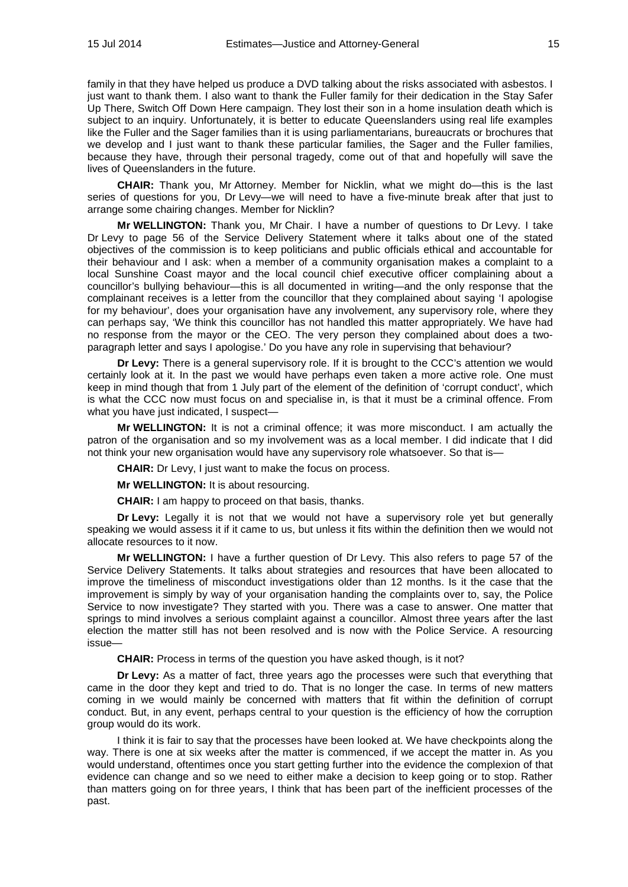family in that they have helped us produce a DVD talking about the risks associated with asbestos. I just want to thank them. I also want to thank the Fuller family for their dedication in the Stay Safer Up There, Switch Off Down Here campaign. They lost their son in a home insulation death which is subject to an inquiry. Unfortunately, it is better to educate Queenslanders using real life examples like the Fuller and the Sager families than it is using parliamentarians, bureaucrats or brochures that we develop and I just want to thank these particular families, the Sager and the Fuller families, because they have, through their personal tragedy, come out of that and hopefully will save the lives of Queenslanders in the future.

**CHAIR:** Thank you, Mr Attorney. Member for Nicklin, what we might do—this is the last series of questions for you, Dr Levy—we will need to have a five-minute break after that just to arrange some chairing changes. Member for Nicklin?

**Mr WELLINGTON:** Thank you, Mr Chair. I have a number of questions to Dr Levy. I take Dr Levy to page 56 of the Service Delivery Statement where it talks about one of the stated objectives of the commission is to keep politicians and public officials ethical and accountable for their behaviour and I ask: when a member of a community organisation makes a complaint to a local Sunshine Coast mayor and the local council chief executive officer complaining about a councillor's bullying behaviour—this is all documented in writing—and the only response that the complainant receives is a letter from the councillor that they complained about saying 'I apologise for my behaviour', does your organisation have any involvement, any supervisory role, where they can perhaps say, 'We think this councillor has not handled this matter appropriately. We have had no response from the mayor or the CEO. The very person they complained about does a twoparagraph letter and says I apologise.' Do you have any role in supervising that behaviour?

**Dr Levy:** There is a general supervisory role. If it is brought to the CCC's attention we would certainly look at it. In the past we would have perhaps even taken a more active role. One must keep in mind though that from 1 July part of the element of the definition of 'corrupt conduct', which is what the CCC now must focus on and specialise in, is that it must be a criminal offence. From what you have just indicated, I suspect—

**Mr WELLINGTON:** It is not a criminal offence; it was more misconduct. I am actually the patron of the organisation and so my involvement was as a local member. I did indicate that I did not think your new organisation would have any supervisory role whatsoever. So that is—

**CHAIR:** Dr Levy, I just want to make the focus on process.

**Mr WELLINGTON:** It is about resourcing.

**CHAIR:** I am happy to proceed on that basis, thanks.

**Dr Levy:** Legally it is not that we would not have a supervisory role yet but generally speaking we would assess it if it came to us, but unless it fits within the definition then we would not allocate resources to it now.

**Mr WELLINGTON:** I have a further question of Dr Levy. This also refers to page 57 of the Service Delivery Statements. It talks about strategies and resources that have been allocated to improve the timeliness of misconduct investigations older than 12 months. Is it the case that the improvement is simply by way of your organisation handing the complaints over to, say, the Police Service to now investigate? They started with you. There was a case to answer. One matter that springs to mind involves a serious complaint against a councillor. Almost three years after the last election the matter still has not been resolved and is now with the Police Service. A resourcing issue—

**CHAIR:** Process in terms of the question you have asked though, is it not?

**Dr Levy:** As a matter of fact, three years ago the processes were such that everything that came in the door they kept and tried to do. That is no longer the case. In terms of new matters coming in we would mainly be concerned with matters that fit within the definition of corrupt conduct. But, in any event, perhaps central to your question is the efficiency of how the corruption group would do its work.

I think it is fair to say that the processes have been looked at. We have checkpoints along the way. There is one at six weeks after the matter is commenced, if we accept the matter in. As you would understand, oftentimes once you start getting further into the evidence the complexion of that evidence can change and so we need to either make a decision to keep going or to stop. Rather than matters going on for three years, I think that has been part of the inefficient processes of the past.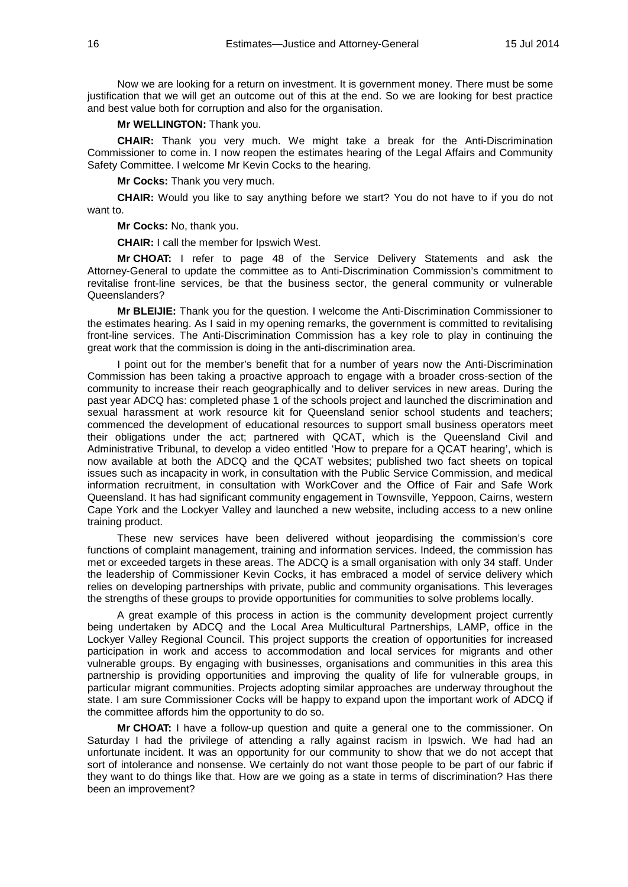Now we are looking for a return on investment. It is government money. There must be some justification that we will get an outcome out of this at the end. So we are looking for best practice and best value both for corruption and also for the organisation.

## **Mr WELLINGTON:** Thank you.

**CHAIR:** Thank you very much. We might take a break for the Anti-Discrimination Commissioner to come in. I now reopen the estimates hearing of the Legal Affairs and Community Safety Committee. I welcome Mr Kevin Cocks to the hearing.

**Mr Cocks:** Thank you very much.

**CHAIR:** Would you like to say anything before we start? You do not have to if you do not want to.

**Mr Cocks:** No, thank you.

**CHAIR:** I call the member for Ipswich West.

**Mr CHOAT:** I refer to page 48 of the Service Delivery Statements and ask the Attorney-General to update the committee as to Anti-Discrimination Commission's commitment to revitalise front-line services, be that the business sector, the general community or vulnerable Queenslanders?

**Mr BLEIJIE:** Thank you for the question. I welcome the Anti-Discrimination Commissioner to the estimates hearing. As I said in my opening remarks, the government is committed to revitalising front-line services. The Anti-Discrimination Commission has a key role to play in continuing the great work that the commission is doing in the anti-discrimination area.

I point out for the member's benefit that for a number of years now the Anti-Discrimination Commission has been taking a proactive approach to engage with a broader cross-section of the community to increase their reach geographically and to deliver services in new areas. During the past year ADCQ has: completed phase 1 of the schools project and launched the discrimination and sexual harassment at work resource kit for Queensland senior school students and teachers; commenced the development of educational resources to support small business operators meet their obligations under the act; partnered with QCAT, which is the Queensland Civil and Administrative Tribunal, to develop a video entitled 'How to prepare for a QCAT hearing', which is now available at both the ADCQ and the QCAT websites; published two fact sheets on topical issues such as incapacity in work, in consultation with the Public Service Commission, and medical information recruitment, in consultation with WorkCover and the Office of Fair and Safe Work Queensland. It has had significant community engagement in Townsville, Yeppoon, Cairns, western Cape York and the Lockyer Valley and launched a new website, including access to a new online training product.

These new services have been delivered without jeopardising the commission's core functions of complaint management, training and information services. Indeed, the commission has met or exceeded targets in these areas. The ADCQ is a small organisation with only 34 staff. Under the leadership of Commissioner Kevin Cocks, it has embraced a model of service delivery which relies on developing partnerships with private, public and community organisations. This leverages the strengths of these groups to provide opportunities for communities to solve problems locally.

A great example of this process in action is the community development project currently being undertaken by ADCQ and the Local Area Multicultural Partnerships, LAMP, office in the Lockyer Valley Regional Council. This project supports the creation of opportunities for increased participation in work and access to accommodation and local services for migrants and other vulnerable groups. By engaging with businesses, organisations and communities in this area this partnership is providing opportunities and improving the quality of life for vulnerable groups, in particular migrant communities. Projects adopting similar approaches are underway throughout the state. I am sure Commissioner Cocks will be happy to expand upon the important work of ADCQ if the committee affords him the opportunity to do so.

**Mr CHOAT:** I have a follow-up question and quite a general one to the commissioner. On Saturday I had the privilege of attending a rally against racism in Ipswich. We had had an unfortunate incident. It was an opportunity for our community to show that we do not accept that sort of intolerance and nonsense. We certainly do not want those people to be part of our fabric if they want to do things like that. How are we going as a state in terms of discrimination? Has there been an improvement?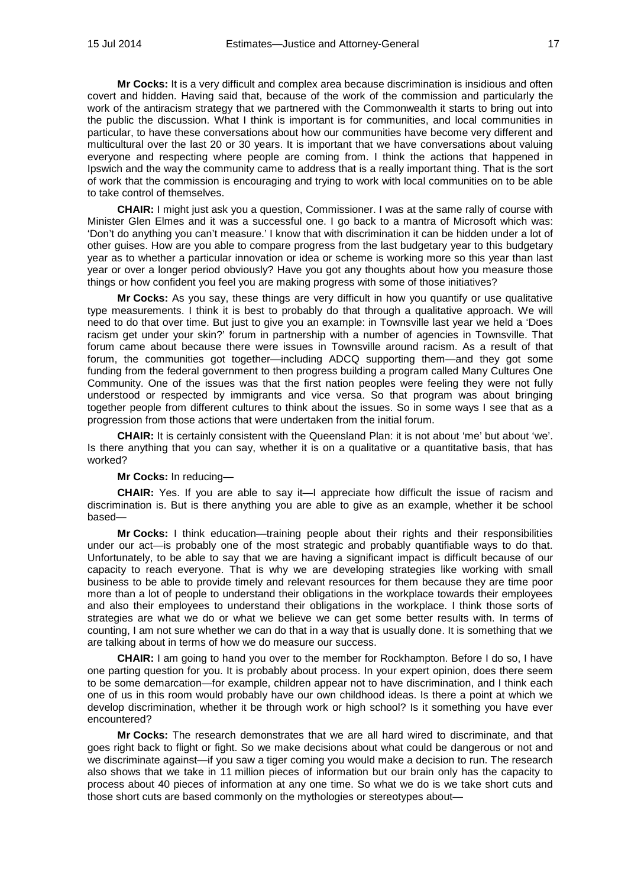**Mr Cocks:** It is a very difficult and complex area because discrimination is insidious and often covert and hidden. Having said that, because of the work of the commission and particularly the work of the antiracism strategy that we partnered with the Commonwealth it starts to bring out into the public the discussion. What I think is important is for communities, and local communities in particular, to have these conversations about how our communities have become very different and multicultural over the last 20 or 30 years. It is important that we have conversations about valuing everyone and respecting where people are coming from. I think the actions that happened in Ipswich and the way the community came to address that is a really important thing. That is the sort of work that the commission is encouraging and trying to work with local communities on to be able to take control of themselves.

**CHAIR:** I might just ask you a question, Commissioner. I was at the same rally of course with Minister Glen Elmes and it was a successful one. I go back to a mantra of Microsoft which was: 'Don't do anything you can't measure.' I know that with discrimination it can be hidden under a lot of other guises. How are you able to compare progress from the last budgetary year to this budgetary year as to whether a particular innovation or idea or scheme is working more so this year than last year or over a longer period obviously? Have you got any thoughts about how you measure those things or how confident you feel you are making progress with some of those initiatives?

**Mr Cocks:** As you say, these things are very difficult in how you quantify or use qualitative type measurements. I think it is best to probably do that through a qualitative approach. We will need to do that over time. But just to give you an example: in Townsville last year we held a 'Does racism get under your skin?' forum in partnership with a number of agencies in Townsville. That forum came about because there were issues in Townsville around racism. As a result of that forum, the communities got together—including ADCQ supporting them—and they got some funding from the federal government to then progress building a program called Many Cultures One Community. One of the issues was that the first nation peoples were feeling they were not fully understood or respected by immigrants and vice versa. So that program was about bringing together people from different cultures to think about the issues. So in some ways I see that as a progression from those actions that were undertaken from the initial forum.

**CHAIR:** It is certainly consistent with the Queensland Plan: it is not about 'me' but about 'we'. Is there anything that you can say, whether it is on a qualitative or a quantitative basis, that has worked?

### **Mr Cocks:** In reducing—

**CHAIR:** Yes. If you are able to say it—I appreciate how difficult the issue of racism and discrimination is. But is there anything you are able to give as an example, whether it be school based—

**Mr Cocks:** I think education—training people about their rights and their responsibilities under our act—is probably one of the most strategic and probably quantifiable ways to do that. Unfortunately, to be able to say that we are having a significant impact is difficult because of our capacity to reach everyone. That is why we are developing strategies like working with small business to be able to provide timely and relevant resources for them because they are time poor more than a lot of people to understand their obligations in the workplace towards their employees and also their employees to understand their obligations in the workplace. I think those sorts of strategies are what we do or what we believe we can get some better results with. In terms of counting, I am not sure whether we can do that in a way that is usually done. It is something that we are talking about in terms of how we do measure our success.

**CHAIR:** I am going to hand you over to the member for Rockhampton. Before I do so, I have one parting question for you. It is probably about process. In your expert opinion, does there seem to be some demarcation—for example, children appear not to have discrimination, and I think each one of us in this room would probably have our own childhood ideas. Is there a point at which we develop discrimination, whether it be through work or high school? Is it something you have ever encountered?

**Mr Cocks:** The research demonstrates that we are all hard wired to discriminate, and that goes right back to flight or fight. So we make decisions about what could be dangerous or not and we discriminate against—if you saw a tiger coming you would make a decision to run. The research also shows that we take in 11 million pieces of information but our brain only has the capacity to process about 40 pieces of information at any one time. So what we do is we take short cuts and those short cuts are based commonly on the mythologies or stereotypes about—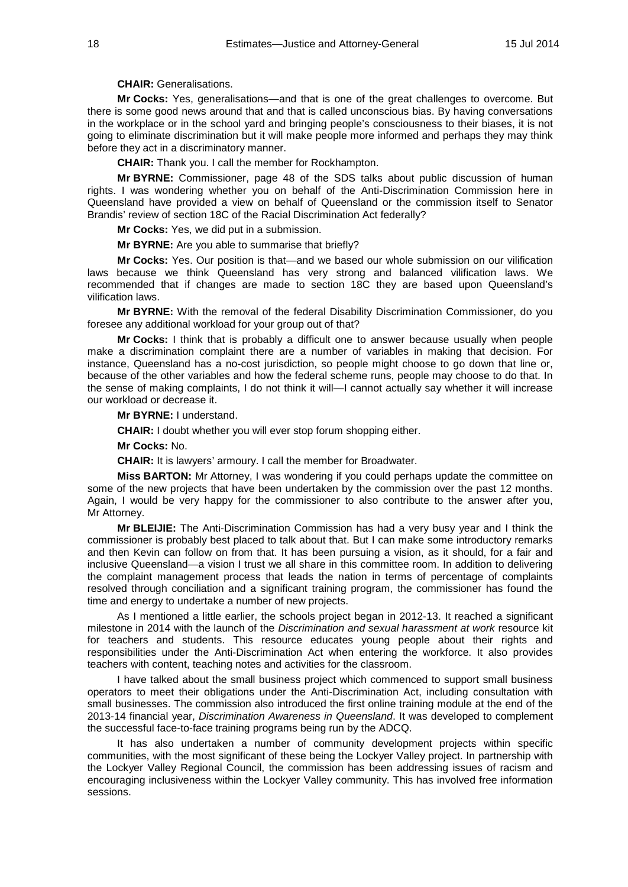## **CHAIR:** Generalisations.

**Mr Cocks:** Yes, generalisations—and that is one of the great challenges to overcome. But there is some good news around that and that is called unconscious bias. By having conversations in the workplace or in the school yard and bringing people's consciousness to their biases, it is not going to eliminate discrimination but it will make people more informed and perhaps they may think before they act in a discriminatory manner.

**CHAIR:** Thank you. I call the member for Rockhampton.

**Mr BYRNE:** Commissioner, page 48 of the SDS talks about public discussion of human rights. I was wondering whether you on behalf of the Anti-Discrimination Commission here in Queensland have provided a view on behalf of Queensland or the commission itself to Senator Brandis' review of section 18C of the Racial Discrimination Act federally?

**Mr Cocks:** Yes, we did put in a submission.

**Mr BYRNE:** Are you able to summarise that briefly?

**Mr Cocks:** Yes. Our position is that—and we based our whole submission on our vilification laws because we think Queensland has very strong and balanced vilification laws. We recommended that if changes are made to section 18C they are based upon Queensland's vilification laws.

**Mr BYRNE:** With the removal of the federal Disability Discrimination Commissioner, do you foresee any additional workload for your group out of that?

**Mr Cocks:** I think that is probably a difficult one to answer because usually when people make a discrimination complaint there are a number of variables in making that decision. For instance, Queensland has a no-cost jurisdiction, so people might choose to go down that line or, because of the other variables and how the federal scheme runs, people may choose to do that. In the sense of making complaints, I do not think it will—I cannot actually say whether it will increase our workload or decrease it.

**Mr BYRNE:** I understand.

**CHAIR:** I doubt whether you will ever stop forum shopping either.

**Mr Cocks:** No.

**CHAIR:** It is lawyers' armoury. I call the member for Broadwater.

**Miss BARTON:** Mr Attorney, I was wondering if you could perhaps update the committee on some of the new projects that have been undertaken by the commission over the past 12 months. Again, I would be very happy for the commissioner to also contribute to the answer after you, Mr Attorney.

**Mr BLEIJIE:** The Anti-Discrimination Commission has had a very busy year and I think the commissioner is probably best placed to talk about that. But I can make some introductory remarks and then Kevin can follow on from that. It has been pursuing a vision, as it should, for a fair and inclusive Queensland—a vision I trust we all share in this committee room. In addition to delivering the complaint management process that leads the nation in terms of percentage of complaints resolved through conciliation and a significant training program, the commissioner has found the time and energy to undertake a number of new projects.

As I mentioned a little earlier, the schools project began in 2012-13. It reached a significant milestone in 2014 with the launch of the *Discrimination and sexual harassment at work* resource kit for teachers and students. This resource educates young people about their rights and responsibilities under the Anti-Discrimination Act when entering the workforce. It also provides teachers with content, teaching notes and activities for the classroom.

I have talked about the small business project which commenced to support small business operators to meet their obligations under the Anti-Discrimination Act, including consultation with small businesses. The commission also introduced the first online training module at the end of the 2013-14 financial year, *Discrimination Awareness in Queensland*. It was developed to complement the successful face-to-face training programs being run by the ADCQ.

It has also undertaken a number of community development projects within specific communities, with the most significant of these being the Lockyer Valley project. In partnership with the Lockyer Valley Regional Council, the commission has been addressing issues of racism and encouraging inclusiveness within the Lockyer Valley community. This has involved free information sessions.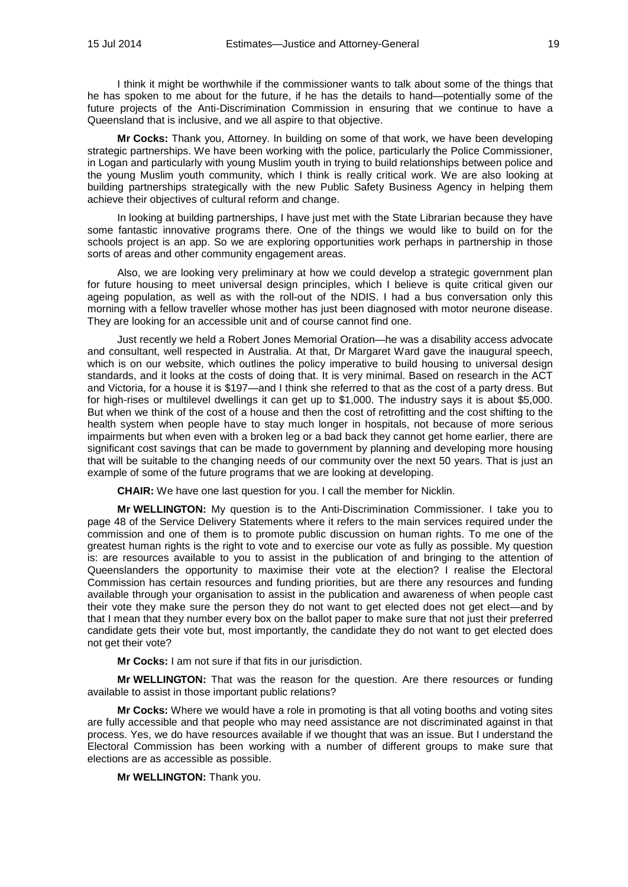I think it might be worthwhile if the commissioner wants to talk about some of the things that he has spoken to me about for the future, if he has the details to hand—potentially some of the future projects of the Anti-Discrimination Commission in ensuring that we continue to have a Queensland that is inclusive, and we all aspire to that objective.

**Mr Cocks:** Thank you, Attorney. In building on some of that work, we have been developing strategic partnerships. We have been working with the police, particularly the Police Commissioner, in Logan and particularly with young Muslim youth in trying to build relationships between police and the young Muslim youth community, which I think is really critical work. We are also looking at building partnerships strategically with the new Public Safety Business Agency in helping them achieve their objectives of cultural reform and change.

In looking at building partnerships, I have just met with the State Librarian because they have some fantastic innovative programs there. One of the things we would like to build on for the schools project is an app. So we are exploring opportunities work perhaps in partnership in those sorts of areas and other community engagement areas.

Also, we are looking very preliminary at how we could develop a strategic government plan for future housing to meet universal design principles, which I believe is quite critical given our ageing population, as well as with the roll-out of the NDIS. I had a bus conversation only this morning with a fellow traveller whose mother has just been diagnosed with motor neurone disease. They are looking for an accessible unit and of course cannot find one.

Just recently we held a Robert Jones Memorial Oration—he was a disability access advocate and consultant, well respected in Australia. At that, Dr Margaret Ward gave the inaugural speech, which is on our website, which outlines the policy imperative to build housing to universal design standards, and it looks at the costs of doing that. It is very minimal. Based on research in the ACT and Victoria, for a house it is \$197—and I think she referred to that as the cost of a party dress. But for high-rises or multilevel dwellings it can get up to \$1,000. The industry says it is about \$5,000. But when we think of the cost of a house and then the cost of retrofitting and the cost shifting to the health system when people have to stay much longer in hospitals, not because of more serious impairments but when even with a broken leg or a bad back they cannot get home earlier, there are significant cost savings that can be made to government by planning and developing more housing that will be suitable to the changing needs of our community over the next 50 years. That is just an example of some of the future programs that we are looking at developing.

**CHAIR:** We have one last question for you. I call the member for Nicklin.

**Mr WELLINGTON:** My question is to the Anti-Discrimination Commissioner. I take you to page 48 of the Service Delivery Statements where it refers to the main services required under the commission and one of them is to promote public discussion on human rights. To me one of the greatest human rights is the right to vote and to exercise our vote as fully as possible. My question is: are resources available to you to assist in the publication of and bringing to the attention of Queenslanders the opportunity to maximise their vote at the election? I realise the Electoral Commission has certain resources and funding priorities, but are there any resources and funding available through your organisation to assist in the publication and awareness of when people cast their vote they make sure the person they do not want to get elected does not get elect—and by that I mean that they number every box on the ballot paper to make sure that not just their preferred candidate gets their vote but, most importantly, the candidate they do not want to get elected does not get their vote?

**Mr Cocks:** I am not sure if that fits in our jurisdiction.

**Mr WELLINGTON:** That was the reason for the question. Are there resources or funding available to assist in those important public relations?

**Mr Cocks:** Where we would have a role in promoting is that all voting booths and voting sites are fully accessible and that people who may need assistance are not discriminated against in that process. Yes, we do have resources available if we thought that was an issue. But I understand the Electoral Commission has been working with a number of different groups to make sure that elections are as accessible as possible.

**Mr WELLINGTON:** Thank you.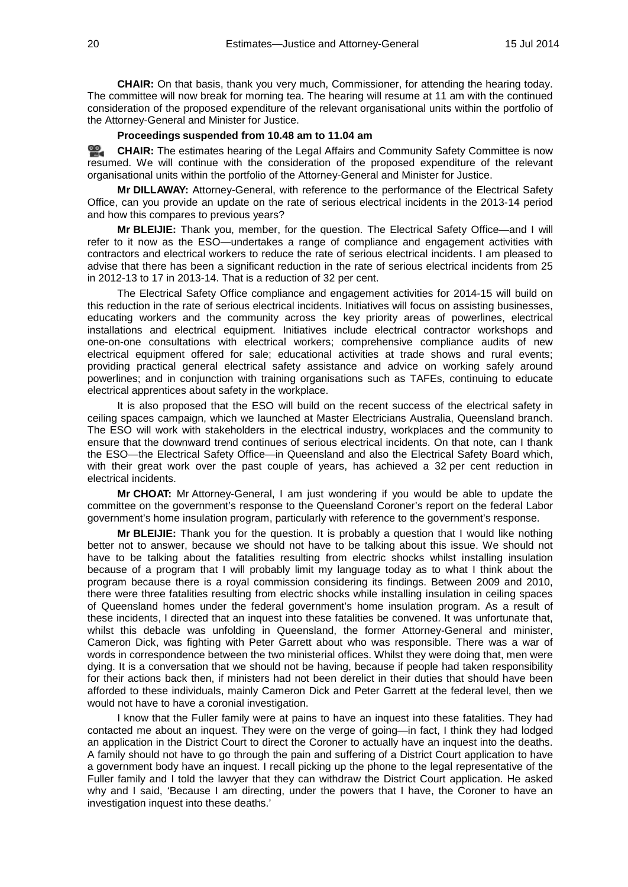**CHAIR:** On that basis, thank you very much, Commissioner, for attending the hearing today. The committee will now break for morning tea. The hearing will resume at 11 am with the continued consideration of the proposed expenditure of the relevant organisational units within the portfolio of the Attorney-General and Minister for Justice.

#### **Proceedings suspended from 10.48 am to 11.04 am**

≌. **[CHAIR:](http://www.parliament.qld.gov.au/docs/find.aspx?id=0MbaLACSC20140715_110415)** The estimates hearing of the Legal Affairs and Community Safety Committee is now resumed. We will continue with the consideration of the proposed expenditure of the relevant organisational units within the portfolio of the Attorney-General and Minister for Justice.

**Mr DILLAWAY:** Attorney-General, with reference to the performance of the Electrical Safety Office, can you provide an update on the rate of serious electrical incidents in the 2013-14 period and how this compares to previous years?

**Mr BLEIJIE:** Thank you, member, for the question. The Electrical Safety Office—and I will refer to it now as the ESO—undertakes a range of compliance and engagement activities with contractors and electrical workers to reduce the rate of serious electrical incidents. I am pleased to advise that there has been a significant reduction in the rate of serious electrical incidents from 25 in 2012-13 to 17 in 2013-14. That is a reduction of 32 per cent.

The Electrical Safety Office compliance and engagement activities for 2014-15 will build on this reduction in the rate of serious electrical incidents. Initiatives will focus on assisting businesses, educating workers and the community across the key priority areas of powerlines, electrical installations and electrical equipment. Initiatives include electrical contractor workshops and one-on-one consultations with electrical workers; comprehensive compliance audits of new electrical equipment offered for sale; educational activities at trade shows and rural events; providing practical general electrical safety assistance and advice on working safely around powerlines; and in conjunction with training organisations such as TAFEs, continuing to educate electrical apprentices about safety in the workplace.

It is also proposed that the ESO will build on the recent success of the electrical safety in ceiling spaces campaign, which we launched at Master Electricians Australia, Queensland branch. The ESO will work with stakeholders in the electrical industry, workplaces and the community to ensure that the downward trend continues of serious electrical incidents. On that note, can I thank the ESO—the Electrical Safety Office—in Queensland and also the Electrical Safety Board which, with their great work over the past couple of years, has achieved a 32 per cent reduction in electrical incidents.

**Mr CHOAT:** Mr Attorney-General, I am just wondering if you would be able to update the committee on the government's response to the Queensland Coroner's report on the federal Labor government's home insulation program, particularly with reference to the government's response.

**Mr BLEIJIE:** Thank you for the question. It is probably a question that I would like nothing better not to answer, because we should not have to be talking about this issue. We should not have to be talking about the fatalities resulting from electric shocks whilst installing insulation because of a program that I will probably limit my language today as to what I think about the program because there is a royal commission considering its findings. Between 2009 and 2010, there were three fatalities resulting from electric shocks while installing insulation in ceiling spaces of Queensland homes under the federal government's home insulation program. As a result of these incidents, I directed that an inquest into these fatalities be convened. It was unfortunate that, whilst this debacle was unfolding in Queensland, the former Attorney-General and minister, Cameron Dick, was fighting with Peter Garrett about who was responsible. There was a war of words in correspondence between the two ministerial offices. Whilst they were doing that, men were dying. It is a conversation that we should not be having, because if people had taken responsibility for their actions back then, if ministers had not been derelict in their duties that should have been afforded to these individuals, mainly Cameron Dick and Peter Garrett at the federal level, then we would not have to have a coronial investigation.

I know that the Fuller family were at pains to have an inquest into these fatalities. They had contacted me about an inquest. They were on the verge of going—in fact, I think they had lodged an application in the District Court to direct the Coroner to actually have an inquest into the deaths. A family should not have to go through the pain and suffering of a District Court application to have a government body have an inquest. I recall picking up the phone to the legal representative of the Fuller family and I told the lawyer that they can withdraw the District Court application. He asked why and I said, 'Because I am directing, under the powers that I have, the Coroner to have an investigation inquest into these deaths.'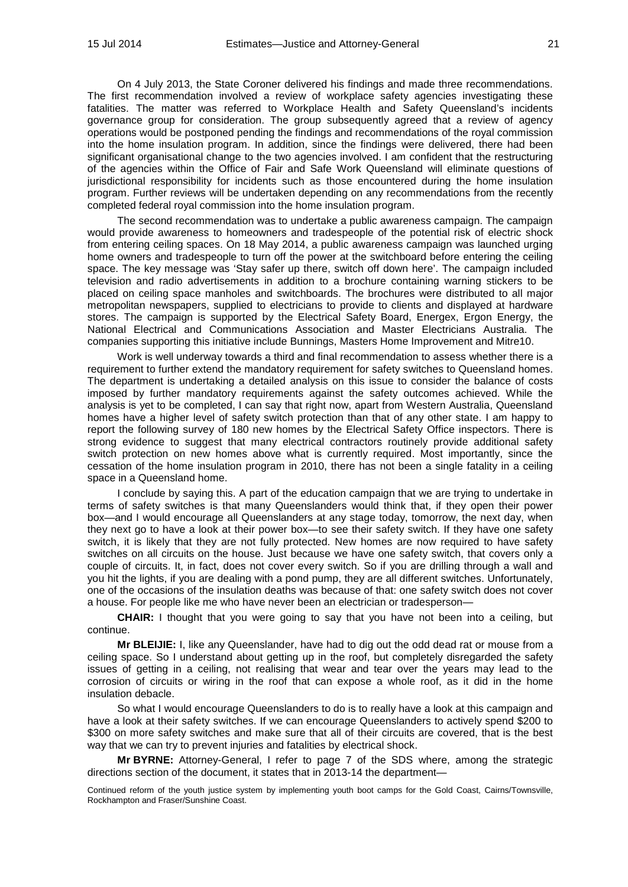On 4 July 2013, the State Coroner delivered his findings and made three recommendations. The first recommendation involved a review of workplace safety agencies investigating these fatalities. The matter was referred to Workplace Health and Safety Queensland's incidents governance group for consideration. The group subsequently agreed that a review of agency operations would be postponed pending the findings and recommendations of the royal commission into the home insulation program. In addition, since the findings were delivered, there had been significant organisational change to the two agencies involved. I am confident that the restructuring of the agencies within the Office of Fair and Safe Work Queensland will eliminate questions of jurisdictional responsibility for incidents such as those encountered during the home insulation program. Further reviews will be undertaken depending on any recommendations from the recently completed federal royal commission into the home insulation program.

The second recommendation was to undertake a public awareness campaign. The campaign would provide awareness to homeowners and tradespeople of the potential risk of electric shock from entering ceiling spaces. On 18 May 2014, a public awareness campaign was launched urging home owners and tradespeople to turn off the power at the switchboard before entering the ceiling space. The key message was 'Stay safer up there, switch off down here'. The campaign included television and radio advertisements in addition to a brochure containing warning stickers to be placed on ceiling space manholes and switchboards. The brochures were distributed to all major metropolitan newspapers, supplied to electricians to provide to clients and displayed at hardware stores. The campaign is supported by the Electrical Safety Board, Energex, Ergon Energy, the National Electrical and Communications Association and Master Electricians Australia. The companies supporting this initiative include Bunnings, Masters Home Improvement and Mitre10.

Work is well underway towards a third and final recommendation to assess whether there is a requirement to further extend the mandatory requirement for safety switches to Queensland homes. The department is undertaking a detailed analysis on this issue to consider the balance of costs imposed by further mandatory requirements against the safety outcomes achieved. While the analysis is yet to be completed, I can say that right now, apart from Western Australia, Queensland homes have a higher level of safety switch protection than that of any other state. I am happy to report the following survey of 180 new homes by the Electrical Safety Office inspectors. There is strong evidence to suggest that many electrical contractors routinely provide additional safety switch protection on new homes above what is currently required. Most importantly, since the cessation of the home insulation program in 2010, there has not been a single fatality in a ceiling space in a Queensland home.

I conclude by saying this. A part of the education campaign that we are trying to undertake in terms of safety switches is that many Queenslanders would think that, if they open their power box—and I would encourage all Queenslanders at any stage today, tomorrow, the next day, when they next go to have a look at their power box—to see their safety switch. If they have one safety switch, it is likely that they are not fully protected. New homes are now required to have safety switches on all circuits on the house. Just because we have one safety switch, that covers only a couple of circuits. It, in fact, does not cover every switch. So if you are drilling through a wall and you hit the lights, if you are dealing with a pond pump, they are all different switches. Unfortunately, one of the occasions of the insulation deaths was because of that: one safety switch does not cover a house. For people like me who have never been an electrician or tradesperson—

**CHAIR:** I thought that you were going to say that you have not been into a ceiling, but continue.

**Mr BLEIJIE:** I, like any Queenslander, have had to dig out the odd dead rat or mouse from a ceiling space. So I understand about getting up in the roof, but completely disregarded the safety issues of getting in a ceiling, not realising that wear and tear over the years may lead to the corrosion of circuits or wiring in the roof that can expose a whole roof, as it did in the home insulation debacle.

So what I would encourage Queenslanders to do is to really have a look at this campaign and have a look at their safety switches. If we can encourage Queenslanders to actively spend \$200 to \$300 on more safety switches and make sure that all of their circuits are covered, that is the best way that we can try to prevent injuries and fatalities by electrical shock.

**Mr BYRNE:** Attorney-General, I refer to page 7 of the SDS where, among the strategic directions section of the document, it states that in 2013-14 the department—

Continued reform of the youth justice system by implementing youth boot camps for the Gold Coast, Cairns/Townsville, Rockhampton and Fraser/Sunshine Coast.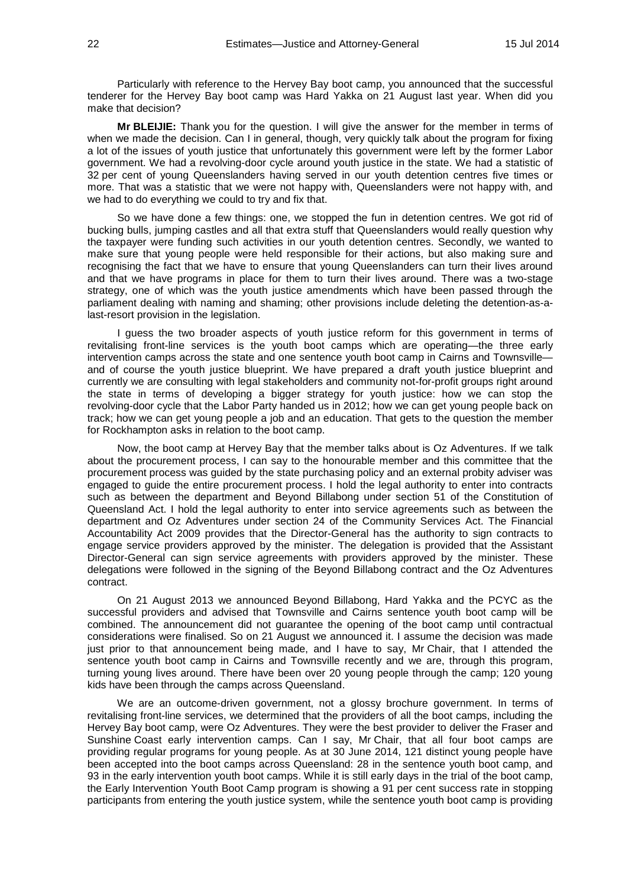Particularly with reference to the Hervey Bay boot camp, you announced that the successful tenderer for the Hervey Bay boot camp was Hard Yakka on 21 August last year. When did you make that decision?

**Mr BLEIJIE:** Thank you for the question. I will give the answer for the member in terms of when we made the decision. Can I in general, though, very quickly talk about the program for fixing a lot of the issues of youth justice that unfortunately this government were left by the former Labor government. We had a revolving-door cycle around youth justice in the state. We had a statistic of 32 per cent of young Queenslanders having served in our youth detention centres five times or more. That was a statistic that we were not happy with, Queenslanders were not happy with, and we had to do everything we could to try and fix that.

So we have done a few things: one, we stopped the fun in detention centres. We got rid of bucking bulls, jumping castles and all that extra stuff that Queenslanders would really question why the taxpayer were funding such activities in our youth detention centres. Secondly, we wanted to make sure that young people were held responsible for their actions, but also making sure and recognising the fact that we have to ensure that young Queenslanders can turn their lives around and that we have programs in place for them to turn their lives around. There was a two-stage strategy, one of which was the youth justice amendments which have been passed through the parliament dealing with naming and shaming; other provisions include deleting the detention-as-alast-resort provision in the legislation.

I guess the two broader aspects of youth justice reform for this government in terms of revitalising front-line services is the youth boot camps which are operating—the three early intervention camps across the state and one sentence youth boot camp in Cairns and Townsville and of course the youth justice blueprint. We have prepared a draft youth justice blueprint and currently we are consulting with legal stakeholders and community not-for-profit groups right around the state in terms of developing a bigger strategy for youth justice: how we can stop the revolving-door cycle that the Labor Party handed us in 2012; how we can get young people back on track; how we can get young people a job and an education. That gets to the question the member for Rockhampton asks in relation to the boot camp.

Now, the boot camp at Hervey Bay that the member talks about is Oz Adventures. If we talk about the procurement process, I can say to the honourable member and this committee that the procurement process was guided by the state purchasing policy and an external probity adviser was engaged to guide the entire procurement process. I hold the legal authority to enter into contracts such as between the department and Beyond Billabong under section 51 of the Constitution of Queensland Act. I hold the legal authority to enter into service agreements such as between the department and Oz Adventures under section 24 of the Community Services Act. The Financial Accountability Act 2009 provides that the Director-General has the authority to sign contracts to engage service providers approved by the minister. The delegation is provided that the Assistant Director-General can sign service agreements with providers approved by the minister. These delegations were followed in the signing of the Beyond Billabong contract and the Oz Adventures contract.

On 21 August 2013 we announced Beyond Billabong, Hard Yakka and the PCYC as the successful providers and advised that Townsville and Cairns sentence youth boot camp will be combined. The announcement did not guarantee the opening of the boot camp until contractual considerations were finalised. So on 21 August we announced it. I assume the decision was made just prior to that announcement being made, and I have to say, Mr Chair, that I attended the sentence youth boot camp in Cairns and Townsville recently and we are, through this program, turning young lives around. There have been over 20 young people through the camp; 120 young kids have been through the camps across Queensland.

We are an outcome-driven government, not a glossy brochure government. In terms of revitalising front-line services, we determined that the providers of all the boot camps, including the Hervey Bay boot camp, were Oz Adventures. They were the best provider to deliver the Fraser and Sunshine Coast early intervention camps. Can I say, Mr Chair, that all four boot camps are providing regular programs for young people. As at 30 June 2014, 121 distinct young people have been accepted into the boot camps across Queensland: 28 in the sentence youth boot camp, and 93 in the early intervention youth boot camps. While it is still early days in the trial of the boot camp, the Early Intervention Youth Boot Camp program is showing a 91 per cent success rate in stopping participants from entering the youth justice system, while the sentence youth boot camp is providing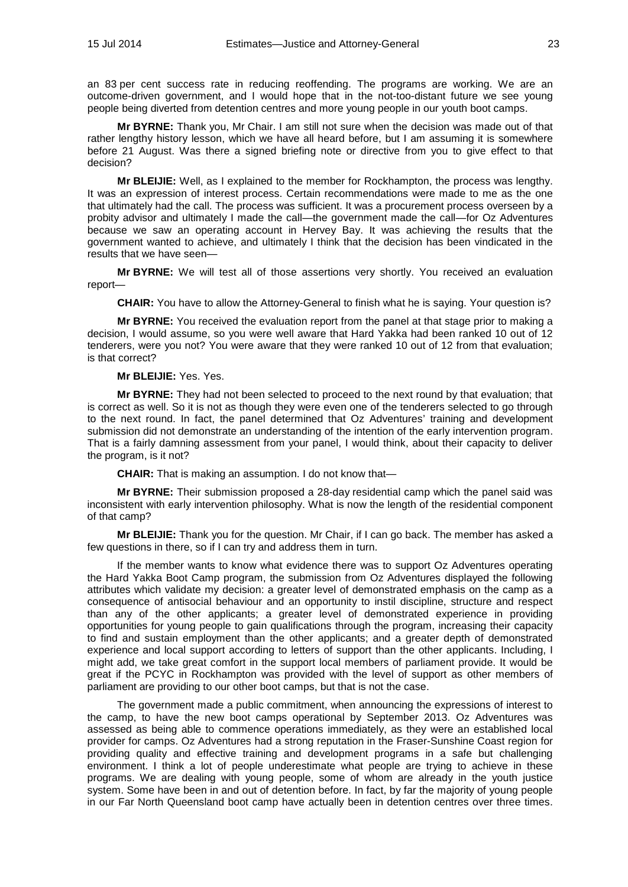an 83 per cent success rate in reducing reoffending. The programs are working. We are an outcome-driven government, and I would hope that in the not-too-distant future we see young people being diverted from detention centres and more young people in our youth boot camps.

**Mr BYRNE:** Thank you, Mr Chair. I am still not sure when the decision was made out of that rather lengthy history lesson, which we have all heard before, but I am assuming it is somewhere before 21 August. Was there a signed briefing note or directive from you to give effect to that decision?

**Mr BLEIJIE:** Well, as I explained to the member for Rockhampton, the process was lengthy. It was an expression of interest process. Certain recommendations were made to me as the one that ultimately had the call. The process was sufficient. It was a procurement process overseen by a probity advisor and ultimately I made the call—the government made the call—for Oz Adventures because we saw an operating account in Hervey Bay. It was achieving the results that the government wanted to achieve, and ultimately I think that the decision has been vindicated in the results that we have seen—

**Mr BYRNE:** We will test all of those assertions very shortly. You received an evaluation report—

**CHAIR:** You have to allow the Attorney-General to finish what he is saying. Your question is?

**Mr BYRNE:** You received the evaluation report from the panel at that stage prior to making a decision, I would assume, so you were well aware that Hard Yakka had been ranked 10 out of 12 tenderers, were you not? You were aware that they were ranked 10 out of 12 from that evaluation; is that correct?

## **Mr BLEIJIE:** Yes. Yes.

**Mr BYRNE:** They had not been selected to proceed to the next round by that evaluation; that is correct as well. So it is not as though they were even one of the tenderers selected to go through to the next round. In fact, the panel determined that Oz Adventures' training and development submission did not demonstrate an understanding of the intention of the early intervention program. That is a fairly damning assessment from your panel, I would think, about their capacity to deliver the program, is it not?

**CHAIR:** That is making an assumption. I do not know that—

**Mr BYRNE:** Their submission proposed a 28-day residential camp which the panel said was inconsistent with early intervention philosophy. What is now the length of the residential component of that camp?

**Mr BLEIJIE:** Thank you for the question. Mr Chair, if I can go back. The member has asked a few questions in there, so if I can try and address them in turn.

If the member wants to know what evidence there was to support Oz Adventures operating the Hard Yakka Boot Camp program, the submission from Oz Adventures displayed the following attributes which validate my decision: a greater level of demonstrated emphasis on the camp as a consequence of antisocial behaviour and an opportunity to instil discipline, structure and respect than any of the other applicants; a greater level of demonstrated experience in providing opportunities for young people to gain qualifications through the program, increasing their capacity to find and sustain employment than the other applicants; and a greater depth of demonstrated experience and local support according to letters of support than the other applicants. Including, I might add, we take great comfort in the support local members of parliament provide. It would be great if the PCYC in Rockhampton was provided with the level of support as other members of parliament are providing to our other boot camps, but that is not the case.

The government made a public commitment, when announcing the expressions of interest to the camp, to have the new boot camps operational by September 2013. Oz Adventures was assessed as being able to commence operations immediately, as they were an established local provider for camps. Oz Adventures had a strong reputation in the Fraser-Sunshine Coast region for providing quality and effective training and development programs in a safe but challenging environment. I think a lot of people underestimate what people are trying to achieve in these programs. We are dealing with young people, some of whom are already in the youth justice system. Some have been in and out of detention before. In fact, by far the majority of young people in our Far North Queensland boot camp have actually been in detention centres over three times.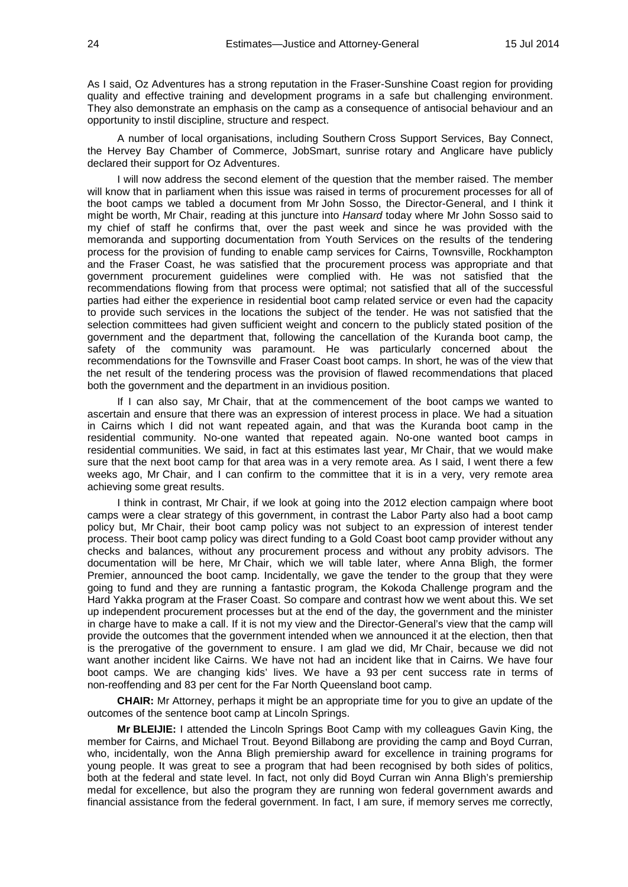As I said, Oz Adventures has a strong reputation in the Fraser-Sunshine Coast region for providing quality and effective training and development programs in a safe but challenging environment. They also demonstrate an emphasis on the camp as a consequence of antisocial behaviour and an opportunity to instil discipline, structure and respect.

A number of local organisations, including Southern Cross Support Services, Bay Connect, the Hervey Bay Chamber of Commerce, JobSmart, sunrise rotary and Anglicare have publicly declared their support for Oz Adventures.

I will now address the second element of the question that the member raised. The member will know that in parliament when this issue was raised in terms of procurement processes for all of the boot camps we tabled a document from Mr John Sosso, the Director-General, and I think it might be worth, Mr Chair, reading at this juncture into *Hansard* today where Mr John Sosso said to my chief of staff he confirms that, over the past week and since he was provided with the memoranda and supporting documentation from Youth Services on the results of the tendering process for the provision of funding to enable camp services for Cairns, Townsville, Rockhampton and the Fraser Coast, he was satisfied that the procurement process was appropriate and that government procurement guidelines were complied with. He was not satisfied that the recommendations flowing from that process were optimal; not satisfied that all of the successful parties had either the experience in residential boot camp related service or even had the capacity to provide such services in the locations the subject of the tender. He was not satisfied that the selection committees had given sufficient weight and concern to the publicly stated position of the government and the department that, following the cancellation of the Kuranda boot camp, the safety of the community was paramount. He was particularly concerned about the recommendations for the Townsville and Fraser Coast boot camps. In short, he was of the view that the net result of the tendering process was the provision of flawed recommendations that placed both the government and the department in an invidious position.

If I can also say, Mr Chair, that at the commencement of the boot camps we wanted to ascertain and ensure that there was an expression of interest process in place. We had a situation in Cairns which I did not want repeated again, and that was the Kuranda boot camp in the residential community. No-one wanted that repeated again. No-one wanted boot camps in residential communities. We said, in fact at this estimates last year, Mr Chair, that we would make sure that the next boot camp for that area was in a very remote area. As I said, I went there a few weeks ago, Mr Chair, and I can confirm to the committee that it is in a very, very remote area achieving some great results.

I think in contrast, Mr Chair, if we look at going into the 2012 election campaign where boot camps were a clear strategy of this government, in contrast the Labor Party also had a boot camp policy but, Mr Chair, their boot camp policy was not subject to an expression of interest tender process. Their boot camp policy was direct funding to a Gold Coast boot camp provider without any checks and balances, without any procurement process and without any probity advisors. The documentation will be here, Mr Chair, which we will table later, where Anna Bligh, the former Premier, announced the boot camp. Incidentally, we gave the tender to the group that they were going to fund and they are running a fantastic program, the Kokoda Challenge program and the Hard Yakka program at the Fraser Coast. So compare and contrast how we went about this. We set up independent procurement processes but at the end of the day, the government and the minister in charge have to make a call. If it is not my view and the Director-General's view that the camp will provide the outcomes that the government intended when we announced it at the election, then that is the prerogative of the government to ensure. I am glad we did, Mr Chair, because we did not want another incident like Cairns. We have not had an incident like that in Cairns. We have four boot camps. We are changing kids' lives. We have a 93 per cent success rate in terms of non-reoffending and 83 per cent for the Far North Queensland boot camp.

**CHAIR:** Mr Attorney, perhaps it might be an appropriate time for you to give an update of the outcomes of the sentence boot camp at Lincoln Springs.

**Mr BLEIJIE:** I attended the Lincoln Springs Boot Camp with my colleagues Gavin King, the member for Cairns, and Michael Trout. Beyond Billabong are providing the camp and Boyd Curran, who, incidentally, won the Anna Bligh premiership award for excellence in training programs for young people. It was great to see a program that had been recognised by both sides of politics, both at the federal and state level. In fact, not only did Boyd Curran win Anna Bligh's premiership medal for excellence, but also the program they are running won federal government awards and financial assistance from the federal government. In fact, I am sure, if memory serves me correctly,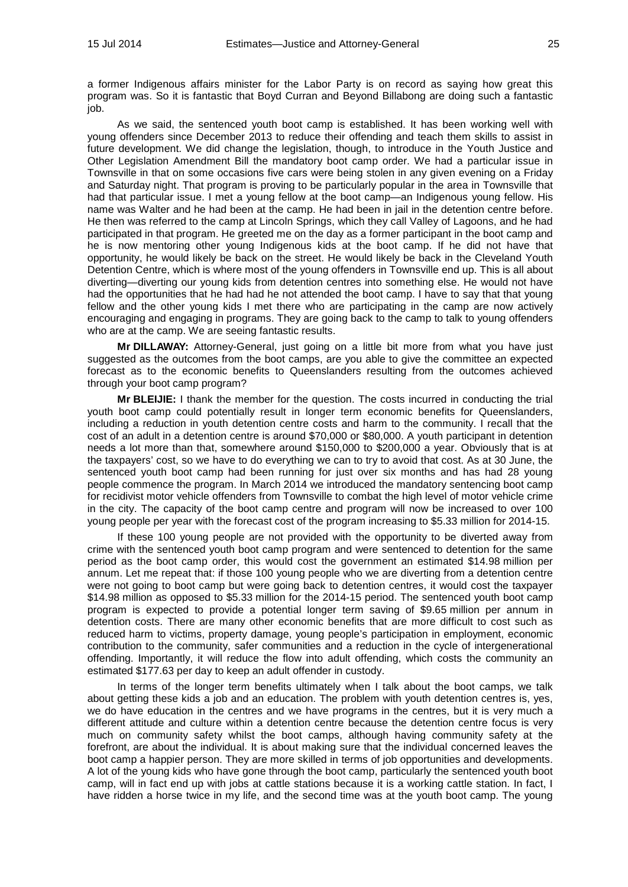a former Indigenous affairs minister for the Labor Party is on record as saying how great this program was. So it is fantastic that Boyd Curran and Beyond Billabong are doing such a fantastic job.

As we said, the sentenced youth boot camp is established. It has been working well with young offenders since December 2013 to reduce their offending and teach them skills to assist in future development. We did change the legislation, though, to introduce in the Youth Justice and Other Legislation Amendment Bill the mandatory boot camp order. We had a particular issue in Townsville in that on some occasions five cars were being stolen in any given evening on a Friday and Saturday night. That program is proving to be particularly popular in the area in Townsville that had that particular issue. I met a young fellow at the boot camp—an Indigenous young fellow. His name was Walter and he had been at the camp. He had been in jail in the detention centre before. He then was referred to the camp at Lincoln Springs, which they call Valley of Lagoons, and he had participated in that program. He greeted me on the day as a former participant in the boot camp and he is now mentoring other young Indigenous kids at the boot camp. If he did not have that opportunity, he would likely be back on the street. He would likely be back in the Cleveland Youth Detention Centre, which is where most of the young offenders in Townsville end up. This is all about diverting—diverting our young kids from detention centres into something else. He would not have had the opportunities that he had had he not attended the boot camp. I have to say that that young fellow and the other young kids I met there who are participating in the camp are now actively encouraging and engaging in programs. They are going back to the camp to talk to young offenders who are at the camp. We are seeing fantastic results.

**Mr DILLAWAY:** Attorney-General, just going on a little bit more from what you have just suggested as the outcomes from the boot camps, are you able to give the committee an expected forecast as to the economic benefits to Queenslanders resulting from the outcomes achieved through your boot camp program?

**Mr BLEIJIE:** I thank the member for the question. The costs incurred in conducting the trial youth boot camp could potentially result in longer term economic benefits for Queenslanders, including a reduction in youth detention centre costs and harm to the community. I recall that the cost of an adult in a detention centre is around \$70,000 or \$80,000. A youth participant in detention needs a lot more than that, somewhere around \$150,000 to \$200,000 a year. Obviously that is at the taxpayers' cost, so we have to do everything we can to try to avoid that cost. As at 30 June, the sentenced youth boot camp had been running for just over six months and has had 28 young people commence the program. In March 2014 we introduced the mandatory sentencing boot camp for recidivist motor vehicle offenders from Townsville to combat the high level of motor vehicle crime in the city. The capacity of the boot camp centre and program will now be increased to over 100 young people per year with the forecast cost of the program increasing to \$5.33 million for 2014-15.

If these 100 young people are not provided with the opportunity to be diverted away from crime with the sentenced youth boot camp program and were sentenced to detention for the same period as the boot camp order, this would cost the government an estimated \$14.98 million per annum. Let me repeat that: if those 100 young people who we are diverting from a detention centre were not going to boot camp but were going back to detention centres, it would cost the taxpayer \$14.98 million as opposed to \$5.33 million for the 2014-15 period. The sentenced youth boot camp program is expected to provide a potential longer term saving of \$9.65 million per annum in detention costs. There are many other economic benefits that are more difficult to cost such as reduced harm to victims, property damage, young people's participation in employment, economic contribution to the community, safer communities and a reduction in the cycle of intergenerational offending. Importantly, it will reduce the flow into adult offending, which costs the community an estimated \$177.63 per day to keep an adult offender in custody.

In terms of the longer term benefits ultimately when I talk about the boot camps, we talk about getting these kids a job and an education. The problem with youth detention centres is, yes, we do have education in the centres and we have programs in the centres, but it is very much a different attitude and culture within a detention centre because the detention centre focus is very much on community safety whilst the boot camps, although having community safety at the forefront, are about the individual. It is about making sure that the individual concerned leaves the boot camp a happier person. They are more skilled in terms of job opportunities and developments. A lot of the young kids who have gone through the boot camp, particularly the sentenced youth boot camp, will in fact end up with jobs at cattle stations because it is a working cattle station. In fact, I have ridden a horse twice in my life, and the second time was at the youth boot camp. The young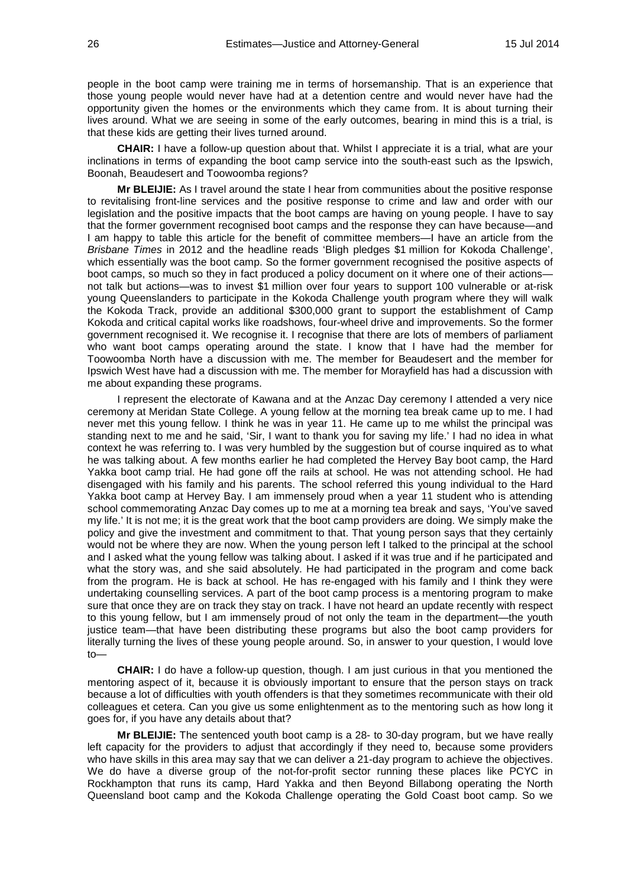people in the boot camp were training me in terms of horsemanship. That is an experience that those young people would never have had at a detention centre and would never have had the opportunity given the homes or the environments which they came from. It is about turning their lives around. What we are seeing in some of the early outcomes, bearing in mind this is a trial, is that these kids are getting their lives turned around.

**CHAIR:** I have a follow-up question about that. Whilst I appreciate it is a trial, what are your inclinations in terms of expanding the boot camp service into the south-east such as the Ipswich, Boonah, Beaudesert and Toowoomba regions?

**Mr BLEIJIE:** As I travel around the state I hear from communities about the positive response to revitalising front-line services and the positive response to crime and law and order with our legislation and the positive impacts that the boot camps are having on young people. I have to say that the former government recognised boot camps and the response they can have because—and I am happy to table this article for the benefit of committee members—I have an article from the *Brisbane Times* in 2012 and the headline reads 'Bligh pledges \$1 million for Kokoda Challenge', which essentially was the boot camp. So the former government recognised the positive aspects of boot camps, so much so they in fact produced a policy document on it where one of their actions not talk but actions—was to invest \$1 million over four years to support 100 vulnerable or at-risk young Queenslanders to participate in the Kokoda Challenge youth program where they will walk the Kokoda Track, provide an additional \$300,000 grant to support the establishment of Camp Kokoda and critical capital works like roadshows, four-wheel drive and improvements. So the former government recognised it. We recognise it. I recognise that there are lots of members of parliament who want boot camps operating around the state. I know that I have had the member for Toowoomba North have a discussion with me. The member for Beaudesert and the member for Ipswich West have had a discussion with me. The member for Morayfield has had a discussion with me about expanding these programs.

I represent the electorate of Kawana and at the Anzac Day ceremony I attended a very nice ceremony at Meridan State College. A young fellow at the morning tea break came up to me. I had never met this young fellow. I think he was in year 11. He came up to me whilst the principal was standing next to me and he said, 'Sir, I want to thank you for saving my life.' I had no idea in what context he was referring to. I was very humbled by the suggestion but of course inquired as to what he was talking about. A few months earlier he had completed the Hervey Bay boot camp, the Hard Yakka boot camp trial. He had gone off the rails at school. He was not attending school. He had disengaged with his family and his parents. The school referred this young individual to the Hard Yakka boot camp at Hervey Bay. I am immensely proud when a year 11 student who is attending school commemorating Anzac Day comes up to me at a morning tea break and says, 'You've saved my life.' It is not me; it is the great work that the boot camp providers are doing. We simply make the policy and give the investment and commitment to that. That young person says that they certainly would not be where they are now. When the young person left I talked to the principal at the school and I asked what the young fellow was talking about. I asked if it was true and if he participated and what the story was, and she said absolutely. He had participated in the program and come back from the program. He is back at school. He has re-engaged with his family and I think they were undertaking counselling services. A part of the boot camp process is a mentoring program to make sure that once they are on track they stay on track. I have not heard an update recently with respect to this young fellow, but I am immensely proud of not only the team in the department—the youth justice team—that have been distributing these programs but also the boot camp providers for literally turning the lives of these young people around. So, in answer to your question, I would love to—

**CHAIR:** I do have a follow-up question, though. I am just curious in that you mentioned the mentoring aspect of it, because it is obviously important to ensure that the person stays on track because a lot of difficulties with youth offenders is that they sometimes recommunicate with their old colleagues et cetera. Can you give us some enlightenment as to the mentoring such as how long it goes for, if you have any details about that?

**Mr BLEIJIE:** The sentenced youth boot camp is a 28- to 30-day program, but we have really left capacity for the providers to adjust that accordingly if they need to, because some providers who have skills in this area may say that we can deliver a 21-day program to achieve the objectives. We do have a diverse group of the not-for-profit sector running these places like PCYC in Rockhampton that runs its camp, Hard Yakka and then Beyond Billabong operating the North Queensland boot camp and the Kokoda Challenge operating the Gold Coast boot camp. So we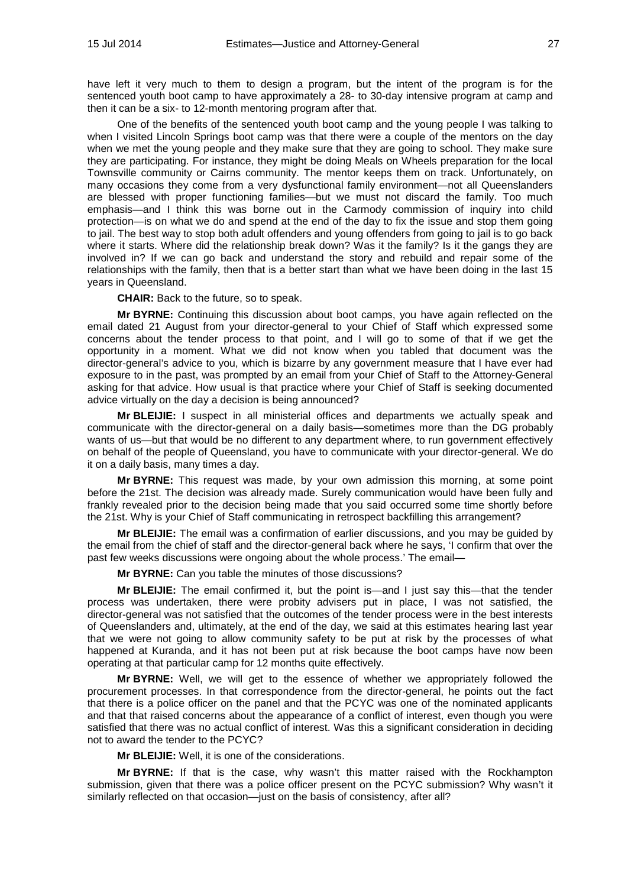have left it very much to them to design a program, but the intent of the program is for the sentenced youth boot camp to have approximately a 28- to 30-day intensive program at camp and then it can be a six- to 12-month mentoring program after that.

One of the benefits of the sentenced youth boot camp and the young people I was talking to when I visited Lincoln Springs boot camp was that there were a couple of the mentors on the day when we met the young people and they make sure that they are going to school. They make sure they are participating. For instance, they might be doing Meals on Wheels preparation for the local Townsville community or Cairns community. The mentor keeps them on track. Unfortunately, on many occasions they come from a very dysfunctional family environment—not all Queenslanders are blessed with proper functioning families—but we must not discard the family. Too much emphasis—and I think this was borne out in the Carmody commission of inquiry into child protection—is on what we do and spend at the end of the day to fix the issue and stop them going to jail. The best way to stop both adult offenders and young offenders from going to jail is to go back where it starts. Where did the relationship break down? Was it the family? Is it the gangs they are involved in? If we can go back and understand the story and rebuild and repair some of the relationships with the family, then that is a better start than what we have been doing in the last 15 years in Queensland.

**CHAIR:** Back to the future, so to speak.

**Mr BYRNE:** Continuing this discussion about boot camps, you have again reflected on the email dated 21 August from your director-general to your Chief of Staff which expressed some concerns about the tender process to that point, and I will go to some of that if we get the opportunity in a moment. What we did not know when you tabled that document was the director-general's advice to you, which is bizarre by any government measure that I have ever had exposure to in the past, was prompted by an email from your Chief of Staff to the Attorney-General asking for that advice. How usual is that practice where your Chief of Staff is seeking documented advice virtually on the day a decision is being announced?

**Mr BLEIJIE:** I suspect in all ministerial offices and departments we actually speak and communicate with the director-general on a daily basis—sometimes more than the DG probably wants of us—but that would be no different to any department where, to run government effectively on behalf of the people of Queensland, you have to communicate with your director-general. We do it on a daily basis, many times a day.

**Mr BYRNE:** This request was made, by your own admission this morning, at some point before the 21st. The decision was already made. Surely communication would have been fully and frankly revealed prior to the decision being made that you said occurred some time shortly before the 21st. Why is your Chief of Staff communicating in retrospect backfilling this arrangement?

**Mr BLEIJIE:** The email was a confirmation of earlier discussions, and you may be guided by the email from the chief of staff and the director-general back where he says, 'I confirm that over the past few weeks discussions were ongoing about the whole process.' The email—

**Mr BYRNE:** Can you table the minutes of those discussions?

**Mr BLEIJIE:** The email confirmed it, but the point is—and I just say this—that the tender process was undertaken, there were probity advisers put in place, I was not satisfied, the director-general was not satisfied that the outcomes of the tender process were in the best interests of Queenslanders and, ultimately, at the end of the day, we said at this estimates hearing last year that we were not going to allow community safety to be put at risk by the processes of what happened at Kuranda, and it has not been put at risk because the boot camps have now been operating at that particular camp for 12 months quite effectively.

**Mr BYRNE:** Well, we will get to the essence of whether we appropriately followed the procurement processes. In that correspondence from the director-general, he points out the fact that there is a police officer on the panel and that the PCYC was one of the nominated applicants and that that raised concerns about the appearance of a conflict of interest, even though you were satisfied that there was no actual conflict of interest. Was this a significant consideration in deciding not to award the tender to the PCYC?

**Mr BLEIJIE:** Well, it is one of the considerations.

**Mr BYRNE:** If that is the case, why wasn't this matter raised with the Rockhampton submission, given that there was a police officer present on the PCYC submission? Why wasn't it similarly reflected on that occasion—just on the basis of consistency, after all?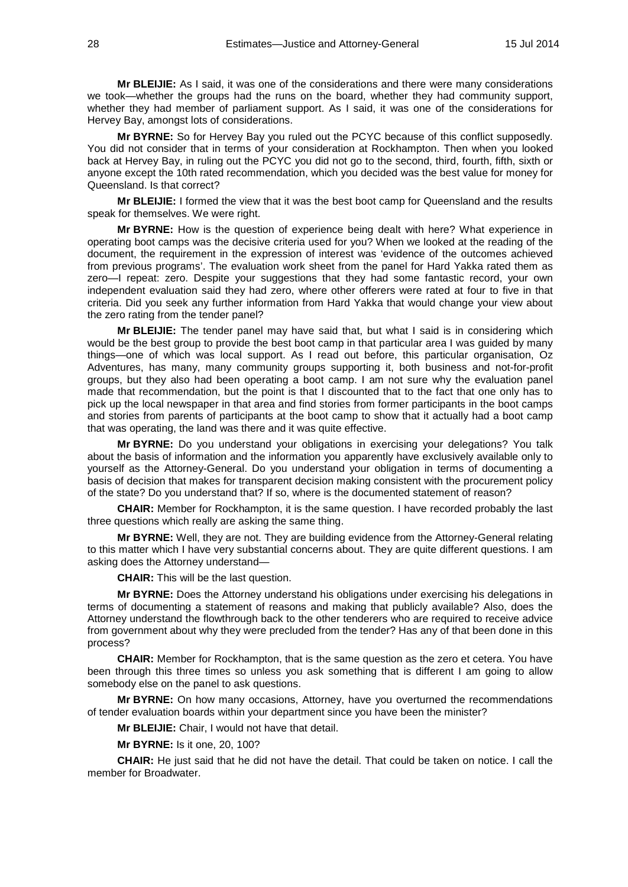**Mr BLEIJIE:** As I said, it was one of the considerations and there were many considerations we took—whether the groups had the runs on the board, whether they had community support, whether they had member of parliament support. As I said, it was one of the considerations for Hervey Bay, amongst lots of considerations.

**Mr BYRNE:** So for Hervey Bay you ruled out the PCYC because of this conflict supposedly. You did not consider that in terms of your consideration at Rockhampton. Then when you looked back at Hervey Bay, in ruling out the PCYC you did not go to the second, third, fourth, fifth, sixth or anyone except the 10th rated recommendation, which you decided was the best value for money for Queensland. Is that correct?

**Mr BLEIJIE:** I formed the view that it was the best boot camp for Queensland and the results speak for themselves. We were right.

**Mr BYRNE:** How is the question of experience being dealt with here? What experience in operating boot camps was the decisive criteria used for you? When we looked at the reading of the document, the requirement in the expression of interest was 'evidence of the outcomes achieved from previous programs'. The evaluation work sheet from the panel for Hard Yakka rated them as zero—I repeat: zero. Despite your suggestions that they had some fantastic record, your own independent evaluation said they had zero, where other offerers were rated at four to five in that criteria. Did you seek any further information from Hard Yakka that would change your view about the zero rating from the tender panel?

**Mr BLEIJIE:** The tender panel may have said that, but what I said is in considering which would be the best group to provide the best boot camp in that particular area I was guided by many things—one of which was local support. As I read out before, this particular organisation, Oz Adventures, has many, many community groups supporting it, both business and not-for-profit groups, but they also had been operating a boot camp. I am not sure why the evaluation panel made that recommendation, but the point is that I discounted that to the fact that one only has to pick up the local newspaper in that area and find stories from former participants in the boot camps and stories from parents of participants at the boot camp to show that it actually had a boot camp that was operating, the land was there and it was quite effective.

**Mr BYRNE:** Do you understand your obligations in exercising your delegations? You talk about the basis of information and the information you apparently have exclusively available only to yourself as the Attorney-General. Do you understand your obligation in terms of documenting a basis of decision that makes for transparent decision making consistent with the procurement policy of the state? Do you understand that? If so, where is the documented statement of reason?

**CHAIR:** Member for Rockhampton, it is the same question. I have recorded probably the last three questions which really are asking the same thing.

**Mr BYRNE:** Well, they are not. They are building evidence from the Attorney-General relating to this matter which I have very substantial concerns about. They are quite different questions. I am asking does the Attorney understand—

**CHAIR:** This will be the last question.

**Mr BYRNE:** Does the Attorney understand his obligations under exercising his delegations in terms of documenting a statement of reasons and making that publicly available? Also, does the Attorney understand the flowthrough back to the other tenderers who are required to receive advice from government about why they were precluded from the tender? Has any of that been done in this process?

**CHAIR:** Member for Rockhampton, that is the same question as the zero et cetera. You have been through this three times so unless you ask something that is different I am going to allow somebody else on the panel to ask questions.

**Mr BYRNE:** On how many occasions, Attorney, have you overturned the recommendations of tender evaluation boards within your department since you have been the minister?

**Mr BLEIJIE:** Chair, I would not have that detail.

**Mr BYRNE:** Is it one, 20, 100?

**CHAIR:** He just said that he did not have the detail. That could be taken on notice. I call the member for Broadwater.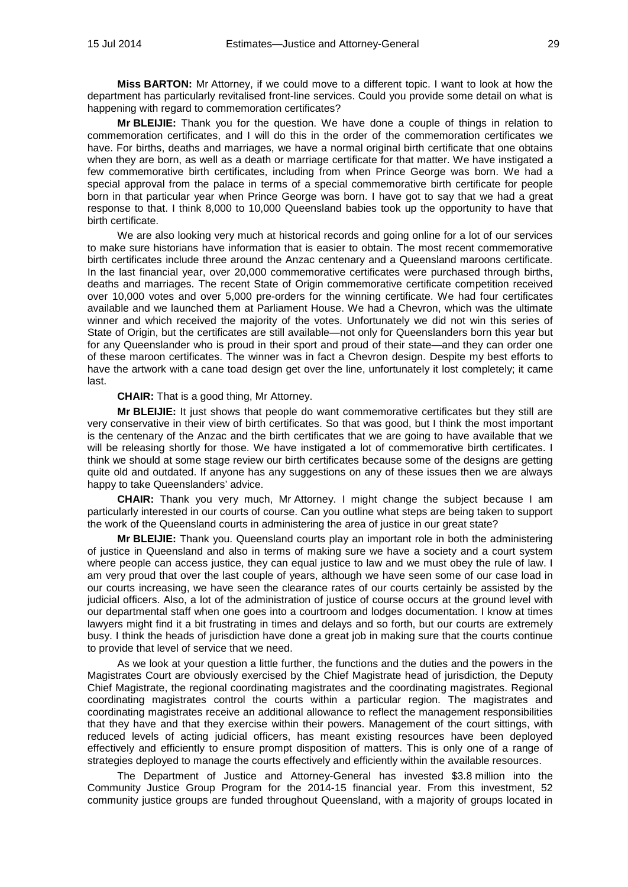**Miss BARTON:** Mr Attorney, if we could move to a different topic. I want to look at how the department has particularly revitalised front-line services. Could you provide some detail on what is happening with regard to commemoration certificates?

**Mr BLEIJIE:** Thank you for the question. We have done a couple of things in relation to commemoration certificates, and I will do this in the order of the commemoration certificates we have. For births, deaths and marriages, we have a normal original birth certificate that one obtains when they are born, as well as a death or marriage certificate for that matter. We have instigated a few commemorative birth certificates, including from when Prince George was born. We had a special approval from the palace in terms of a special commemorative birth certificate for people born in that particular year when Prince George was born. I have got to say that we had a great response to that. I think 8,000 to 10,000 Queensland babies took up the opportunity to have that birth certificate.

We are also looking very much at historical records and going online for a lot of our services to make sure historians have information that is easier to obtain. The most recent commemorative birth certificates include three around the Anzac centenary and a Queensland maroons certificate. In the last financial year, over 20,000 commemorative certificates were purchased through births, deaths and marriages. The recent State of Origin commemorative certificate competition received over 10,000 votes and over 5,000 pre-orders for the winning certificate. We had four certificates available and we launched them at Parliament House. We had a Chevron, which was the ultimate winner and which received the majority of the votes. Unfortunately we did not win this series of State of Origin, but the certificates are still available—not only for Queenslanders born this year but for any Queenslander who is proud in their sport and proud of their state—and they can order one of these maroon certificates. The winner was in fact a Chevron design. Despite my best efforts to have the artwork with a cane toad design get over the line, unfortunately it lost completely; it came last.

**CHAIR:** That is a good thing, Mr Attorney.

**Mr BLEIJIE:** It just shows that people do want commemorative certificates but they still are very conservative in their view of birth certificates. So that was good, but I think the most important is the centenary of the Anzac and the birth certificates that we are going to have available that we will be releasing shortly for those. We have instigated a lot of commemorative birth certificates. I think we should at some stage review our birth certificates because some of the designs are getting quite old and outdated. If anyone has any suggestions on any of these issues then we are always happy to take Queenslanders' advice.

**CHAIR:** Thank you very much, Mr Attorney. I might change the subject because I am particularly interested in our courts of course. Can you outline what steps are being taken to support the work of the Queensland courts in administering the area of justice in our great state?

**Mr BLEIJIE:** Thank you. Queensland courts play an important role in both the administering of justice in Queensland and also in terms of making sure we have a society and a court system where people can access justice, they can equal justice to law and we must obey the rule of law. I am very proud that over the last couple of years, although we have seen some of our case load in our courts increasing, we have seen the clearance rates of our courts certainly be assisted by the judicial officers. Also, a lot of the administration of justice of course occurs at the ground level with our departmental staff when one goes into a courtroom and lodges documentation. I know at times lawyers might find it a bit frustrating in times and delays and so forth, but our courts are extremely busy. I think the heads of jurisdiction have done a great job in making sure that the courts continue to provide that level of service that we need.

As we look at your question a little further, the functions and the duties and the powers in the Magistrates Court are obviously exercised by the Chief Magistrate head of jurisdiction, the Deputy Chief Magistrate, the regional coordinating magistrates and the coordinating magistrates. Regional coordinating magistrates control the courts within a particular region. The magistrates and coordinating magistrates receive an additional allowance to reflect the management responsibilities that they have and that they exercise within their powers. Management of the court sittings, with reduced levels of acting judicial officers, has meant existing resources have been deployed effectively and efficiently to ensure prompt disposition of matters. This is only one of a range of strategies deployed to manage the courts effectively and efficiently within the available resources.

The Department of Justice and Attorney-General has invested \$3.8 million into the Community Justice Group Program for the 2014-15 financial year. From this investment, 52 community justice groups are funded throughout Queensland, with a majority of groups located in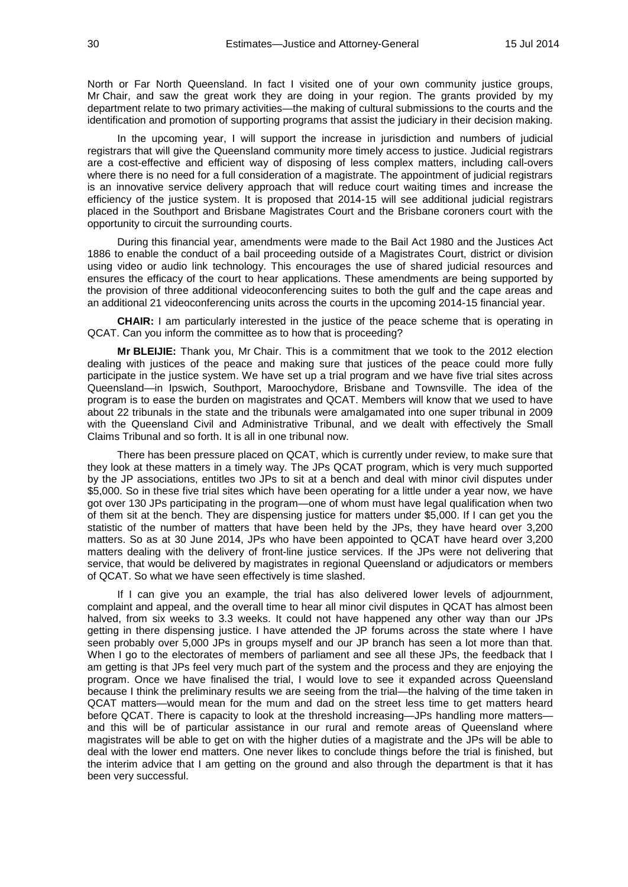North or Far North Queensland. In fact I visited one of your own community justice groups, Mr Chair, and saw the great work they are doing in your region. The grants provided by my department relate to two primary activities—the making of cultural submissions to the courts and the identification and promotion of supporting programs that assist the judiciary in their decision making.

In the upcoming year, I will support the increase in jurisdiction and numbers of judicial registrars that will give the Queensland community more timely access to justice. Judicial registrars are a cost-effective and efficient way of disposing of less complex matters, including call-overs where there is no need for a full consideration of a magistrate. The appointment of judicial registrars is an innovative service delivery approach that will reduce court waiting times and increase the efficiency of the justice system. It is proposed that 2014-15 will see additional judicial registrars placed in the Southport and Brisbane Magistrates Court and the Brisbane coroners court with the opportunity to circuit the surrounding courts.

During this financial year, amendments were made to the Bail Act 1980 and the Justices Act 1886 to enable the conduct of a bail proceeding outside of a Magistrates Court, district or division using video or audio link technology. This encourages the use of shared judicial resources and ensures the efficacy of the court to hear applications. These amendments are being supported by the provision of three additional videoconferencing suites to both the gulf and the cape areas and an additional 21 videoconferencing units across the courts in the upcoming 2014-15 financial year.

**CHAIR:** I am particularly interested in the justice of the peace scheme that is operating in QCAT. Can you inform the committee as to how that is proceeding?

**Mr BLEIJIE:** Thank you, Mr Chair. This is a commitment that we took to the 2012 election dealing with justices of the peace and making sure that justices of the peace could more fully participate in the justice system. We have set up a trial program and we have five trial sites across Queensland—in Ipswich, Southport, Maroochydore, Brisbane and Townsville. The idea of the program is to ease the burden on magistrates and QCAT. Members will know that we used to have about 22 tribunals in the state and the tribunals were amalgamated into one super tribunal in 2009 with the Queensland Civil and Administrative Tribunal, and we dealt with effectively the Small Claims Tribunal and so forth. It is all in one tribunal now.

There has been pressure placed on QCAT, which is currently under review, to make sure that they look at these matters in a timely way. The JPs QCAT program, which is very much supported by the JP associations, entitles two JPs to sit at a bench and deal with minor civil disputes under \$5,000. So in these five trial sites which have been operating for a little under a year now, we have got over 130 JPs participating in the program—one of whom must have legal qualification when two of them sit at the bench. They are dispensing justice for matters under \$5,000. If I can get you the statistic of the number of matters that have been held by the JPs, they have heard over 3,200 matters. So as at 30 June 2014, JPs who have been appointed to QCAT have heard over 3,200 matters dealing with the delivery of front-line justice services. If the JPs were not delivering that service, that would be delivered by magistrates in regional Queensland or adjudicators or members of QCAT. So what we have seen effectively is time slashed.

If I can give you an example, the trial has also delivered lower levels of adjournment, complaint and appeal, and the overall time to hear all minor civil disputes in QCAT has almost been halved, from six weeks to 3.3 weeks. It could not have happened any other way than our JPs getting in there dispensing justice. I have attended the JP forums across the state where I have seen probably over 5,000 JPs in groups myself and our JP branch has seen a lot more than that. When I go to the electorates of members of parliament and see all these JPs, the feedback that I am getting is that JPs feel very much part of the system and the process and they are enjoying the program. Once we have finalised the trial, I would love to see it expanded across Queensland because I think the preliminary results we are seeing from the trial—the halving of the time taken in QCAT matters—would mean for the mum and dad on the street less time to get matters heard before QCAT. There is capacity to look at the threshold increasing—JPs handling more matters and this will be of particular assistance in our rural and remote areas of Queensland where magistrates will be able to get on with the higher duties of a magistrate and the JPs will be able to deal with the lower end matters. One never likes to conclude things before the trial is finished, but the interim advice that I am getting on the ground and also through the department is that it has been very successful.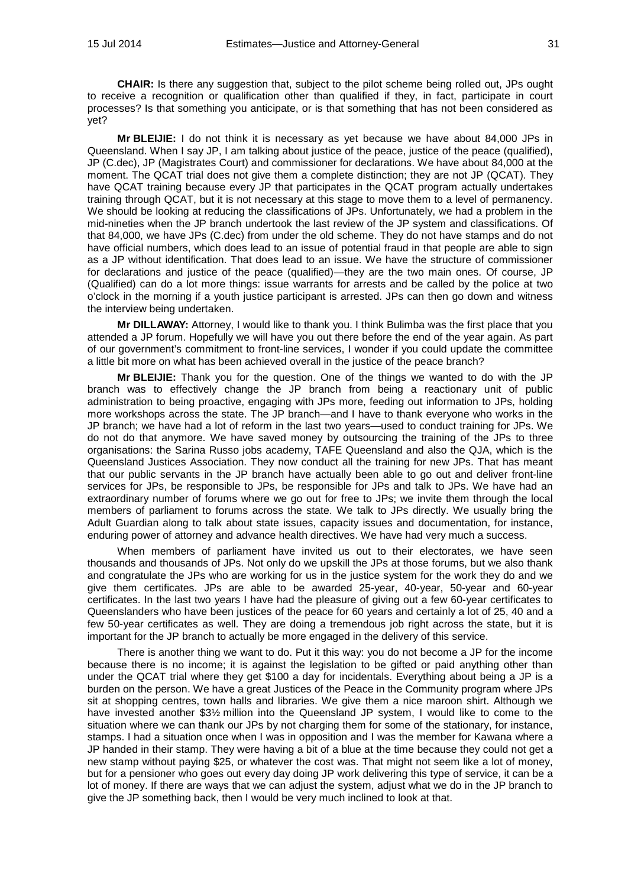**CHAIR:** Is there any suggestion that, subject to the pilot scheme being rolled out, JPs ought to receive a recognition or qualification other than qualified if they, in fact, participate in court processes? Is that something you anticipate, or is that something that has not been considered as yet?

**Mr BLEIJIE:** I do not think it is necessary as yet because we have about 84,000 JPs in Queensland. When I say JP, I am talking about justice of the peace, justice of the peace (qualified), JP (C.dec), JP (Magistrates Court) and commissioner for declarations. We have about 84,000 at the moment. The QCAT trial does not give them a complete distinction; they are not JP (QCAT). They have QCAT training because every JP that participates in the QCAT program actually undertakes training through QCAT, but it is not necessary at this stage to move them to a level of permanency. We should be looking at reducing the classifications of JPs. Unfortunately, we had a problem in the mid-nineties when the JP branch undertook the last review of the JP system and classifications. Of that 84,000, we have JPs (C.dec) from under the old scheme. They do not have stamps and do not have official numbers, which does lead to an issue of potential fraud in that people are able to sign as a JP without identification. That does lead to an issue. We have the structure of commissioner for declarations and justice of the peace (qualified)—they are the two main ones. Of course, JP (Qualified) can do a lot more things: issue warrants for arrests and be called by the police at two o'clock in the morning if a youth justice participant is arrested. JPs can then go down and witness the interview being undertaken.

**Mr DILLAWAY:** Attorney, I would like to thank you. I think Bulimba was the first place that you attended a JP forum. Hopefully we will have you out there before the end of the year again. As part of our government's commitment to front-line services, I wonder if you could update the committee a little bit more on what has been achieved overall in the justice of the peace branch?

**Mr BLEIJIE:** Thank you for the question. One of the things we wanted to do with the JP branch was to effectively change the JP branch from being a reactionary unit of public administration to being proactive, engaging with JPs more, feeding out information to JPs, holding more workshops across the state. The JP branch—and I have to thank everyone who works in the JP branch; we have had a lot of reform in the last two years—used to conduct training for JPs. We do not do that anymore. We have saved money by outsourcing the training of the JPs to three organisations: the Sarina Russo jobs academy, TAFE Queensland and also the QJA, which is the Queensland Justices Association. They now conduct all the training for new JPs. That has meant that our public servants in the JP branch have actually been able to go out and deliver front-line services for JPs, be responsible to JPs, be responsible for JPs and talk to JPs. We have had an extraordinary number of forums where we go out for free to JPs; we invite them through the local members of parliament to forums across the state. We talk to JPs directly. We usually bring the Adult Guardian along to talk about state issues, capacity issues and documentation, for instance, enduring power of attorney and advance health directives. We have had very much a success.

When members of parliament have invited us out to their electorates, we have seen thousands and thousands of JPs. Not only do we upskill the JPs at those forums, but we also thank and congratulate the JPs who are working for us in the justice system for the work they do and we give them certificates. JPs are able to be awarded 25-year, 40-year, 50-year and 60-year certificates. In the last two years I have had the pleasure of giving out a few 60-year certificates to Queenslanders who have been justices of the peace for 60 years and certainly a lot of 25, 40 and a few 50-year certificates as well. They are doing a tremendous job right across the state, but it is important for the JP branch to actually be more engaged in the delivery of this service.

There is another thing we want to do. Put it this way: you do not become a JP for the income because there is no income; it is against the legislation to be gifted or paid anything other than under the QCAT trial where they get \$100 a day for incidentals. Everything about being a JP is a burden on the person. We have a great Justices of the Peace in the Community program where JPs sit at shopping centres, town halls and libraries. We give them a nice maroon shirt. Although we have invested another \$3% million into the Queensland JP system, I would like to come to the situation where we can thank our JPs by not charging them for some of the stationary, for instance, stamps. I had a situation once when I was in opposition and I was the member for Kawana where a JP handed in their stamp. They were having a bit of a blue at the time because they could not get a new stamp without paying \$25, or whatever the cost was. That might not seem like a lot of money, but for a pensioner who goes out every day doing JP work delivering this type of service, it can be a lot of money. If there are ways that we can adjust the system, adjust what we do in the JP branch to give the JP something back, then I would be very much inclined to look at that.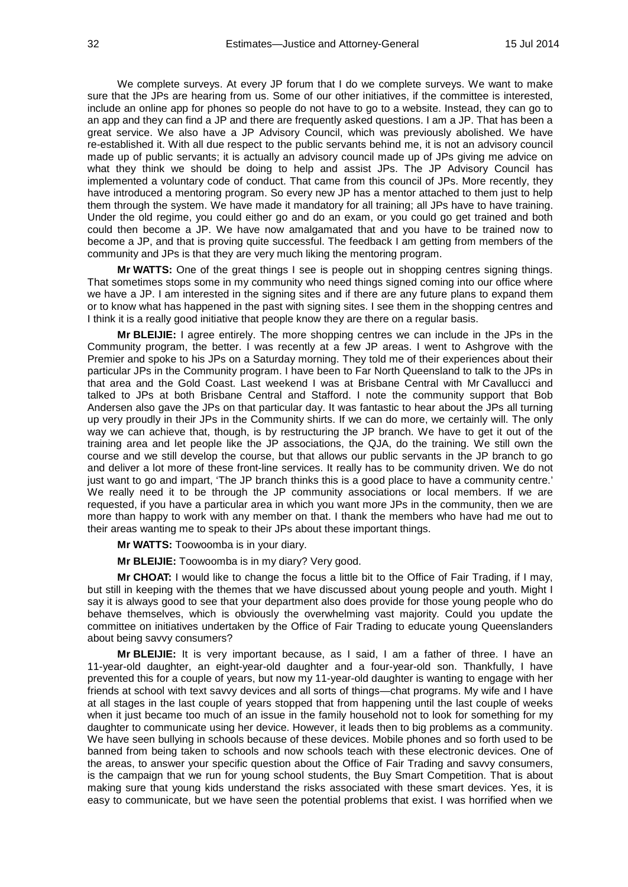We complete surveys. At every JP forum that I do we complete surveys. We want to make sure that the JPs are hearing from us. Some of our other initiatives, if the committee is interested, include an online app for phones so people do not have to go to a website. Instead, they can go to an app and they can find a JP and there are frequently asked questions. I am a JP. That has been a great service. We also have a JP Advisory Council, which was previously abolished. We have re-established it. With all due respect to the public servants behind me, it is not an advisory council made up of public servants; it is actually an advisory council made up of JPs giving me advice on what they think we should be doing to help and assist JPs. The JP Advisory Council has implemented a voluntary code of conduct. That came from this council of JPs. More recently, they have introduced a mentoring program. So every new JP has a mentor attached to them just to help them through the system. We have made it mandatory for all training; all JPs have to have training. Under the old regime, you could either go and do an exam, or you could go get trained and both could then become a JP. We have now amalgamated that and you have to be trained now to become a JP, and that is proving quite successful. The feedback I am getting from members of the community and JPs is that they are very much liking the mentoring program.

**Mr WATTS:** One of the great things I see is people out in shopping centres signing things. That sometimes stops some in my community who need things signed coming into our office where we have a JP. I am interested in the signing sites and if there are any future plans to expand them or to know what has happened in the past with signing sites. I see them in the shopping centres and I think it is a really good initiative that people know they are there on a regular basis.

**Mr BLEIJIE:** I agree entirely. The more shopping centres we can include in the JPs in the Community program, the better. I was recently at a few JP areas. I went to Ashgrove with the Premier and spoke to his JPs on a Saturday morning. They told me of their experiences about their particular JPs in the Community program. I have been to Far North Queensland to talk to the JPs in that area and the Gold Coast. Last weekend I was at Brisbane Central with Mr Cavallucci and talked to JPs at both Brisbane Central and Stafford. I note the community support that Bob Andersen also gave the JPs on that particular day. It was fantastic to hear about the JPs all turning up very proudly in their JPs in the Community shirts. If we can do more, we certainly will. The only way we can achieve that, though, is by restructuring the JP branch. We have to get it out of the training area and let people like the JP associations, the QJA, do the training. We still own the course and we still develop the course, but that allows our public servants in the JP branch to go and deliver a lot more of these front-line services. It really has to be community driven. We do not just want to go and impart, 'The JP branch thinks this is a good place to have a community centre.' We really need it to be through the JP community associations or local members. If we are requested, if you have a particular area in which you want more JPs in the community, then we are more than happy to work with any member on that. I thank the members who have had me out to their areas wanting me to speak to their JPs about these important things.

**Mr WATTS:** Toowoomba is in your diary.

**Mr BLEIJIE:** Toowoomba is in my diary? Very good.

**Mr CHOAT:** I would like to change the focus a little bit to the Office of Fair Trading, if I may, but still in keeping with the themes that we have discussed about young people and youth. Might I say it is always good to see that your department also does provide for those young people who do behave themselves, which is obviously the overwhelming vast majority. Could you update the committee on initiatives undertaken by the Office of Fair Trading to educate young Queenslanders about being savvy consumers?

**Mr BLEIJIE:** It is very important because, as I said, I am a father of three. I have an 11-year-old daughter, an eight-year-old daughter and a four-year-old son. Thankfully, I have prevented this for a couple of years, but now my 11-year-old daughter is wanting to engage with her friends at school with text savvy devices and all sorts of things—chat programs. My wife and I have at all stages in the last couple of years stopped that from happening until the last couple of weeks when it just became too much of an issue in the family household not to look for something for my daughter to communicate using her device. However, it leads then to big problems as a community. We have seen bullying in schools because of these devices. Mobile phones and so forth used to be banned from being taken to schools and now schools teach with these electronic devices. One of the areas, to answer your specific question about the Office of Fair Trading and savvy consumers, is the campaign that we run for young school students, the Buy Smart Competition. That is about making sure that young kids understand the risks associated with these smart devices. Yes, it is easy to communicate, but we have seen the potential problems that exist. I was horrified when we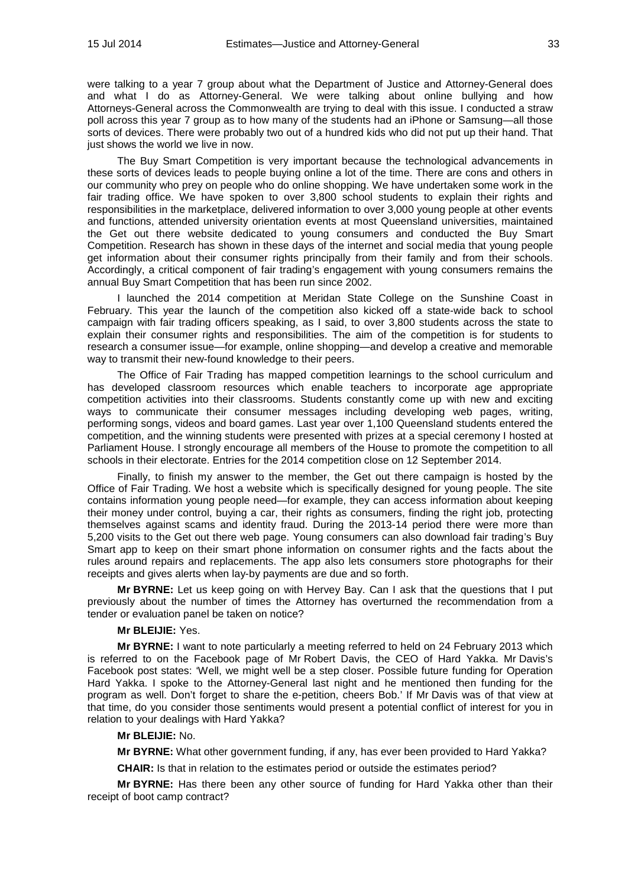were talking to a year 7 group about what the Department of Justice and Attorney-General does and what I do as Attorney-General. We were talking about online bullying and how Attorneys-General across the Commonwealth are trying to deal with this issue. I conducted a straw poll across this year 7 group as to how many of the students had an iPhone or Samsung—all those sorts of devices. There were probably two out of a hundred kids who did not put up their hand. That just shows the world we live in now.

The Buy Smart Competition is very important because the technological advancements in these sorts of devices leads to people buying online a lot of the time. There are cons and others in our community who prey on people who do online shopping. We have undertaken some work in the fair trading office. We have spoken to over 3,800 school students to explain their rights and responsibilities in the marketplace, delivered information to over 3,000 young people at other events and functions, attended university orientation events at most Queensland universities, maintained the Get out there website dedicated to young consumers and conducted the Buy Smart Competition. Research has shown in these days of the internet and social media that young people get information about their consumer rights principally from their family and from their schools. Accordingly, a critical component of fair trading's engagement with young consumers remains the annual Buy Smart Competition that has been run since 2002.

I launched the 2014 competition at Meridan State College on the Sunshine Coast in February. This year the launch of the competition also kicked off a state-wide back to school campaign with fair trading officers speaking, as I said, to over 3,800 students across the state to explain their consumer rights and responsibilities. The aim of the competition is for students to research a consumer issue—for example, online shopping—and develop a creative and memorable way to transmit their new-found knowledge to their peers.

The Office of Fair Trading has mapped competition learnings to the school curriculum and has developed classroom resources which enable teachers to incorporate age appropriate competition activities into their classrooms. Students constantly come up with new and exciting ways to communicate their consumer messages including developing web pages, writing, performing songs, videos and board games. Last year over 1,100 Queensland students entered the competition, and the winning students were presented with prizes at a special ceremony I hosted at Parliament House. I strongly encourage all members of the House to promote the competition to all schools in their electorate. Entries for the 2014 competition close on 12 September 2014.

Finally, to finish my answer to the member, the Get out there campaign is hosted by the Office of Fair Trading. We host a website which is specifically designed for young people. The site contains information young people need—for example, they can access information about keeping their money under control, buying a car, their rights as consumers, finding the right job, protecting themselves against scams and identity fraud. During the 2013-14 period there were more than 5,200 visits to the Get out there web page. Young consumers can also download fair trading's Buy Smart app to keep on their smart phone information on consumer rights and the facts about the rules around repairs and replacements. The app also lets consumers store photographs for their receipts and gives alerts when lay-by payments are due and so forth.

**Mr BYRNE:** Let us keep going on with Hervey Bay. Can I ask that the questions that I put previously about the number of times the Attorney has overturned the recommendation from a tender or evaluation panel be taken on notice?

## **Mr BLEIJIE:** Yes.

**Mr BYRNE:** I want to note particularly a meeting referred to held on 24 February 2013 which is referred to on the Facebook page of Mr Robert Davis, the CEO of Hard Yakka. Mr Davis's Facebook post states: 'Well, we might well be a step closer. Possible future funding for Operation Hard Yakka. I spoke to the Attorney-General last night and he mentioned then funding for the program as well. Don't forget to share the e-petition, cheers Bob.' If Mr Davis was of that view at that time, do you consider those sentiments would present a potential conflict of interest for you in relation to your dealings with Hard Yakka?

#### **Mr BLEIJIE:** No.

**Mr BYRNE:** What other government funding, if any, has ever been provided to Hard Yakka?

**CHAIR:** Is that in relation to the estimates period or outside the estimates period?

**Mr BYRNE:** Has there been any other source of funding for Hard Yakka other than their receipt of boot camp contract?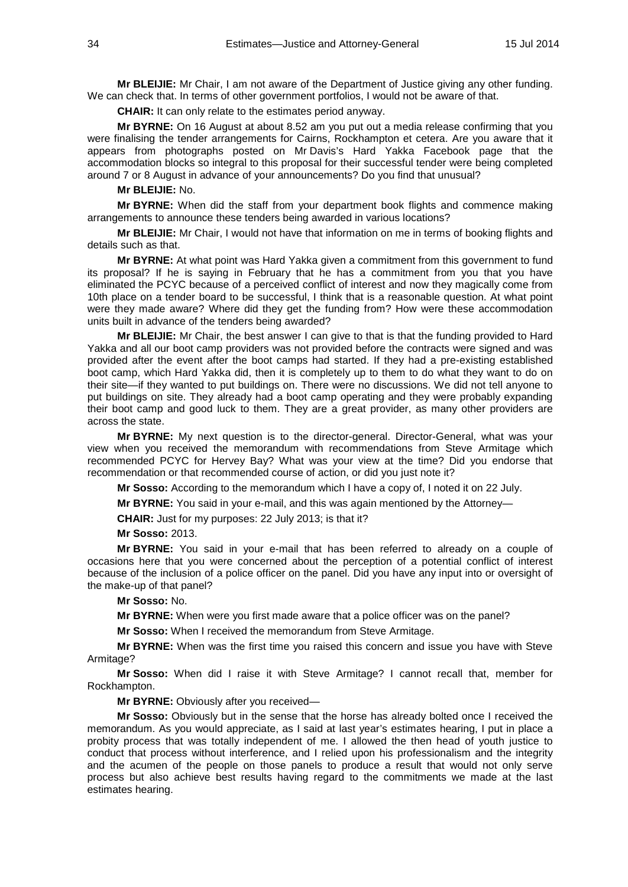**Mr BLEIJIE:** Mr Chair, I am not aware of the Department of Justice giving any other funding. We can check that. In terms of other government portfolios, I would not be aware of that.

**CHAIR:** It can only relate to the estimates period anyway.

**Mr BYRNE:** On 16 August at about 8.52 am you put out a media release confirming that you were finalising the tender arrangements for Cairns, Rockhampton et cetera. Are you aware that it appears from photographs posted on Mr Davis's Hard Yakka Facebook page that the accommodation blocks so integral to this proposal for their successful tender were being completed around 7 or 8 August in advance of your announcements? Do you find that unusual?

#### **Mr BLEIJIE:** No.

**Mr BYRNE:** When did the staff from your department book flights and commence making arrangements to announce these tenders being awarded in various locations?

**Mr BLEIJIE:** Mr Chair, I would not have that information on me in terms of booking flights and details such as that.

**Mr BYRNE:** At what point was Hard Yakka given a commitment from this government to fund its proposal? If he is saying in February that he has a commitment from you that you have eliminated the PCYC because of a perceived conflict of interest and now they magically come from 10th place on a tender board to be successful, I think that is a reasonable question. At what point were they made aware? Where did they get the funding from? How were these accommodation units built in advance of the tenders being awarded?

**Mr BLEIJIE:** Mr Chair, the best answer I can give to that is that the funding provided to Hard Yakka and all our boot camp providers was not provided before the contracts were signed and was provided after the event after the boot camps had started. If they had a pre-existing established boot camp, which Hard Yakka did, then it is completely up to them to do what they want to do on their site—if they wanted to put buildings on. There were no discussions. We did not tell anyone to put buildings on site. They already had a boot camp operating and they were probably expanding their boot camp and good luck to them. They are a great provider, as many other providers are across the state.

**Mr BYRNE:** My next question is to the director-general. Director-General, what was your view when you received the memorandum with recommendations from Steve Armitage which recommended PCYC for Hervey Bay? What was your view at the time? Did you endorse that recommendation or that recommended course of action, or did you just note it?

**Mr Sosso:** According to the memorandum which I have a copy of, I noted it on 22 July.

**Mr BYRNE:** You said in your e-mail, and this was again mentioned by the Attorney—

**CHAIR:** Just for my purposes: 22 July 2013; is that it?

**Mr Sosso:** 2013.

**Mr BYRNE:** You said in your e-mail that has been referred to already on a couple of occasions here that you were concerned about the perception of a potential conflict of interest because of the inclusion of a police officer on the panel. Did you have any input into or oversight of the make-up of that panel?

**Mr Sosso:** No.

**Mr BYRNE:** When were you first made aware that a police officer was on the panel?

**Mr Sosso:** When I received the memorandum from Steve Armitage.

**Mr BYRNE:** When was the first time you raised this concern and issue you have with Steve Armitage?

**Mr Sosso:** When did I raise it with Steve Armitage? I cannot recall that, member for Rockhampton.

**Mr BYRNE:** Obviously after you received—

**Mr Sosso:** Obviously but in the sense that the horse has already bolted once I received the memorandum. As you would appreciate, as I said at last year's estimates hearing, I put in place a probity process that was totally independent of me. I allowed the then head of youth justice to conduct that process without interference, and I relied upon his professionalism and the integrity and the acumen of the people on those panels to produce a result that would not only serve process but also achieve best results having regard to the commitments we made at the last estimates hearing.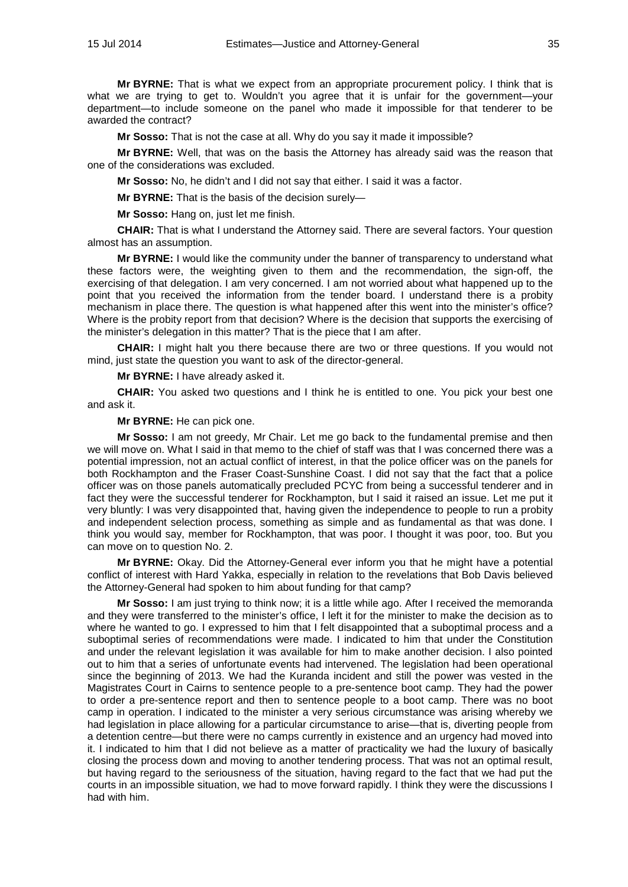**Mr BYRNE:** That is what we expect from an appropriate procurement policy. I think that is what we are trying to get to. Wouldn't you agree that it is unfair for the government—your department—to include someone on the panel who made it impossible for that tenderer to be awarded the contract?

**Mr Sosso:** That is not the case at all. Why do you say it made it impossible?

**Mr BYRNE:** Well, that was on the basis the Attorney has already said was the reason that one of the considerations was excluded.

**Mr Sosso:** No, he didn't and I did not say that either. I said it was a factor.

**Mr BYRNE:** That is the basis of the decision surely—

**Mr Sosso:** Hang on, just let me finish.

**CHAIR:** That is what I understand the Attorney said. There are several factors. Your question almost has an assumption.

**Mr BYRNE:** I would like the community under the banner of transparency to understand what these factors were, the weighting given to them and the recommendation, the sign-off, the exercising of that delegation. I am very concerned. I am not worried about what happened up to the point that you received the information from the tender board. I understand there is a probity mechanism in place there. The question is what happened after this went into the minister's office? Where is the probity report from that decision? Where is the decision that supports the exercising of the minister's delegation in this matter? That is the piece that I am after.

**CHAIR:** I might halt you there because there are two or three questions. If you would not mind, just state the question you want to ask of the director-general.

**Mr BYRNE:** I have already asked it.

**CHAIR:** You asked two questions and I think he is entitled to one. You pick your best one and ask it.

**Mr BYRNE:** He can pick one.

**Mr Sosso:** I am not greedy, Mr Chair. Let me go back to the fundamental premise and then we will move on. What I said in that memo to the chief of staff was that I was concerned there was a potential impression, not an actual conflict of interest, in that the police officer was on the panels for both Rockhampton and the Fraser Coast-Sunshine Coast. I did not say that the fact that a police officer was on those panels automatically precluded PCYC from being a successful tenderer and in fact they were the successful tenderer for Rockhampton, but I said it raised an issue. Let me put it very bluntly: I was very disappointed that, having given the independence to people to run a probity and independent selection process, something as simple and as fundamental as that was done. I think you would say, member for Rockhampton, that was poor. I thought it was poor, too. But you can move on to question No. 2.

**Mr BYRNE:** Okay. Did the Attorney-General ever inform you that he might have a potential conflict of interest with Hard Yakka, especially in relation to the revelations that Bob Davis believed the Attorney-General had spoken to him about funding for that camp?

**Mr Sosso:** I am just trying to think now; it is a little while ago. After I received the memoranda and they were transferred to the minister's office, I left it for the minister to make the decision as to where he wanted to go. I expressed to him that I felt disappointed that a suboptimal process and a suboptimal series of recommendations were made. I indicated to him that under the Constitution and under the relevant legislation it was available for him to make another decision. I also pointed out to him that a series of unfortunate events had intervened. The legislation had been operational since the beginning of 2013. We had the Kuranda incident and still the power was vested in the Magistrates Court in Cairns to sentence people to a pre-sentence boot camp. They had the power to order a pre-sentence report and then to sentence people to a boot camp. There was no boot camp in operation. I indicated to the minister a very serious circumstance was arising whereby we had legislation in place allowing for a particular circumstance to arise—that is, diverting people from a detention centre—but there were no camps currently in existence and an urgency had moved into it. I indicated to him that I did not believe as a matter of practicality we had the luxury of basically closing the process down and moving to another tendering process. That was not an optimal result, but having regard to the seriousness of the situation, having regard to the fact that we had put the courts in an impossible situation, we had to move forward rapidly. I think they were the discussions I had with him.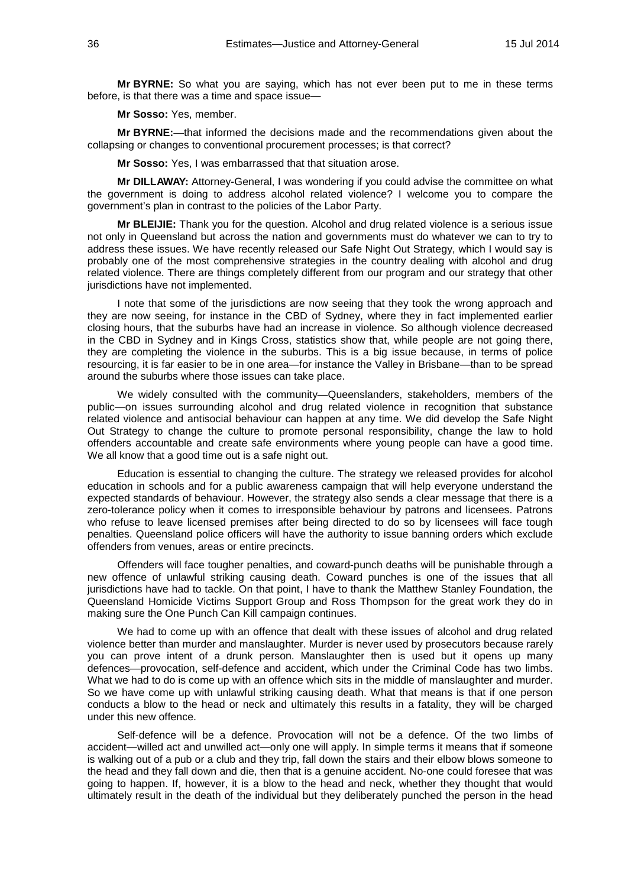**Mr BYRNE:** So what you are saying, which has not ever been put to me in these terms before, is that there was a time and space issue—

**Mr Sosso:** Yes, member.

**Mr BYRNE:**—that informed the decisions made and the recommendations given about the collapsing or changes to conventional procurement processes; is that correct?

**Mr Sosso:** Yes, I was embarrassed that that situation arose.

**Mr DILLAWAY:** Attorney-General, I was wondering if you could advise the committee on what the government is doing to address alcohol related violence? I welcome you to compare the government's plan in contrast to the policies of the Labor Party.

**Mr BLEIJIE:** Thank you for the question. Alcohol and drug related violence is a serious issue not only in Queensland but across the nation and governments must do whatever we can to try to address these issues. We have recently released our Safe Night Out Strategy, which I would say is probably one of the most comprehensive strategies in the country dealing with alcohol and drug related violence. There are things completely different from our program and our strategy that other jurisdictions have not implemented.

I note that some of the jurisdictions are now seeing that they took the wrong approach and they are now seeing, for instance in the CBD of Sydney, where they in fact implemented earlier closing hours, that the suburbs have had an increase in violence. So although violence decreased in the CBD in Sydney and in Kings Cross, statistics show that, while people are not going there, they are completing the violence in the suburbs. This is a big issue because, in terms of police resourcing, it is far easier to be in one area—for instance the Valley in Brisbane—than to be spread around the suburbs where those issues can take place.

We widely consulted with the community—Queenslanders, stakeholders, members of the public—on issues surrounding alcohol and drug related violence in recognition that substance related violence and antisocial behaviour can happen at any time. We did develop the Safe Night Out Strategy to change the culture to promote personal responsibility, change the law to hold offenders accountable and create safe environments where young people can have a good time. We all know that a good time out is a safe night out.

Education is essential to changing the culture. The strategy we released provides for alcohol education in schools and for a public awareness campaign that will help everyone understand the expected standards of behaviour. However, the strategy also sends a clear message that there is a zero-tolerance policy when it comes to irresponsible behaviour by patrons and licensees. Patrons who refuse to leave licensed premises after being directed to do so by licensees will face tough penalties. Queensland police officers will have the authority to issue banning orders which exclude offenders from venues, areas or entire precincts.

Offenders will face tougher penalties, and coward-punch deaths will be punishable through a new offence of unlawful striking causing death. Coward punches is one of the issues that all jurisdictions have had to tackle. On that point, I have to thank the Matthew Stanley Foundation, the Queensland Homicide Victims Support Group and Ross Thompson for the great work they do in making sure the One Punch Can Kill campaign continues.

We had to come up with an offence that dealt with these issues of alcohol and drug related violence better than murder and manslaughter. Murder is never used by prosecutors because rarely you can prove intent of a drunk person. Manslaughter then is used but it opens up many defences—provocation, self-defence and accident, which under the Criminal Code has two limbs. What we had to do is come up with an offence which sits in the middle of manslaughter and murder. So we have come up with unlawful striking causing death. What that means is that if one person conducts a blow to the head or neck and ultimately this results in a fatality, they will be charged under this new offence.

Self-defence will be a defence. Provocation will not be a defence. Of the two limbs of accident—willed act and unwilled act—only one will apply. In simple terms it means that if someone is walking out of a pub or a club and they trip, fall down the stairs and their elbow blows someone to the head and they fall down and die, then that is a genuine accident. No-one could foresee that was going to happen. If, however, it is a blow to the head and neck, whether they thought that would ultimately result in the death of the individual but they deliberately punched the person in the head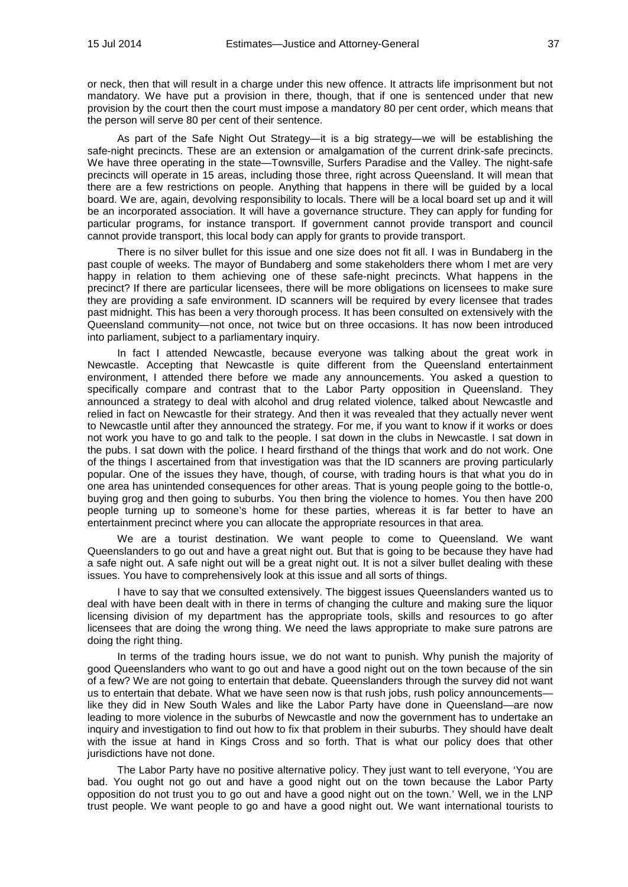or neck, then that will result in a charge under this new offence. It attracts life imprisonment but not mandatory. We have put a provision in there, though, that if one is sentenced under that new provision by the court then the court must impose a mandatory 80 per cent order, which means that the person will serve 80 per cent of their sentence.

As part of the Safe Night Out Strategy—it is a big strategy—we will be establishing the safe-night precincts. These are an extension or amalgamation of the current drink-safe precincts. We have three operating in the state—Townsville, Surfers Paradise and the Valley. The night-safe precincts will operate in 15 areas, including those three, right across Queensland. It will mean that there are a few restrictions on people. Anything that happens in there will be guided by a local board. We are, again, devolving responsibility to locals. There will be a local board set up and it will be an incorporated association. It will have a governance structure. They can apply for funding for particular programs, for instance transport. If government cannot provide transport and council cannot provide transport, this local body can apply for grants to provide transport.

There is no silver bullet for this issue and one size does not fit all. I was in Bundaberg in the past couple of weeks. The mayor of Bundaberg and some stakeholders there whom I met are very happy in relation to them achieving one of these safe-night precincts. What happens in the precinct? If there are particular licensees, there will be more obligations on licensees to make sure they are providing a safe environment. ID scanners will be required by every licensee that trades past midnight. This has been a very thorough process. It has been consulted on extensively with the Queensland community—not once, not twice but on three occasions. It has now been introduced into parliament, subject to a parliamentary inquiry.

In fact I attended Newcastle, because everyone was talking about the great work in Newcastle. Accepting that Newcastle is quite different from the Queensland entertainment environment, I attended there before we made any announcements. You asked a question to specifically compare and contrast that to the Labor Party opposition in Queensland. They announced a strategy to deal with alcohol and drug related violence, talked about Newcastle and relied in fact on Newcastle for their strategy. And then it was revealed that they actually never went to Newcastle until after they announced the strategy. For me, if you want to know if it works or does not work you have to go and talk to the people. I sat down in the clubs in Newcastle. I sat down in the pubs. I sat down with the police. I heard firsthand of the things that work and do not work. One of the things I ascertained from that investigation was that the ID scanners are proving particularly popular. One of the issues they have, though, of course, with trading hours is that what you do in one area has unintended consequences for other areas. That is young people going to the bottle-o, buying grog and then going to suburbs. You then bring the violence to homes. You then have 200 people turning up to someone's home for these parties, whereas it is far better to have an entertainment precinct where you can allocate the appropriate resources in that area.

We are a tourist destination. We want people to come to Queensland. We want Queenslanders to go out and have a great night out. But that is going to be because they have had a safe night out. A safe night out will be a great night out. It is not a silver bullet dealing with these issues. You have to comprehensively look at this issue and all sorts of things.

I have to say that we consulted extensively. The biggest issues Queenslanders wanted us to deal with have been dealt with in there in terms of changing the culture and making sure the liquor licensing division of my department has the appropriate tools, skills and resources to go after licensees that are doing the wrong thing. We need the laws appropriate to make sure patrons are doing the right thing.

In terms of the trading hours issue, we do not want to punish. Why punish the majority of good Queenslanders who want to go out and have a good night out on the town because of the sin of a few? We are not going to entertain that debate. Queenslanders through the survey did not want us to entertain that debate. What we have seen now is that rush jobs, rush policy announcements like they did in New South Wales and like the Labor Party have done in Queensland—are now leading to more violence in the suburbs of Newcastle and now the government has to undertake an inquiry and investigation to find out how to fix that problem in their suburbs. They should have dealt with the issue at hand in Kings Cross and so forth. That is what our policy does that other jurisdictions have not done.

The Labor Party have no positive alternative policy. They just want to tell everyone, 'You are bad. You ought not go out and have a good night out on the town because the Labor Party opposition do not trust you to go out and have a good night out on the town.' Well, we in the LNP trust people. We want people to go and have a good night out. We want international tourists to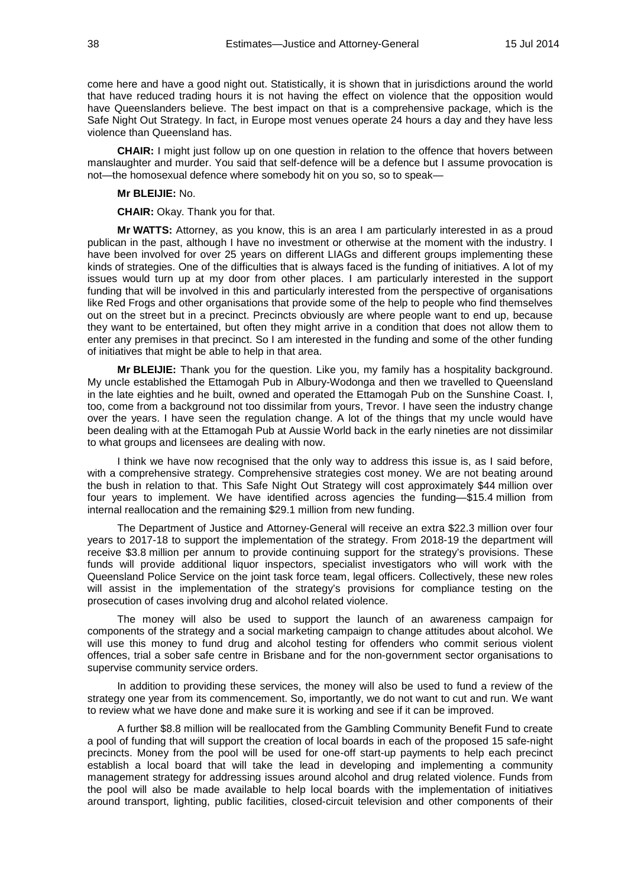come here and have a good night out. Statistically, it is shown that in jurisdictions around the world that have reduced trading hours it is not having the effect on violence that the opposition would have Queenslanders believe. The best impact on that is a comprehensive package, which is the Safe Night Out Strategy. In fact, in Europe most venues operate 24 hours a day and they have less violence than Queensland has.

**CHAIR:** I might just follow up on one question in relation to the offence that hovers between manslaughter and murder. You said that self-defence will be a defence but I assume provocation is not—the homosexual defence where somebody hit on you so, so to speak—

## **Mr BLEIJIE:** No.

**CHAIR:** Okay. Thank you for that.

**Mr WATTS:** Attorney, as you know, this is an area I am particularly interested in as a proud publican in the past, although I have no investment or otherwise at the moment with the industry. I have been involved for over 25 years on different LIAGs and different groups implementing these kinds of strategies. One of the difficulties that is always faced is the funding of initiatives. A lot of my issues would turn up at my door from other places. I am particularly interested in the support funding that will be involved in this and particularly interested from the perspective of organisations like Red Frogs and other organisations that provide some of the help to people who find themselves out on the street but in a precinct. Precincts obviously are where people want to end up, because they want to be entertained, but often they might arrive in a condition that does not allow them to enter any premises in that precinct. So I am interested in the funding and some of the other funding of initiatives that might be able to help in that area.

**Mr BLEIJIE:** Thank you for the question. Like you, my family has a hospitality background. My uncle established the Ettamogah Pub in Albury-Wodonga and then we travelled to Queensland in the late eighties and he built, owned and operated the Ettamogah Pub on the Sunshine Coast. I, too, come from a background not too dissimilar from yours, Trevor. I have seen the industry change over the years. I have seen the regulation change. A lot of the things that my uncle would have been dealing with at the Ettamogah Pub at Aussie World back in the early nineties are not dissimilar to what groups and licensees are dealing with now.

I think we have now recognised that the only way to address this issue is, as I said before, with a comprehensive strategy. Comprehensive strategies cost money. We are not beating around the bush in relation to that. This Safe Night Out Strategy will cost approximately \$44 million over four years to implement. We have identified across agencies the funding—\$15.4 million from internal reallocation and the remaining \$29.1 million from new funding.

The Department of Justice and Attorney-General will receive an extra \$22.3 million over four years to 2017-18 to support the implementation of the strategy. From 2018-19 the department will receive \$3.8 million per annum to provide continuing support for the strategy's provisions. These funds will provide additional liquor inspectors, specialist investigators who will work with the Queensland Police Service on the joint task force team, legal officers. Collectively, these new roles will assist in the implementation of the strategy's provisions for compliance testing on the prosecution of cases involving drug and alcohol related violence.

The money will also be used to support the launch of an awareness campaign for components of the strategy and a social marketing campaign to change attitudes about alcohol. We will use this money to fund drug and alcohol testing for offenders who commit serious violent offences, trial a sober safe centre in Brisbane and for the non-government sector organisations to supervise community service orders.

In addition to providing these services, the money will also be used to fund a review of the strategy one year from its commencement. So, importantly, we do not want to cut and run. We want to review what we have done and make sure it is working and see if it can be improved.

A further \$8.8 million will be reallocated from the Gambling Community Benefit Fund to create a pool of funding that will support the creation of local boards in each of the proposed 15 safe-night precincts. Money from the pool will be used for one-off start-up payments to help each precinct establish a local board that will take the lead in developing and implementing a community management strategy for addressing issues around alcohol and drug related violence. Funds from the pool will also be made available to help local boards with the implementation of initiatives around transport, lighting, public facilities, closed-circuit television and other components of their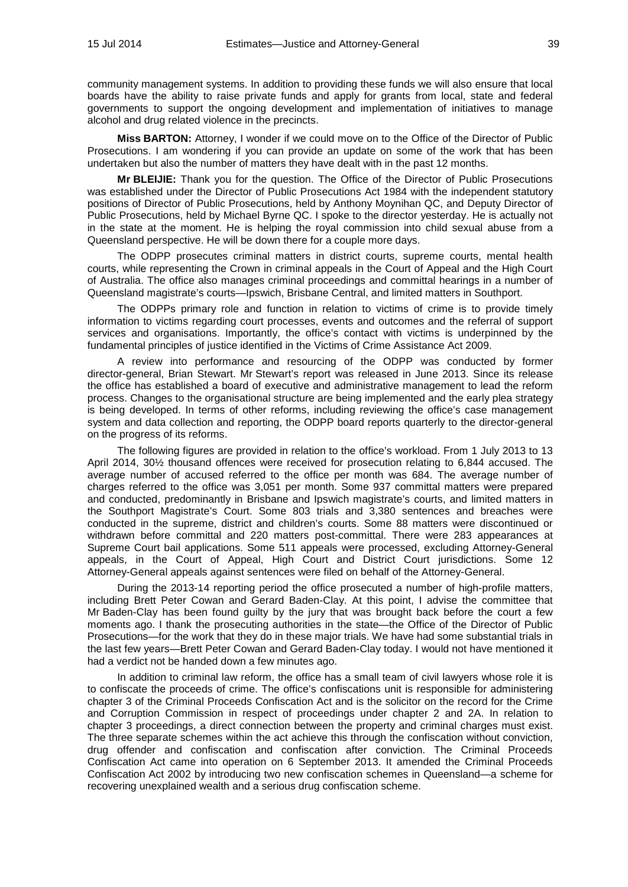community management systems. In addition to providing these funds we will also ensure that local boards have the ability to raise private funds and apply for grants from local, state and federal governments to support the ongoing development and implementation of initiatives to manage alcohol and drug related violence in the precincts.

**Miss BARTON:** Attorney, I wonder if we could move on to the Office of the Director of Public Prosecutions. I am wondering if you can provide an update on some of the work that has been undertaken but also the number of matters they have dealt with in the past 12 months.

**Mr BLEIJIE:** Thank you for the question. The Office of the Director of Public Prosecutions was established under the Director of Public Prosecutions Act 1984 with the independent statutory positions of Director of Public Prosecutions, held by Anthony Moynihan QC, and Deputy Director of Public Prosecutions, held by Michael Byrne QC. I spoke to the director yesterday. He is actually not in the state at the moment. He is helping the royal commission into child sexual abuse from a Queensland perspective. He will be down there for a couple more days.

The ODPP prosecutes criminal matters in district courts, supreme courts, mental health courts, while representing the Crown in criminal appeals in the Court of Appeal and the High Court of Australia. The office also manages criminal proceedings and committal hearings in a number of Queensland magistrate's courts—Ipswich, Brisbane Central, and limited matters in Southport.

The ODPPs primary role and function in relation to victims of crime is to provide timely information to victims regarding court processes, events and outcomes and the referral of support services and organisations. Importantly, the office's contact with victims is underpinned by the fundamental principles of justice identified in the Victims of Crime Assistance Act 2009.

A review into performance and resourcing of the ODPP was conducted by former director-general, Brian Stewart. Mr Stewart's report was released in June 2013. Since its release the office has established a board of executive and administrative management to lead the reform process. Changes to the organisational structure are being implemented and the early plea strategy is being developed. In terms of other reforms, including reviewing the office's case management system and data collection and reporting, the ODPP board reports quarterly to the director-general on the progress of its reforms.

The following figures are provided in relation to the office's workload. From 1 July 2013 to 13 April 2014, 30½ thousand offences were received for prosecution relating to 6,844 accused. The average number of accused referred to the office per month was 684. The average number of charges referred to the office was 3,051 per month. Some 937 committal matters were prepared and conducted, predominantly in Brisbane and Ipswich magistrate's courts, and limited matters in the Southport Magistrate's Court. Some 803 trials and 3,380 sentences and breaches were conducted in the supreme, district and children's courts. Some 88 matters were discontinued or withdrawn before committal and 220 matters post-committal. There were 283 appearances at Supreme Court bail applications. Some 511 appeals were processed, excluding Attorney-General appeals, in the Court of Appeal, High Court and District Court jurisdictions. Some 12 Attorney-General appeals against sentences were filed on behalf of the Attorney-General.

During the 2013-14 reporting period the office prosecuted a number of high-profile matters, including Brett Peter Cowan and Gerard Baden-Clay. At this point, I advise the committee that Mr Baden-Clay has been found guilty by the jury that was brought back before the court a few moments ago. I thank the prosecuting authorities in the state—the Office of the Director of Public Prosecutions—for the work that they do in these major trials. We have had some substantial trials in the last few years—Brett Peter Cowan and Gerard Baden-Clay today. I would not have mentioned it had a verdict not be handed down a few minutes ago.

In addition to criminal law reform, the office has a small team of civil lawyers whose role it is to confiscate the proceeds of crime. The office's confiscations unit is responsible for administering chapter 3 of the Criminal Proceeds Confiscation Act and is the solicitor on the record for the Crime and Corruption Commission in respect of proceedings under chapter 2 and 2A. In relation to chapter 3 proceedings, a direct connection between the property and criminal charges must exist. The three separate schemes within the act achieve this through the confiscation without conviction, drug offender and confiscation and confiscation after conviction. The Criminal Proceeds Confiscation Act came into operation on 6 September 2013. It amended the Criminal Proceeds Confiscation Act 2002 by introducing two new confiscation schemes in Queensland—a scheme for recovering unexplained wealth and a serious drug confiscation scheme.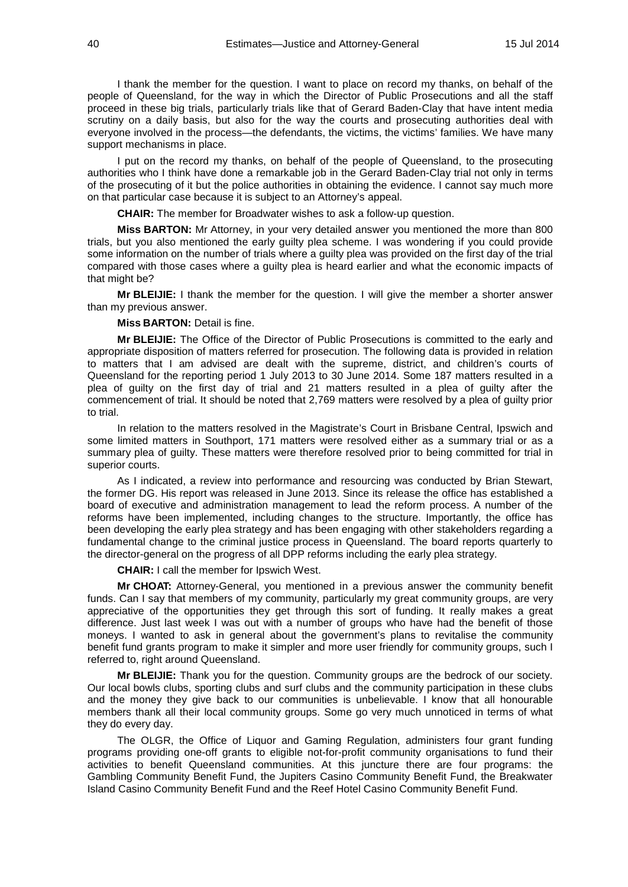I thank the member for the question. I want to place on record my thanks, on behalf of the people of Queensland, for the way in which the Director of Public Prosecutions and all the staff proceed in these big trials, particularly trials like that of Gerard Baden-Clay that have intent media scrutiny on a daily basis, but also for the way the courts and prosecuting authorities deal with everyone involved in the process—the defendants, the victims, the victims' families. We have many support mechanisms in place.

I put on the record my thanks, on behalf of the people of Queensland, to the prosecuting authorities who I think have done a remarkable job in the Gerard Baden-Clay trial not only in terms of the prosecuting of it but the police authorities in obtaining the evidence. I cannot say much more on that particular case because it is subject to an Attorney's appeal.

**CHAIR:** The member for Broadwater wishes to ask a follow-up question.

**Miss BARTON:** Mr Attorney, in your very detailed answer you mentioned the more than 800 trials, but you also mentioned the early guilty plea scheme. I was wondering if you could provide some information on the number of trials where a guilty plea was provided on the first day of the trial compared with those cases where a guilty plea is heard earlier and what the economic impacts of that might be?

**Mr BLEIJIE:** I thank the member for the question. I will give the member a shorter answer than my previous answer.

### **Miss BARTON:** Detail is fine.

**Mr BLEIJIE:** The Office of the Director of Public Prosecutions is committed to the early and appropriate disposition of matters referred for prosecution. The following data is provided in relation to matters that I am advised are dealt with the supreme, district, and children's courts of Queensland for the reporting period 1 July 2013 to 30 June 2014. Some 187 matters resulted in a plea of guilty on the first day of trial and 21 matters resulted in a plea of guilty after the commencement of trial. It should be noted that 2,769 matters were resolved by a plea of guilty prior to trial.

In relation to the matters resolved in the Magistrate's Court in Brisbane Central, Ipswich and some limited matters in Southport, 171 matters were resolved either as a summary trial or as a summary plea of guilty. These matters were therefore resolved prior to being committed for trial in superior courts.

As I indicated, a review into performance and resourcing was conducted by Brian Stewart, the former DG. His report was released in June 2013. Since its release the office has established a board of executive and administration management to lead the reform process. A number of the reforms have been implemented, including changes to the structure. Importantly, the office has been developing the early plea strategy and has been engaging with other stakeholders regarding a fundamental change to the criminal justice process in Queensland. The board reports quarterly to the director-general on the progress of all DPP reforms including the early plea strategy.

**CHAIR:** I call the member for Ipswich West.

**Mr CHOAT:** Attorney-General, you mentioned in a previous answer the community benefit funds. Can I say that members of my community, particularly my great community groups, are very appreciative of the opportunities they get through this sort of funding. It really makes a great difference. Just last week I was out with a number of groups who have had the benefit of those moneys. I wanted to ask in general about the government's plans to revitalise the community benefit fund grants program to make it simpler and more user friendly for community groups, such I referred to, right around Queensland.

**Mr BLEIJIE:** Thank you for the question. Community groups are the bedrock of our society. Our local bowls clubs, sporting clubs and surf clubs and the community participation in these clubs and the money they give back to our communities is unbelievable. I know that all honourable members thank all their local community groups. Some go very much unnoticed in terms of what they do every day.

The OLGR, the Office of Liquor and Gaming Regulation, administers four grant funding programs providing one-off grants to eligible not-for-profit community organisations to fund their activities to benefit Queensland communities. At this juncture there are four programs: the Gambling Community Benefit Fund, the Jupiters Casino Community Benefit Fund, the Breakwater Island Casino Community Benefit Fund and the Reef Hotel Casino Community Benefit Fund.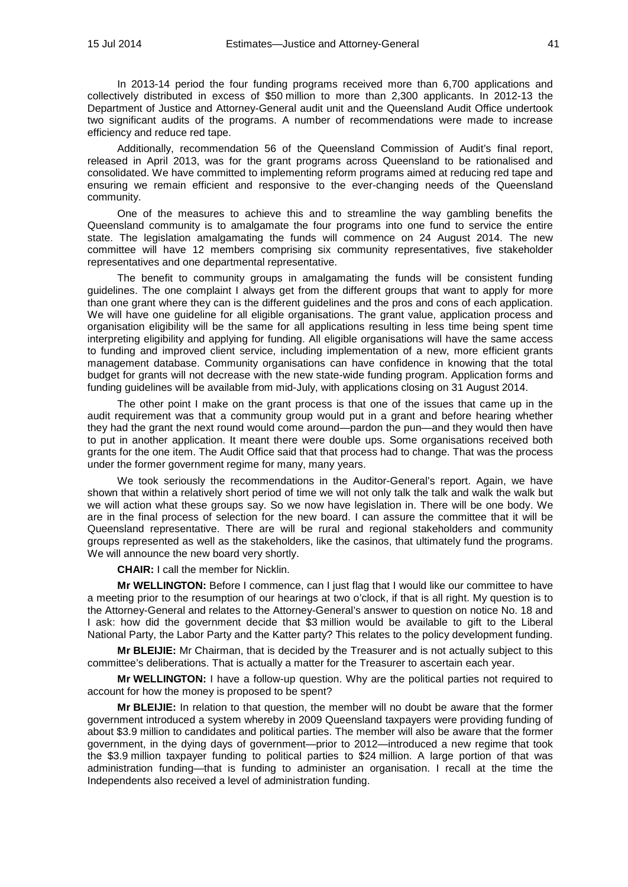In 2013-14 period the four funding programs received more than 6,700 applications and collectively distributed in excess of \$50 million to more than 2,300 applicants. In 2012-13 the Department of Justice and Attorney-General audit unit and the Queensland Audit Office undertook two significant audits of the programs. A number of recommendations were made to increase efficiency and reduce red tape.

Additionally, recommendation 56 of the Queensland Commission of Audit's final report, released in April 2013, was for the grant programs across Queensland to be rationalised and consolidated. We have committed to implementing reform programs aimed at reducing red tape and ensuring we remain efficient and responsive to the ever-changing needs of the Queensland community.

One of the measures to achieve this and to streamline the way gambling benefits the Queensland community is to amalgamate the four programs into one fund to service the entire state. The legislation amalgamating the funds will commence on 24 August 2014. The new committee will have 12 members comprising six community representatives, five stakeholder representatives and one departmental representative.

The benefit to community groups in amalgamating the funds will be consistent funding guidelines. The one complaint I always get from the different groups that want to apply for more than one grant where they can is the different guidelines and the pros and cons of each application. We will have one guideline for all eligible organisations. The grant value, application process and organisation eligibility will be the same for all applications resulting in less time being spent time interpreting eligibility and applying for funding. All eligible organisations will have the same access to funding and improved client service, including implementation of a new, more efficient grants management database. Community organisations can have confidence in knowing that the total budget for grants will not decrease with the new state-wide funding program. Application forms and funding guidelines will be available from mid-July, with applications closing on 31 August 2014.

The other point I make on the grant process is that one of the issues that came up in the audit requirement was that a community group would put in a grant and before hearing whether they had the grant the next round would come around—pardon the pun—and they would then have to put in another application. It meant there were double ups. Some organisations received both grants for the one item. The Audit Office said that that process had to change. That was the process under the former government regime for many, many years.

We took seriously the recommendations in the Auditor-General's report. Again, we have shown that within a relatively short period of time we will not only talk the talk and walk the walk but we will action what these groups say. So we now have legislation in. There will be one body. We are in the final process of selection for the new board. I can assure the committee that it will be Queensland representative. There are will be rural and regional stakeholders and community groups represented as well as the stakeholders, like the casinos, that ultimately fund the programs. We will announce the new board very shortly.

**CHAIR:** I call the member for Nicklin.

**Mr WELLINGTON:** Before I commence, can I just flag that I would like our committee to have a meeting prior to the resumption of our hearings at two o'clock, if that is all right. My question is to the Attorney-General and relates to the Attorney-General's answer to question on notice No. 18 and I ask: how did the government decide that \$3 million would be available to gift to the Liberal National Party, the Labor Party and the Katter party? This relates to the policy development funding.

**Mr BLEIJIE:** Mr Chairman, that is decided by the Treasurer and is not actually subject to this committee's deliberations. That is actually a matter for the Treasurer to ascertain each year.

**Mr WELLINGTON:** I have a follow-up question. Why are the political parties not required to account for how the money is proposed to be spent?

**Mr BLEIJIE:** In relation to that question, the member will no doubt be aware that the former government introduced a system whereby in 2009 Queensland taxpayers were providing funding of about \$3.9 million to candidates and political parties. The member will also be aware that the former government, in the dying days of government—prior to 2012—introduced a new regime that took the \$3.9 million taxpayer funding to political parties to \$24 million. A large portion of that was administration funding—that is funding to administer an organisation. I recall at the time the Independents also received a level of administration funding.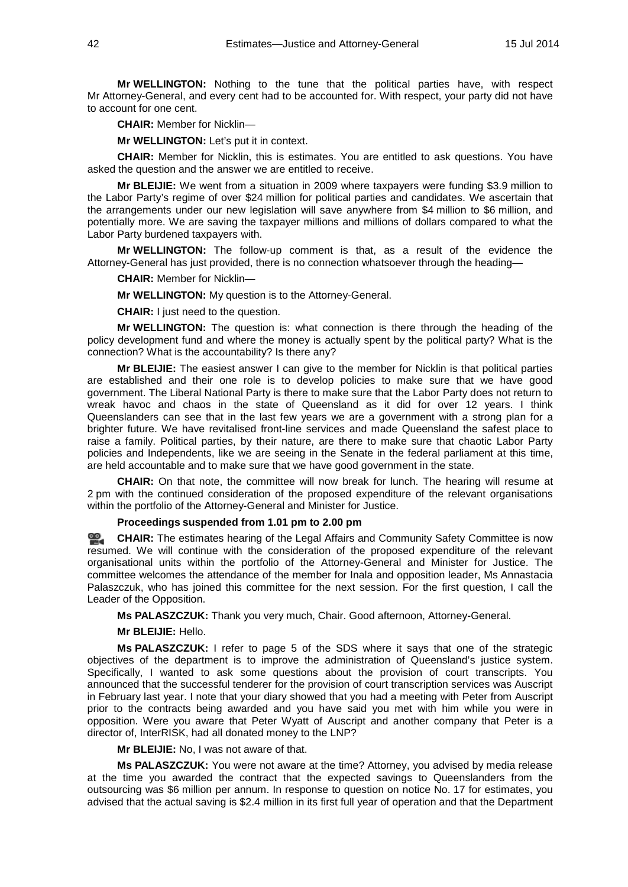**Mr WELLINGTON:** Nothing to the tune that the political parties have, with respect Mr Attorney-General, and every cent had to be accounted for. With respect, your party did not have to account for one cent.

**CHAIR:** Member for Nicklin—

**Mr WELLINGTON:** Let's put it in context.

**CHAIR:** Member for Nicklin, this is estimates. You are entitled to ask questions. You have asked the question and the answer we are entitled to receive.

**Mr BLEIJIE:** We went from a situation in 2009 where taxpayers were funding \$3.9 million to the Labor Party's regime of over \$24 million for political parties and candidates. We ascertain that the arrangements under our new legislation will save anywhere from \$4 million to \$6 million, and potentially more. We are saving the taxpayer millions and millions of dollars compared to what the Labor Party burdened taxpayers with.

**Mr WELLINGTON:** The follow-up comment is that, as a result of the evidence the Attorney-General has just provided, there is no connection whatsoever through the heading—

**CHAIR:** Member for Nicklin—

**Mr WELLINGTON:** My question is to the Attorney-General.

**CHAIR:** I just need to the question.

**Mr WELLINGTON:** The question is: what connection is there through the heading of the policy development fund and where the money is actually spent by the political party? What is the connection? What is the accountability? Is there any?

**Mr BLEIJIE:** The easiest answer I can give to the member for Nicklin is that political parties are established and their one role is to develop policies to make sure that we have good government. The Liberal National Party is there to make sure that the Labor Party does not return to wreak havoc and chaos in the state of Queensland as it did for over 12 years. I think Queenslanders can see that in the last few years we are a government with a strong plan for a brighter future. We have revitalised front-line services and made Queensland the safest place to raise a family. Political parties, by their nature, are there to make sure that chaotic Labor Party policies and Independents, like we are seeing in the Senate in the federal parliament at this time, are held accountable and to make sure that we have good government in the state.

**CHAIR:** On that note, the committee will now break for lunch. The hearing will resume at 2 pm with the continued consideration of the proposed expenditure of the relevant organisations within the portfolio of the Attorney-General and Minister for Justice.

**Proceedings suspended from 1.01 pm to 2.00 pm**

옆. **[CHAIR:](http://www.parliament.qld.gov.au/docs/find.aspx?id=0MbaLACSC20140715_140032)** The estimates hearing of the Legal Affairs and Community Safety Committee is now resumed. We will continue with the consideration of the proposed expenditure of the relevant organisational units within the portfolio of the Attorney-General and Minister for Justice. The committee welcomes the attendance of the member for Inala and opposition leader, Ms Annastacia Palaszczuk, who has joined this committee for the next session. For the first question, I call the Leader of the Opposition.

**Ms PALASZCZUK:** Thank you very much, Chair. Good afternoon, Attorney-General.

**Mr BLEIJIE:** Hello.

**Ms PALASZCZUK:** I refer to page 5 of the SDS where it says that one of the strategic objectives of the department is to improve the administration of Queensland's justice system. Specifically, I wanted to ask some questions about the provision of court transcripts. You announced that the successful tenderer for the provision of court transcription services was Auscript in February last year. I note that your diary showed that you had a meeting with Peter from Auscript prior to the contracts being awarded and you have said you met with him while you were in opposition. Were you aware that Peter Wyatt of Auscript and another company that Peter is a director of, InterRISK, had all donated money to the LNP?

**Mr BLEIJIE:** No, I was not aware of that.

**Ms PALASZCZUK:** You were not aware at the time? Attorney, you advised by media release at the time you awarded the contract that the expected savings to Queenslanders from the outsourcing was \$6 million per annum. In response to question on notice No. 17 for estimates, you advised that the actual saving is \$2.4 million in its first full year of operation and that the Department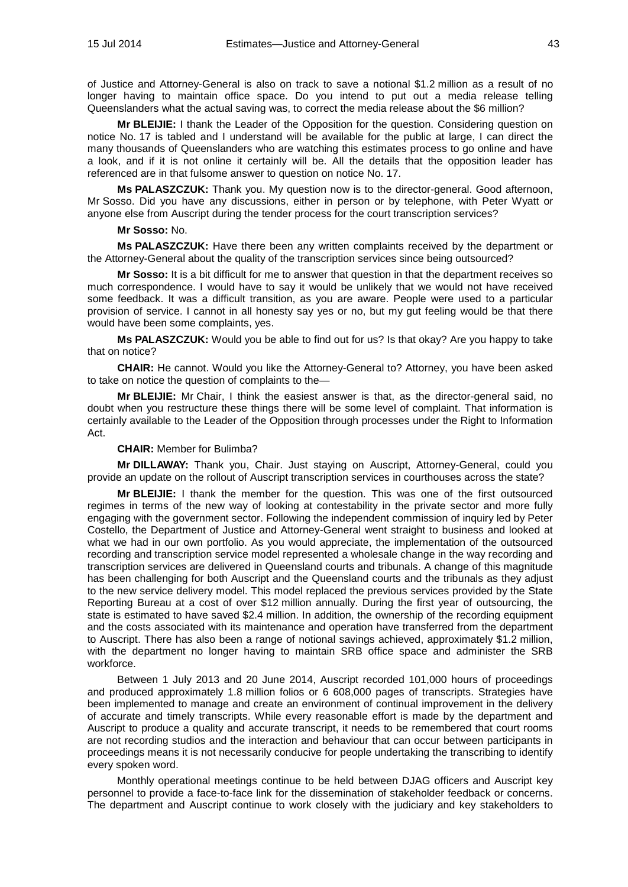of Justice and Attorney-General is also on track to save a notional \$1.2 million as a result of no longer having to maintain office space. Do you intend to put out a media release telling Queenslanders what the actual saving was, to correct the media release about the \$6 million?

**Mr BLEIJIE:** I thank the Leader of the Opposition for the question. Considering question on notice No. 17 is tabled and I understand will be available for the public at large, I can direct the many thousands of Queenslanders who are watching this estimates process to go online and have a look, and if it is not online it certainly will be. All the details that the opposition leader has referenced are in that fulsome answer to question on notice No. 17.

**Ms PALASZCZUK:** Thank you. My question now is to the director-general. Good afternoon, Mr Sosso. Did you have any discussions, either in person or by telephone, with Peter Wyatt or anyone else from Auscript during the tender process for the court transcription services?

#### **Mr Sosso:** No.

**Ms PALASZCZUK:** Have there been any written complaints received by the department or the Attorney-General about the quality of the transcription services since being outsourced?

**Mr Sosso:** It is a bit difficult for me to answer that question in that the department receives so much correspondence. I would have to say it would be unlikely that we would not have received some feedback. It was a difficult transition, as you are aware. People were used to a particular provision of service. I cannot in all honesty say yes or no, but my gut feeling would be that there would have been some complaints, yes.

**Ms PALASZCZUK:** Would you be able to find out for us? Is that okay? Are you happy to take that on notice?

**CHAIR:** He cannot. Would you like the Attorney-General to? Attorney, you have been asked to take on notice the question of complaints to the—

**Mr BLEIJIE:** Mr Chair, I think the easiest answer is that, as the director-general said, no doubt when you restructure these things there will be some level of complaint. That information is certainly available to the Leader of the Opposition through processes under the Right to Information Act.

### **CHAIR:** Member for Bulimba?

**Mr DILLAWAY:** Thank you, Chair. Just staying on Auscript, Attorney-General, could you provide an update on the rollout of Auscript transcription services in courthouses across the state?

**Mr BLEIJIE:** I thank the member for the question. This was one of the first outsourced regimes in terms of the new way of looking at contestability in the private sector and more fully engaging with the government sector. Following the independent commission of inquiry led by Peter Costello, the Department of Justice and Attorney-General went straight to business and looked at what we had in our own portfolio. As you would appreciate, the implementation of the outsourced recording and transcription service model represented a wholesale change in the way recording and transcription services are delivered in Queensland courts and tribunals. A change of this magnitude has been challenging for both Auscript and the Queensland courts and the tribunals as they adjust to the new service delivery model. This model replaced the previous services provided by the State Reporting Bureau at a cost of over \$12 million annually. During the first year of outsourcing, the state is estimated to have saved \$2.4 million. In addition, the ownership of the recording equipment and the costs associated with its maintenance and operation have transferred from the department to Auscript. There has also been a range of notional savings achieved, approximately \$1.2 million, with the department no longer having to maintain SRB office space and administer the SRB workforce.

Between 1 July 2013 and 20 June 2014, Auscript recorded 101,000 hours of proceedings and produced approximately 1.8 million folios or 6 608,000 pages of transcripts. Strategies have been implemented to manage and create an environment of continual improvement in the delivery of accurate and timely transcripts. While every reasonable effort is made by the department and Auscript to produce a quality and accurate transcript, it needs to be remembered that court rooms are not recording studios and the interaction and behaviour that can occur between participants in proceedings means it is not necessarily conducive for people undertaking the transcribing to identify every spoken word.

Monthly operational meetings continue to be held between DJAG officers and Auscript key personnel to provide a face-to-face link for the dissemination of stakeholder feedback or concerns. The department and Auscript continue to work closely with the judiciary and key stakeholders to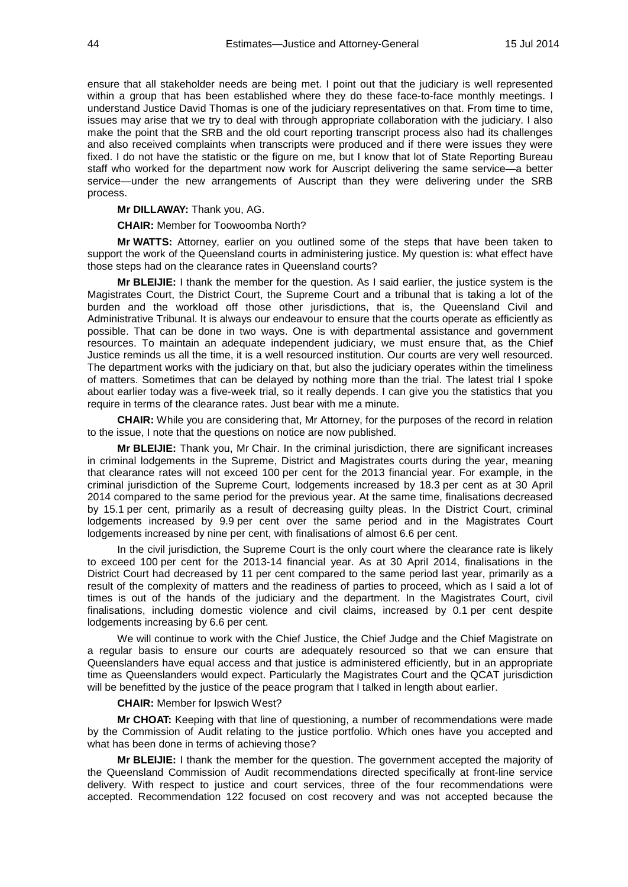ensure that all stakeholder needs are being met. I point out that the judiciary is well represented within a group that has been established where they do these face-to-face monthly meetings. I understand Justice David Thomas is one of the judiciary representatives on that. From time to time, issues may arise that we try to deal with through appropriate collaboration with the judiciary. I also make the point that the SRB and the old court reporting transcript process also had its challenges and also received complaints when transcripts were produced and if there were issues they were fixed. I do not have the statistic or the figure on me, but I know that lot of State Reporting Bureau staff who worked for the department now work for Auscript delivering the same service—a better service—under the new arrangements of Auscript than they were delivering under the SRB process.

**Mr DILLAWAY:** Thank you, AG.

**CHAIR:** Member for Toowoomba North?

**Mr WATTS:** Attorney, earlier on you outlined some of the steps that have been taken to support the work of the Queensland courts in administering justice. My question is: what effect have those steps had on the clearance rates in Queensland courts?

**Mr BLEIJIE:** I thank the member for the question. As I said earlier, the justice system is the Magistrates Court, the District Court, the Supreme Court and a tribunal that is taking a lot of the burden and the workload off those other jurisdictions, that is, the Queensland Civil and Administrative Tribunal. It is always our endeavour to ensure that the courts operate as efficiently as possible. That can be done in two ways. One is with departmental assistance and government resources. To maintain an adequate independent judiciary, we must ensure that, as the Chief Justice reminds us all the time, it is a well resourced institution. Our courts are very well resourced. The department works with the judiciary on that, but also the judiciary operates within the timeliness of matters. Sometimes that can be delayed by nothing more than the trial. The latest trial I spoke about earlier today was a five-week trial, so it really depends. I can give you the statistics that you require in terms of the clearance rates. Just bear with me a minute.

**CHAIR:** While you are considering that, Mr Attorney, for the purposes of the record in relation to the issue, I note that the questions on notice are now published.

**Mr BLEIJIE:** Thank you, Mr Chair. In the criminal jurisdiction, there are significant increases in criminal lodgements in the Supreme, District and Magistrates courts during the year, meaning that clearance rates will not exceed 100 per cent for the 2013 financial year. For example, in the criminal jurisdiction of the Supreme Court, lodgements increased by 18.3 per cent as at 30 April 2014 compared to the same period for the previous year. At the same time, finalisations decreased by 15.1 per cent, primarily as a result of decreasing guilty pleas. In the District Court, criminal lodgements increased by 9.9 per cent over the same period and in the Magistrates Court lodgements increased by nine per cent, with finalisations of almost 6.6 per cent.

In the civil jurisdiction, the Supreme Court is the only court where the clearance rate is likely to exceed 100 per cent for the 2013-14 financial year. As at 30 April 2014, finalisations in the District Court had decreased by 11 per cent compared to the same period last year, primarily as a result of the complexity of matters and the readiness of parties to proceed, which as I said a lot of times is out of the hands of the judiciary and the department. In the Magistrates Court, civil finalisations, including domestic violence and civil claims, increased by 0.1 per cent despite lodgements increasing by 6.6 per cent.

We will continue to work with the Chief Justice, the Chief Judge and the Chief Magistrate on a regular basis to ensure our courts are adequately resourced so that we can ensure that Queenslanders have equal access and that justice is administered efficiently, but in an appropriate time as Queenslanders would expect. Particularly the Magistrates Court and the QCAT jurisdiction will be benefitted by the justice of the peace program that I talked in length about earlier.

**CHAIR:** Member for Ipswich West?

**Mr CHOAT:** Keeping with that line of questioning, a number of recommendations were made by the Commission of Audit relating to the justice portfolio. Which ones have you accepted and what has been done in terms of achieving those?

**Mr BLEIJIE:** I thank the member for the question. The government accepted the majority of the Queensland Commission of Audit recommendations directed specifically at front-line service delivery. With respect to justice and court services, three of the four recommendations were accepted. Recommendation 122 focused on cost recovery and was not accepted because the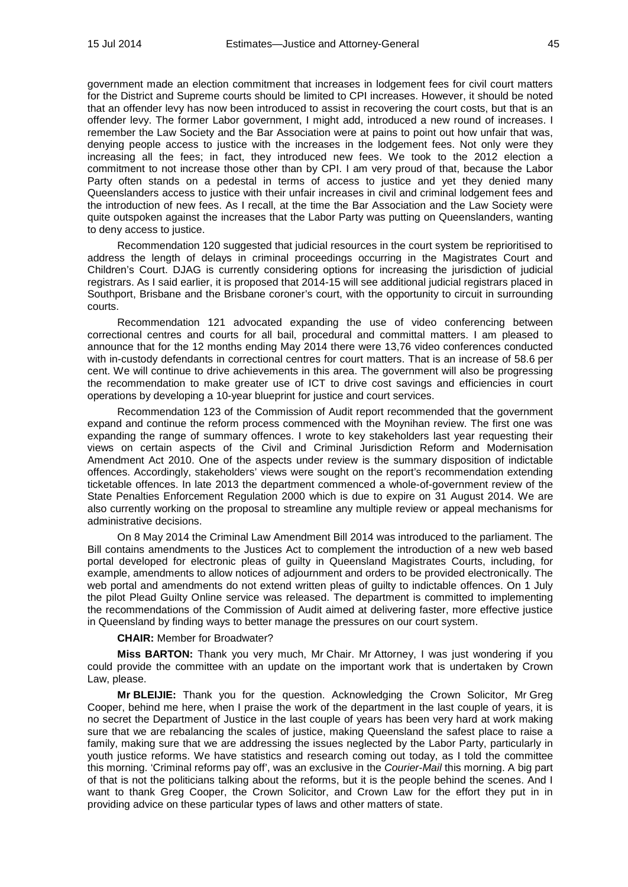government made an election commitment that increases in lodgement fees for civil court matters for the District and Supreme courts should be limited to CPI increases. However, it should be noted that an offender levy has now been introduced to assist in recovering the court costs, but that is an offender levy. The former Labor government, I might add, introduced a new round of increases. I remember the Law Society and the Bar Association were at pains to point out how unfair that was, denying people access to justice with the increases in the lodgement fees. Not only were they increasing all the fees; in fact, they introduced new fees. We took to the 2012 election a commitment to not increase those other than by CPI. I am very proud of that, because the Labor Party often stands on a pedestal in terms of access to justice and yet they denied many Queenslanders access to justice with their unfair increases in civil and criminal lodgement fees and the introduction of new fees. As I recall, at the time the Bar Association and the Law Society were quite outspoken against the increases that the Labor Party was putting on Queenslanders, wanting to deny access to justice.

Recommendation 120 suggested that judicial resources in the court system be reprioritised to address the length of delays in criminal proceedings occurring in the Magistrates Court and Children's Court. DJAG is currently considering options for increasing the jurisdiction of judicial registrars. As I said earlier, it is proposed that 2014-15 will see additional judicial registrars placed in Southport, Brisbane and the Brisbane coroner's court, with the opportunity to circuit in surrounding courts.

Recommendation 121 advocated expanding the use of video conferencing between correctional centres and courts for all bail, procedural and committal matters. I am pleased to announce that for the 12 months ending May 2014 there were 13,76 video conferences conducted with in-custody defendants in correctional centres for court matters. That is an increase of 58.6 per cent. We will continue to drive achievements in this area. The government will also be progressing the recommendation to make greater use of ICT to drive cost savings and efficiencies in court operations by developing a 10-year blueprint for justice and court services.

Recommendation 123 of the Commission of Audit report recommended that the government expand and continue the reform process commenced with the Moynihan review. The first one was expanding the range of summary offences. I wrote to key stakeholders last year requesting their views on certain aspects of the Civil and Criminal Jurisdiction Reform and Modernisation Amendment Act 2010. One of the aspects under review is the summary disposition of indictable offences. Accordingly, stakeholders' views were sought on the report's recommendation extending ticketable offences. In late 2013 the department commenced a whole-of-government review of the State Penalties Enforcement Regulation 2000 which is due to expire on 31 August 2014. We are also currently working on the proposal to streamline any multiple review or appeal mechanisms for administrative decisions.

On 8 May 2014 the Criminal Law Amendment Bill 2014 was introduced to the parliament. The Bill contains amendments to the Justices Act to complement the introduction of a new web based portal developed for electronic pleas of guilty in Queensland Magistrates Courts, including, for example, amendments to allow notices of adjournment and orders to be provided electronically. The web portal and amendments do not extend written pleas of guilty to indictable offences. On 1 July the pilot Plead Guilty Online service was released. The department is committed to implementing the recommendations of the Commission of Audit aimed at delivering faster, more effective justice in Queensland by finding ways to better manage the pressures on our court system.

## **CHAIR:** Member for Broadwater?

**Miss BARTON:** Thank you very much, Mr Chair. Mr Attorney, I was just wondering if you could provide the committee with an update on the important work that is undertaken by Crown Law, please.

**Mr BLEIJIE:** Thank you for the question. Acknowledging the Crown Solicitor, Mr Greg Cooper, behind me here, when I praise the work of the department in the last couple of years, it is no secret the Department of Justice in the last couple of years has been very hard at work making sure that we are rebalancing the scales of justice, making Queensland the safest place to raise a family, making sure that we are addressing the issues neglected by the Labor Party, particularly in youth justice reforms. We have statistics and research coming out today, as I told the committee this morning. 'Criminal reforms pay off', was an exclusive in the *Courier-Mail* this morning. A big part of that is not the politicians talking about the reforms, but it is the people behind the scenes. And I want to thank Greg Cooper, the Crown Solicitor, and Crown Law for the effort they put in in providing advice on these particular types of laws and other matters of state.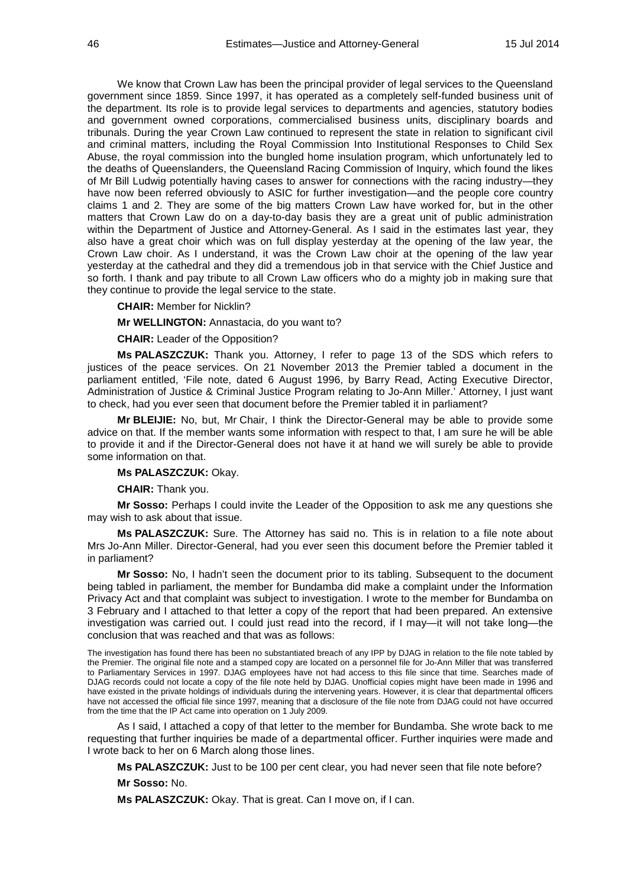We know that Crown Law has been the principal provider of legal services to the Queensland government since 1859. Since 1997, it has operated as a completely self-funded business unit of the department. Its role is to provide legal services to departments and agencies, statutory bodies and government owned corporations, commercialised business units, disciplinary boards and tribunals. During the year Crown Law continued to represent the state in relation to significant civil and criminal matters, including the Royal Commission Into Institutional Responses to Child Sex Abuse, the royal commission into the bungled home insulation program, which unfortunately led to the deaths of Queenslanders, the Queensland Racing Commission of Inquiry, which found the likes of Mr Bill Ludwig potentially having cases to answer for connections with the racing industry—they have now been referred obviously to ASIC for further investigation—and the people core country claims 1 and 2. They are some of the big matters Crown Law have worked for, but in the other matters that Crown Law do on a day-to-day basis they are a great unit of public administration within the Department of Justice and Attorney-General. As I said in the estimates last year, they also have a great choir which was on full display yesterday at the opening of the law year, the Crown Law choir. As I understand, it was the Crown Law choir at the opening of the law year yesterday at the cathedral and they did a tremendous job in that service with the Chief Justice and so forth. I thank and pay tribute to all Crown Law officers who do a mighty job in making sure that they continue to provide the legal service to the state.

## **CHAIR:** Member for Nicklin?

**Mr WELLINGTON:** Annastacia, do you want to?

**CHAIR:** Leader of the Opposition?

**Ms PALASZCZUK:** Thank you. Attorney, I refer to page 13 of the SDS which refers to justices of the peace services. On 21 November 2013 the Premier tabled a document in the parliament entitled, 'File note, dated 6 August 1996, by Barry Read, Acting Executive Director, Administration of Justice & Criminal Justice Program relating to Jo-Ann Miller.' Attorney, I just want to check, had you ever seen that document before the Premier tabled it in parliament?

**Mr BLEIJIE:** No, but, Mr Chair, I think the Director-General may be able to provide some advice on that. If the member wants some information with respect to that, I am sure he will be able to provide it and if the Director-General does not have it at hand we will surely be able to provide some information on that.

#### **Ms PALASZCZUK:** Okay.

**CHAIR:** Thank you.

**Mr Sosso:** Perhaps I could invite the Leader of the Opposition to ask me any questions she may wish to ask about that issue.

**Ms PALASZCZUK:** Sure. The Attorney has said no. This is in relation to a file note about Mrs Jo-Ann Miller. Director-General, had you ever seen this document before the Premier tabled it in parliament?

**Mr Sosso:** No, I hadn't seen the document prior to its tabling. Subsequent to the document being tabled in parliament, the member for Bundamba did make a complaint under the Information Privacy Act and that complaint was subject to investigation. I wrote to the member for Bundamba on 3 February and I attached to that letter a copy of the report that had been prepared. An extensive investigation was carried out. I could just read into the record, if I may—it will not take long—the conclusion that was reached and that was as follows:

The investigation has found there has been no substantiated breach of any IPP by DJAG in relation to the file note tabled by the Premier. The original file note and a stamped copy are located on a personnel file for Jo-Ann Miller that was transferred to Parliamentary Services in 1997. DJAG employees have not had access to this file since that time. Searches made of DJAG records could not locate a copy of the file note held by DJAG. Unofficial copies might have been made in 1996 and have existed in the private holdings of individuals during the intervening years. However, it is clear that departmental officers have not accessed the official file since 1997, meaning that a disclosure of the file note from DJAG could not have occurred from the time that the IP Act came into operation on 1 July 2009.

As I said, I attached a copy of that letter to the member for Bundamba. She wrote back to me requesting that further inquiries be made of a departmental officer. Further inquiries were made and I wrote back to her on 6 March along those lines.

**Ms PALASZCZUK:** Just to be 100 per cent clear, you had never seen that file note before?

**Mr Sosso:** No.

**Ms PALASZCZUK:** Okay. That is great. Can I move on, if I can.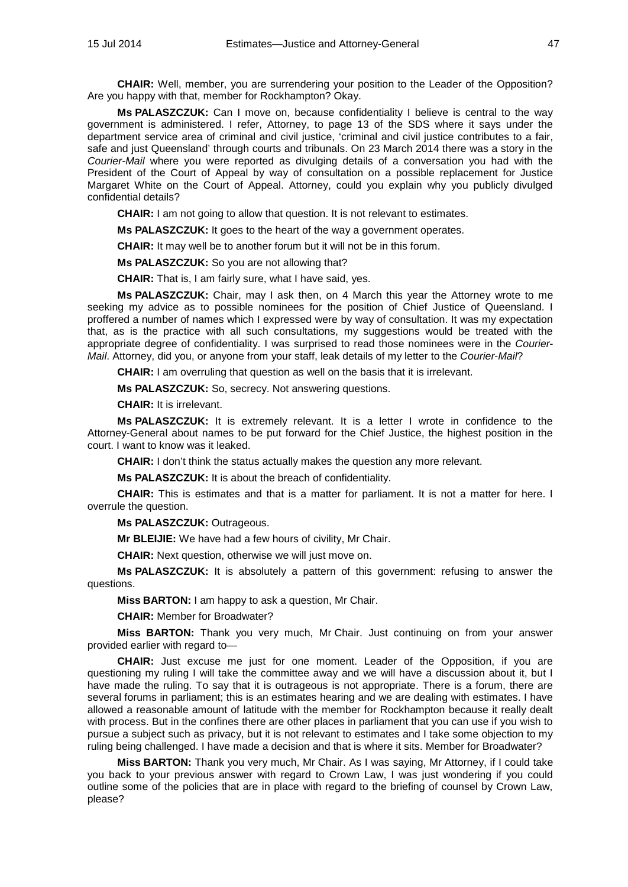**CHAIR:** Well, member, you are surrendering your position to the Leader of the Opposition? Are you happy with that, member for Rockhampton? Okay.

**Ms PALASZCZUK:** Can I move on, because confidentiality I believe is central to the way government is administered. I refer, Attorney, to page 13 of the SDS where it says under the department service area of criminal and civil justice, 'criminal and civil justice contributes to a fair, safe and just Queensland' through courts and tribunals. On 23 March 2014 there was a story in the *Courier-Mail* where you were reported as divulging details of a conversation you had with the President of the Court of Appeal by way of consultation on a possible replacement for Justice Margaret White on the Court of Appeal. Attorney, could you explain why you publicly divulged confidential details?

**CHAIR:** I am not going to allow that question. It is not relevant to estimates.

**Ms PALASZCZUK:** It goes to the heart of the way a government operates.

**CHAIR:** It may well be to another forum but it will not be in this forum.

**Ms PALASZCZUK:** So you are not allowing that?

**CHAIR:** That is, I am fairly sure, what I have said, yes.

**Ms PALASZCZUK:** Chair, may I ask then, on 4 March this year the Attorney wrote to me seeking my advice as to possible nominees for the position of Chief Justice of Queensland. I proffered a number of names which I expressed were by way of consultation. It was my expectation that, as is the practice with all such consultations, my suggestions would be treated with the appropriate degree of confidentiality. I was surprised to read those nominees were in the *Courier-Mail*. Attorney, did you, or anyone from your staff, leak details of my letter to the *Courier-Mail*?

**CHAIR:** I am overruling that question as well on the basis that it is irrelevant.

**Ms PALASZCZUK:** So, secrecy. Not answering questions.

**CHAIR:** It is irrelevant.

**Ms PALASZCZUK:** It is extremely relevant. It is a letter I wrote in confidence to the Attorney-General about names to be put forward for the Chief Justice, the highest position in the court. I want to know was it leaked.

**CHAIR:** I don't think the status actually makes the question any more relevant.

**Ms PALASZCZUK:** It is about the breach of confidentiality.

**CHAIR:** This is estimates and that is a matter for parliament. It is not a matter for here. I overrule the question.

**Ms PALASZCZUK:** Outrageous.

**Mr BLEIJIE:** We have had a few hours of civility, Mr Chair.

**CHAIR:** Next question, otherwise we will just move on.

**Ms PALASZCZUK:** It is absolutely a pattern of this government: refusing to answer the questions.

**Miss BARTON:** I am happy to ask a question, Mr Chair.

**CHAIR:** Member for Broadwater?

**Miss BARTON:** Thank you very much, Mr Chair. Just continuing on from your answer provided earlier with regard to—

**CHAIR:** Just excuse me just for one moment. Leader of the Opposition, if you are questioning my ruling I will take the committee away and we will have a discussion about it, but I have made the ruling. To say that it is outrageous is not appropriate. There is a forum, there are several forums in parliament; this is an estimates hearing and we are dealing with estimates. I have allowed a reasonable amount of latitude with the member for Rockhampton because it really dealt with process. But in the confines there are other places in parliament that you can use if you wish to pursue a subject such as privacy, but it is not relevant to estimates and I take some objection to my ruling being challenged. I have made a decision and that is where it sits. Member for Broadwater?

**Miss BARTON:** Thank you very much, Mr Chair. As I was saying, Mr Attorney, if I could take you back to your previous answer with regard to Crown Law, I was just wondering if you could outline some of the policies that are in place with regard to the briefing of counsel by Crown Law, please?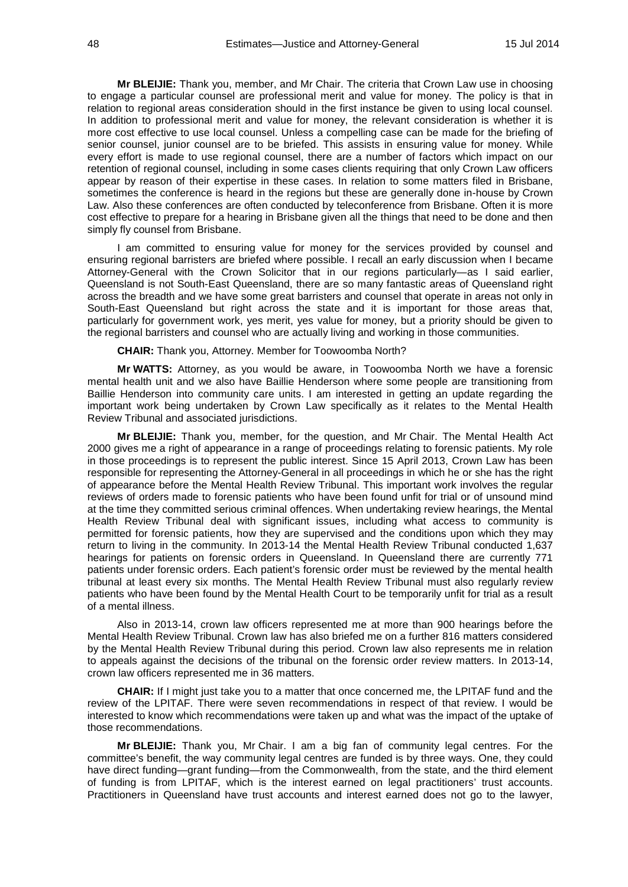**Mr BLEIJIE:** Thank you, member, and Mr Chair. The criteria that Crown Law use in choosing to engage a particular counsel are professional merit and value for money. The policy is that in relation to regional areas consideration should in the first instance be given to using local counsel. In addition to professional merit and value for money, the relevant consideration is whether it is more cost effective to use local counsel. Unless a compelling case can be made for the briefing of senior counsel, junior counsel are to be briefed. This assists in ensuring value for money. While every effort is made to use regional counsel, there are a number of factors which impact on our retention of regional counsel, including in some cases clients requiring that only Crown Law officers appear by reason of their expertise in these cases. In relation to some matters filed in Brisbane, sometimes the conference is heard in the regions but these are generally done in-house by Crown Law. Also these conferences are often conducted by teleconference from Brisbane. Often it is more cost effective to prepare for a hearing in Brisbane given all the things that need to be done and then simply fly counsel from Brisbane.

I am committed to ensuring value for money for the services provided by counsel and ensuring regional barristers are briefed where possible. I recall an early discussion when I became Attorney-General with the Crown Solicitor that in our regions particularly—as I said earlier, Queensland is not South-East Queensland, there are so many fantastic areas of Queensland right across the breadth and we have some great barristers and counsel that operate in areas not only in South-East Queensland but right across the state and it is important for those areas that, particularly for government work, yes merit, yes value for money, but a priority should be given to the regional barristers and counsel who are actually living and working in those communities.

**CHAIR:** Thank you, Attorney. Member for Toowoomba North?

**Mr WATTS:** Attorney, as you would be aware, in Toowoomba North we have a forensic mental health unit and we also have Baillie Henderson where some people are transitioning from Baillie Henderson into community care units. I am interested in getting an update regarding the important work being undertaken by Crown Law specifically as it relates to the Mental Health Review Tribunal and associated jurisdictions.

**Mr BLEIJIE:** Thank you, member, for the question, and Mr Chair. The Mental Health Act 2000 gives me a right of appearance in a range of proceedings relating to forensic patients. My role in those proceedings is to represent the public interest. Since 15 April 2013, Crown Law has been responsible for representing the Attorney-General in all proceedings in which he or she has the right of appearance before the Mental Health Review Tribunal. This important work involves the regular reviews of orders made to forensic patients who have been found unfit for trial or of unsound mind at the time they committed serious criminal offences. When undertaking review hearings, the Mental Health Review Tribunal deal with significant issues, including what access to community is permitted for forensic patients, how they are supervised and the conditions upon which they may return to living in the community. In 2013-14 the Mental Health Review Tribunal conducted 1,637 hearings for patients on forensic orders in Queensland. In Queensland there are currently 771 patients under forensic orders. Each patient's forensic order must be reviewed by the mental health tribunal at least every six months. The Mental Health Review Tribunal must also regularly review patients who have been found by the Mental Health Court to be temporarily unfit for trial as a result of a mental illness.

Also in 2013-14, crown law officers represented me at more than 900 hearings before the Mental Health Review Tribunal. Crown law has also briefed me on a further 816 matters considered by the Mental Health Review Tribunal during this period. Crown law also represents me in relation to appeals against the decisions of the tribunal on the forensic order review matters. In 2013-14, crown law officers represented me in 36 matters.

**CHAIR:** If I might just take you to a matter that once concerned me, the LPITAF fund and the review of the LPITAF. There were seven recommendations in respect of that review. I would be interested to know which recommendations were taken up and what was the impact of the uptake of those recommendations.

**Mr BLEIJIE:** Thank you, Mr Chair. I am a big fan of community legal centres. For the committee's benefit, the way community legal centres are funded is by three ways. One, they could have direct funding—grant funding—from the Commonwealth, from the state, and the third element of funding is from LPITAF, which is the interest earned on legal practitioners' trust accounts. Practitioners in Queensland have trust accounts and interest earned does not go to the lawyer,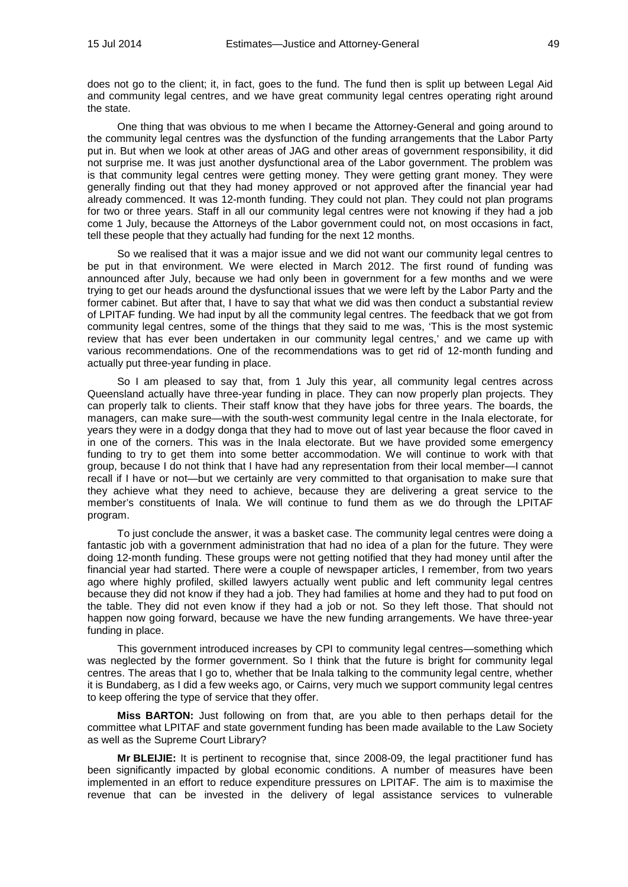does not go to the client; it, in fact, goes to the fund. The fund then is split up between Legal Aid and community legal centres, and we have great community legal centres operating right around the state.

One thing that was obvious to me when I became the Attorney-General and going around to the community legal centres was the dysfunction of the funding arrangements that the Labor Party put in. But when we look at other areas of JAG and other areas of government responsibility, it did not surprise me. It was just another dysfunctional area of the Labor government. The problem was is that community legal centres were getting money. They were getting grant money. They were generally finding out that they had money approved or not approved after the financial year had already commenced. It was 12-month funding. They could not plan. They could not plan programs for two or three years. Staff in all our community legal centres were not knowing if they had a job come 1 July, because the Attorneys of the Labor government could not, on most occasions in fact, tell these people that they actually had funding for the next 12 months.

So we realised that it was a major issue and we did not want our community legal centres to be put in that environment. We were elected in March 2012. The first round of funding was announced after July, because we had only been in government for a few months and we were trying to get our heads around the dysfunctional issues that we were left by the Labor Party and the former cabinet. But after that, I have to say that what we did was then conduct a substantial review of LPITAF funding. We had input by all the community legal centres. The feedback that we got from community legal centres, some of the things that they said to me was, 'This is the most systemic review that has ever been undertaken in our community legal centres,' and we came up with various recommendations. One of the recommendations was to get rid of 12-month funding and actually put three-year funding in place.

So I am pleased to say that, from 1 July this year, all community legal centres across Queensland actually have three-year funding in place. They can now properly plan projects. They can properly talk to clients. Their staff know that they have jobs for three years. The boards, the managers, can make sure—with the south-west community legal centre in the Inala electorate, for years they were in a dodgy donga that they had to move out of last year because the floor caved in in one of the corners. This was in the Inala electorate. But we have provided some emergency funding to try to get them into some better accommodation. We will continue to work with that group, because I do not think that I have had any representation from their local member—I cannot recall if I have or not—but we certainly are very committed to that organisation to make sure that they achieve what they need to achieve, because they are delivering a great service to the member's constituents of Inala. We will continue to fund them as we do through the LPITAF program.

To just conclude the answer, it was a basket case. The community legal centres were doing a fantastic job with a government administration that had no idea of a plan for the future. They were doing 12-month funding. These groups were not getting notified that they had money until after the financial year had started. There were a couple of newspaper articles, I remember, from two years ago where highly profiled, skilled lawyers actually went public and left community legal centres because they did not know if they had a job. They had families at home and they had to put food on the table. They did not even know if they had a job or not. So they left those. That should not happen now going forward, because we have the new funding arrangements. We have three-year funding in place.

This government introduced increases by CPI to community legal centres—something which was neglected by the former government. So I think that the future is bright for community legal centres. The areas that I go to, whether that be Inala talking to the community legal centre, whether it is Bundaberg, as I did a few weeks ago, or Cairns, very much we support community legal centres to keep offering the type of service that they offer.

**Miss BARTON:** Just following on from that, are you able to then perhaps detail for the committee what LPITAF and state government funding has been made available to the Law Society as well as the Supreme Court Library?

**Mr BLEIJIE:** It is pertinent to recognise that, since 2008-09, the legal practitioner fund has been significantly impacted by global economic conditions. A number of measures have been implemented in an effort to reduce expenditure pressures on LPITAF. The aim is to maximise the revenue that can be invested in the delivery of legal assistance services to vulnerable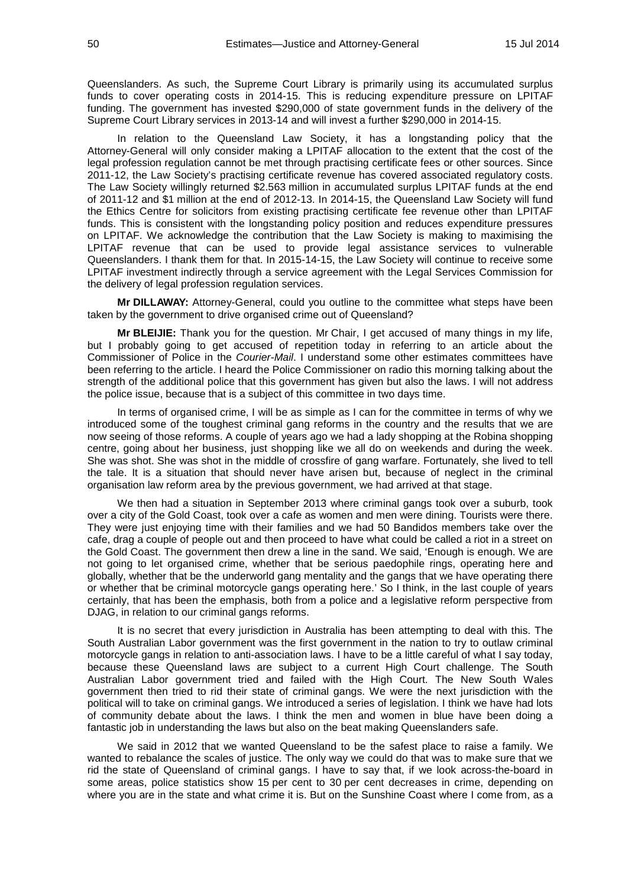Queenslanders. As such, the Supreme Court Library is primarily using its accumulated surplus funds to cover operating costs in 2014-15. This is reducing expenditure pressure on LPITAF funding. The government has invested \$290,000 of state government funds in the delivery of the Supreme Court Library services in 2013-14 and will invest a further \$290,000 in 2014-15.

In relation to the Queensland Law Society, it has a longstanding policy that the Attorney-General will only consider making a LPITAF allocation to the extent that the cost of the legal profession regulation cannot be met through practising certificate fees or other sources. Since 2011-12, the Law Society's practising certificate revenue has covered associated regulatory costs. The Law Society willingly returned \$2.563 million in accumulated surplus LPITAF funds at the end of 2011-12 and \$1 million at the end of 2012-13. In 2014-15, the Queensland Law Society will fund the Ethics Centre for solicitors from existing practising certificate fee revenue other than LPITAF funds. This is consistent with the longstanding policy position and reduces expenditure pressures on LPITAF. We acknowledge the contribution that the Law Society is making to maximising the LPITAF revenue that can be used to provide legal assistance services to vulnerable Queenslanders. I thank them for that. In 2015-14-15, the Law Society will continue to receive some LPITAF investment indirectly through a service agreement with the Legal Services Commission for the delivery of legal profession regulation services.

**Mr DILLAWAY:** Attorney-General, could you outline to the committee what steps have been taken by the government to drive organised crime out of Queensland?

**Mr BLEIJIE:** Thank you for the question. Mr Chair, I get accused of many things in my life, but I probably going to get accused of repetition today in referring to an article about the Commissioner of Police in the *Courier-Mail*. I understand some other estimates committees have been referring to the article. I heard the Police Commissioner on radio this morning talking about the strength of the additional police that this government has given but also the laws. I will not address the police issue, because that is a subject of this committee in two days time.

In terms of organised crime, I will be as simple as I can for the committee in terms of why we introduced some of the toughest criminal gang reforms in the country and the results that we are now seeing of those reforms. A couple of years ago we had a lady shopping at the Robina shopping centre, going about her business, just shopping like we all do on weekends and during the week. She was shot. She was shot in the middle of crossfire of gang warfare. Fortunately, she lived to tell the tale. It is a situation that should never have arisen but, because of neglect in the criminal organisation law reform area by the previous government, we had arrived at that stage.

We then had a situation in September 2013 where criminal gangs took over a suburb, took over a city of the Gold Coast, took over a cafe as women and men were dining. Tourists were there. They were just enjoying time with their families and we had 50 Bandidos members take over the cafe, drag a couple of people out and then proceed to have what could be called a riot in a street on the Gold Coast. The government then drew a line in the sand. We said, 'Enough is enough. We are not going to let organised crime, whether that be serious paedophile rings, operating here and globally, whether that be the underworld gang mentality and the gangs that we have operating there or whether that be criminal motorcycle gangs operating here.' So I think, in the last couple of years certainly, that has been the emphasis, both from a police and a legislative reform perspective from DJAG, in relation to our criminal gangs reforms.

It is no secret that every jurisdiction in Australia has been attempting to deal with this. The South Australian Labor government was the first government in the nation to try to outlaw criminal motorcycle gangs in relation to anti-association laws. I have to be a little careful of what I say today, because these Queensland laws are subject to a current High Court challenge. The South Australian Labor government tried and failed with the High Court. The New South Wales government then tried to rid their state of criminal gangs. We were the next jurisdiction with the political will to take on criminal gangs. We introduced a series of legislation. I think we have had lots of community debate about the laws. I think the men and women in blue have been doing a fantastic job in understanding the laws but also on the beat making Queenslanders safe.

We said in 2012 that we wanted Queensland to be the safest place to raise a family. We wanted to rebalance the scales of justice. The only way we could do that was to make sure that we rid the state of Queensland of criminal gangs. I have to say that, if we look across-the-board in some areas, police statistics show 15 per cent to 30 per cent decreases in crime, depending on where you are in the state and what crime it is. But on the Sunshine Coast where I come from, as a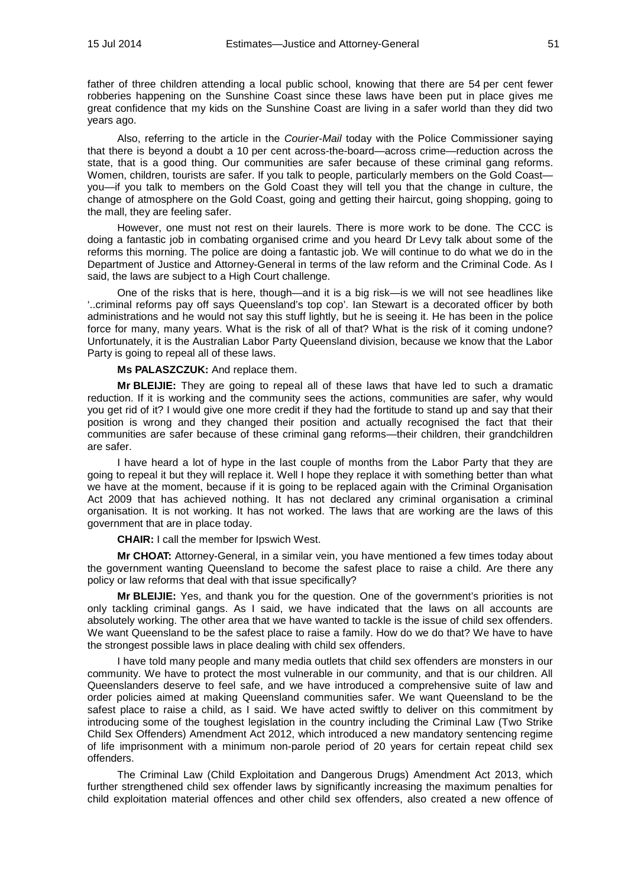father of three children attending a local public school, knowing that there are 54 per cent fewer robberies happening on the Sunshine Coast since these laws have been put in place gives me great confidence that my kids on the Sunshine Coast are living in a safer world than they did two years ago.

Also, referring to the article in the *Courier-Mail* today with the Police Commissioner saying that there is beyond a doubt a 10 per cent across-the-board—across crime—reduction across the state, that is a good thing. Our communities are safer because of these criminal gang reforms. Women, children, tourists are safer. If you talk to people, particularly members on the Gold Coast you—if you talk to members on the Gold Coast they will tell you that the change in culture, the change of atmosphere on the Gold Coast, going and getting their haircut, going shopping, going to the mall, they are feeling safer.

However, one must not rest on their laurels. There is more work to be done. The CCC is doing a fantastic job in combating organised crime and you heard Dr Levy talk about some of the reforms this morning. The police are doing a fantastic job. We will continue to do what we do in the Department of Justice and Attorney-General in terms of the law reform and the Criminal Code. As I said, the laws are subject to a High Court challenge.

One of the risks that is here, though—and it is a big risk—is we will not see headlines like '..criminal reforms pay off says Queensland's top cop'. Ian Stewart is a decorated officer by both administrations and he would not say this stuff lightly, but he is seeing it. He has been in the police force for many, many years. What is the risk of all of that? What is the risk of it coming undone? Unfortunately, it is the Australian Labor Party Queensland division, because we know that the Labor Party is going to repeal all of these laws.

**Ms PALASZCZUK:** And replace them.

**Mr BLEIJIE:** They are going to repeal all of these laws that have led to such a dramatic reduction. If it is working and the community sees the actions, communities are safer, why would you get rid of it? I would give one more credit if they had the fortitude to stand up and say that their position is wrong and they changed their position and actually recognised the fact that their communities are safer because of these criminal gang reforms—their children, their grandchildren are safer.

I have heard a lot of hype in the last couple of months from the Labor Party that they are going to repeal it but they will replace it. Well I hope they replace it with something better than what we have at the moment, because if it is going to be replaced again with the Criminal Organisation Act 2009 that has achieved nothing. It has not declared any criminal organisation a criminal organisation. It is not working. It has not worked. The laws that are working are the laws of this government that are in place today.

**CHAIR:** I call the member for Ipswich West.

**Mr CHOAT:** Attorney-General, in a similar vein, you have mentioned a few times today about the government wanting Queensland to become the safest place to raise a child. Are there any policy or law reforms that deal with that issue specifically?

**Mr BLEIJIE:** Yes, and thank you for the question. One of the government's priorities is not only tackling criminal gangs. As I said, we have indicated that the laws on all accounts are absolutely working. The other area that we have wanted to tackle is the issue of child sex offenders. We want Queensland to be the safest place to raise a family. How do we do that? We have to have the strongest possible laws in place dealing with child sex offenders.

I have told many people and many media outlets that child sex offenders are monsters in our community. We have to protect the most vulnerable in our community, and that is our children. All Queenslanders deserve to feel safe, and we have introduced a comprehensive suite of law and order policies aimed at making Queensland communities safer. We want Queensland to be the safest place to raise a child, as I said. We have acted swiftly to deliver on this commitment by introducing some of the toughest legislation in the country including the Criminal Law (Two Strike Child Sex Offenders) Amendment Act 2012, which introduced a new mandatory sentencing regime of life imprisonment with a minimum non-parole period of 20 years for certain repeat child sex offenders.

The Criminal Law (Child Exploitation and Dangerous Drugs) Amendment Act 2013, which further strengthened child sex offender laws by significantly increasing the maximum penalties for child exploitation material offences and other child sex offenders, also created a new offence of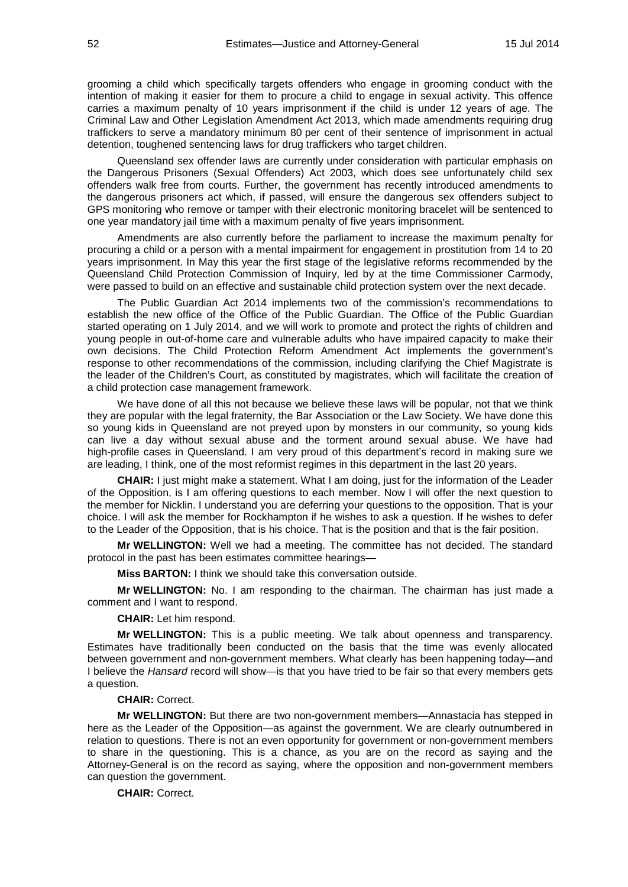grooming a child which specifically targets offenders who engage in grooming conduct with the intention of making it easier for them to procure a child to engage in sexual activity. This offence carries a maximum penalty of 10 years imprisonment if the child is under 12 years of age. The Criminal Law and Other Legislation Amendment Act 2013, which made amendments requiring drug traffickers to serve a mandatory minimum 80 per cent of their sentence of imprisonment in actual detention, toughened sentencing laws for drug traffickers who target children.

Queensland sex offender laws are currently under consideration with particular emphasis on the Dangerous Prisoners (Sexual Offenders) Act 2003, which does see unfortunately child sex offenders walk free from courts. Further, the government has recently introduced amendments to the dangerous prisoners act which, if passed, will ensure the dangerous sex offenders subject to GPS monitoring who remove or tamper with their electronic monitoring bracelet will be sentenced to one year mandatory jail time with a maximum penalty of five years imprisonment.

Amendments are also currently before the parliament to increase the maximum penalty for procuring a child or a person with a mental impairment for engagement in prostitution from 14 to 20 years imprisonment. In May this year the first stage of the legislative reforms recommended by the Queensland Child Protection Commission of Inquiry, led by at the time Commissioner Carmody, were passed to build on an effective and sustainable child protection system over the next decade.

The Public Guardian Act 2014 implements two of the commission's recommendations to establish the new office of the Office of the Public Guardian. The Office of the Public Guardian started operating on 1 July 2014, and we will work to promote and protect the rights of children and young people in out-of-home care and vulnerable adults who have impaired capacity to make their own decisions. The Child Protection Reform Amendment Act implements the government's response to other recommendations of the commission, including clarifying the Chief Magistrate is the leader of the Children's Court, as constituted by magistrates, which will facilitate the creation of a child protection case management framework.

We have done of all this not because we believe these laws will be popular, not that we think they are popular with the legal fraternity, the Bar Association or the Law Society. We have done this so young kids in Queensland are not preyed upon by monsters in our community, so young kids can live a day without sexual abuse and the torment around sexual abuse. We have had high-profile cases in Queensland. I am very proud of this department's record in making sure we are leading, I think, one of the most reformist regimes in this department in the last 20 years.

**CHAIR:** I just might make a statement. What I am doing, just for the information of the Leader of the Opposition, is I am offering questions to each member. Now I will offer the next question to the member for Nicklin. I understand you are deferring your questions to the opposition. That is your choice. I will ask the member for Rockhampton if he wishes to ask a question. If he wishes to defer to the Leader of the Opposition, that is his choice. That is the position and that is the fair position.

**Mr WELLINGTON:** Well we had a meeting. The committee has not decided. The standard protocol in the past has been estimates committee hearings—

**Miss BARTON:** I think we should take this conversation outside.

**Mr WELLINGTON:** No. I am responding to the chairman. The chairman has just made a comment and I want to respond.

**CHAIR:** Let him respond.

**Mr WELLINGTON:** This is a public meeting. We talk about openness and transparency. Estimates have traditionally been conducted on the basis that the time was evenly allocated between government and non-government members. What clearly has been happening today—and I believe the *Hansard* record will show—is that you have tried to be fair so that every members gets a question.

## **CHAIR:** Correct.

**Mr WELLINGTON:** But there are two non-government members—Annastacia has stepped in here as the Leader of the Opposition—as against the government. We are clearly outnumbered in relation to questions. There is not an even opportunity for government or non-government members to share in the questioning. This is a chance, as you are on the record as saying and the Attorney-General is on the record as saying, where the opposition and non-government members can question the government.

**CHAIR:** Correct.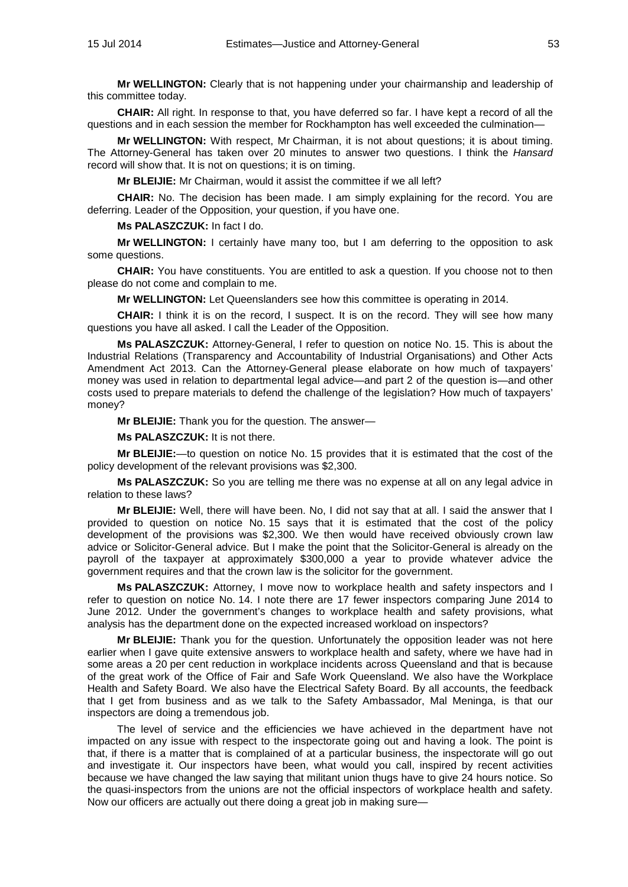**Mr WELLINGTON:** Clearly that is not happening under your chairmanship and leadership of this committee today.

**CHAIR:** All right. In response to that, you have deferred so far. I have kept a record of all the questions and in each session the member for Rockhampton has well exceeded the culmination—

**Mr WELLINGTON:** With respect, Mr Chairman, it is not about questions; it is about timing. The Attorney-General has taken over 20 minutes to answer two questions. I think the *Hansard* record will show that. It is not on questions; it is on timing.

**Mr BLEIJIE:** Mr Chairman, would it assist the committee if we all left?

**CHAIR:** No. The decision has been made. I am simply explaining for the record. You are deferring. Leader of the Opposition, your question, if you have one.

**Ms PALASZCZUK:** In fact I do.

**Mr WELLINGTON:** I certainly have many too, but I am deferring to the opposition to ask some questions.

**CHAIR:** You have constituents. You are entitled to ask a question. If you choose not to then please do not come and complain to me.

**Mr WELLINGTON:** Let Queenslanders see how this committee is operating in 2014.

**CHAIR:** I think it is on the record, I suspect. It is on the record. They will see how many questions you have all asked. I call the Leader of the Opposition.

**Ms PALASZCZUK:** Attorney-General, I refer to question on notice No. 15. This is about the Industrial Relations (Transparency and Accountability of Industrial Organisations) and Other Acts Amendment Act 2013. Can the Attorney-General please elaborate on how much of taxpayers' money was used in relation to departmental legal advice—and part 2 of the question is—and other costs used to prepare materials to defend the challenge of the legislation? How much of taxpayers' money?

**Mr BLEIJIE:** Thank you for the question. The answer—

**Ms PALASZCZUK:** It is not there.

**Mr BLEIJIE:**—to question on notice No. 15 provides that it is estimated that the cost of the policy development of the relevant provisions was \$2,300.

**Ms PALASZCZUK:** So you are telling me there was no expense at all on any legal advice in relation to these laws?

**Mr BLEIJIE:** Well, there will have been. No, I did not say that at all. I said the answer that I provided to question on notice No. 15 says that it is estimated that the cost of the policy development of the provisions was \$2,300. We then would have received obviously crown law advice or Solicitor-General advice. But I make the point that the Solicitor-General is already on the payroll of the taxpayer at approximately \$300,000 a year to provide whatever advice the government requires and that the crown law is the solicitor for the government.

**Ms PALASZCZUK:** Attorney, I move now to workplace health and safety inspectors and I refer to question on notice No. 14. I note there are 17 fewer inspectors comparing June 2014 to June 2012. Under the government's changes to workplace health and safety provisions, what analysis has the department done on the expected increased workload on inspectors?

**Mr BLEIJIE:** Thank you for the question. Unfortunately the opposition leader was not here earlier when I gave quite extensive answers to workplace health and safety, where we have had in some areas a 20 per cent reduction in workplace incidents across Queensland and that is because of the great work of the Office of Fair and Safe Work Queensland. We also have the Workplace Health and Safety Board. We also have the Electrical Safety Board. By all accounts, the feedback that I get from business and as we talk to the Safety Ambassador, Mal Meninga, is that our inspectors are doing a tremendous job.

The level of service and the efficiencies we have achieved in the department have not impacted on any issue with respect to the inspectorate going out and having a look. The point is that, if there is a matter that is complained of at a particular business, the inspectorate will go out and investigate it. Our inspectors have been, what would you call, inspired by recent activities because we have changed the law saying that militant union thugs have to give 24 hours notice. So the quasi-inspectors from the unions are not the official inspectors of workplace health and safety. Now our officers are actually out there doing a great job in making sure—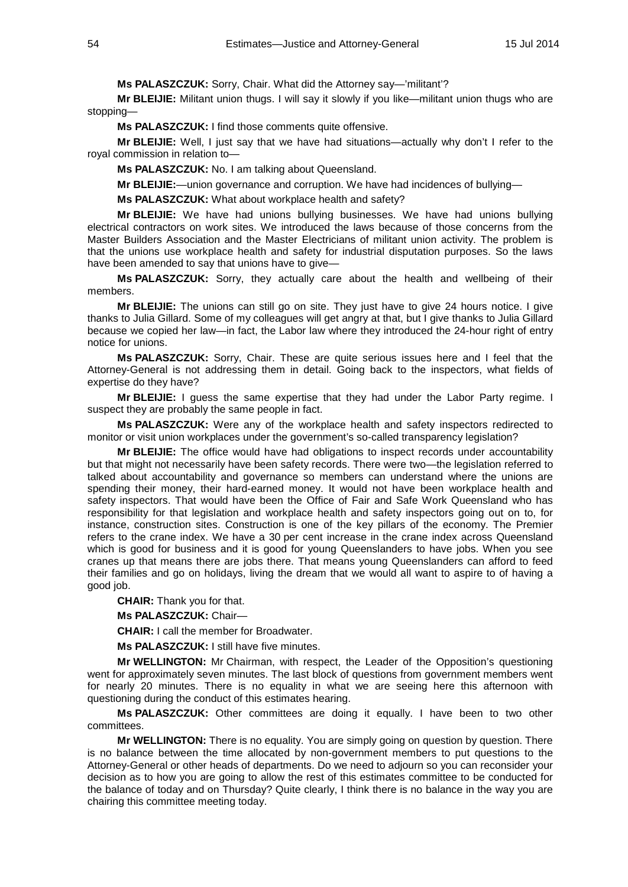# **Ms PALASZCZUK:** Sorry, Chair. What did the Attorney say—'militant'?

**Mr BLEIJIE:** Militant union thugs. I will say it slowly if you like—militant union thugs who are stopping—

**Ms PALASZCZUK:** I find those comments quite offensive.

**Mr BLEIJIE:** Well, I just say that we have had situations—actually why don't I refer to the royal commission in relation to—

**Ms PALASZCZUK:** No. I am talking about Queensland.

**Mr BLEIJIE:**—union governance and corruption. We have had incidences of bullying—

**Ms PALASZCZUK:** What about workplace health and safety?

**Mr BLEIJIE:** We have had unions bullying businesses. We have had unions bullying electrical contractors on work sites. We introduced the laws because of those concerns from the Master Builders Association and the Master Electricians of militant union activity. The problem is that the unions use workplace health and safety for industrial disputation purposes. So the laws have been amended to say that unions have to give—

**Ms PALASZCZUK:** Sorry, they actually care about the health and wellbeing of their members.

**Mr BLEIJIE:** The unions can still go on site. They just have to give 24 hours notice. I give thanks to Julia Gillard. Some of my colleagues will get angry at that, but I give thanks to Julia Gillard because we copied her law—in fact, the Labor law where they introduced the 24-hour right of entry notice for unions.

**Ms PALASZCZUK:** Sorry, Chair. These are quite serious issues here and I feel that the Attorney-General is not addressing them in detail. Going back to the inspectors, what fields of expertise do they have?

**Mr BLEIJIE:** I guess the same expertise that they had under the Labor Party regime. I suspect they are probably the same people in fact.

**Ms PALASZCZUK:** Were any of the workplace health and safety inspectors redirected to monitor or visit union workplaces under the government's so-called transparency legislation?

**Mr BLEIJIE:** The office would have had obligations to inspect records under accountability but that might not necessarily have been safety records. There were two—the legislation referred to talked about accountability and governance so members can understand where the unions are spending their money, their hard-earned money. It would not have been workplace health and safety inspectors. That would have been the Office of Fair and Safe Work Queensland who has responsibility for that legislation and workplace health and safety inspectors going out on to, for instance, construction sites. Construction is one of the key pillars of the economy. The Premier refers to the crane index. We have a 30 per cent increase in the crane index across Queensland which is good for business and it is good for young Queenslanders to have jobs. When you see cranes up that means there are jobs there. That means young Queenslanders can afford to feed their families and go on holidays, living the dream that we would all want to aspire to of having a good job.

**CHAIR:** Thank you for that.

**Ms PALASZCZUK:** Chair—

**CHAIR:** I call the member for Broadwater.

**Ms PALASZCZUK:** I still have five minutes.

**Mr WELLINGTON:** Mr Chairman, with respect, the Leader of the Opposition's questioning went for approximately seven minutes. The last block of questions from government members went for nearly 20 minutes. There is no equality in what we are seeing here this afternoon with questioning during the conduct of this estimates hearing.

**Ms PALASZCZUK:** Other committees are doing it equally. I have been to two other committees.

**Mr WELLINGTON:** There is no equality. You are simply going on question by question. There is no balance between the time allocated by non-government members to put questions to the Attorney-General or other heads of departments. Do we need to adjourn so you can reconsider your decision as to how you are going to allow the rest of this estimates committee to be conducted for the balance of today and on Thursday? Quite clearly, I think there is no balance in the way you are chairing this committee meeting today.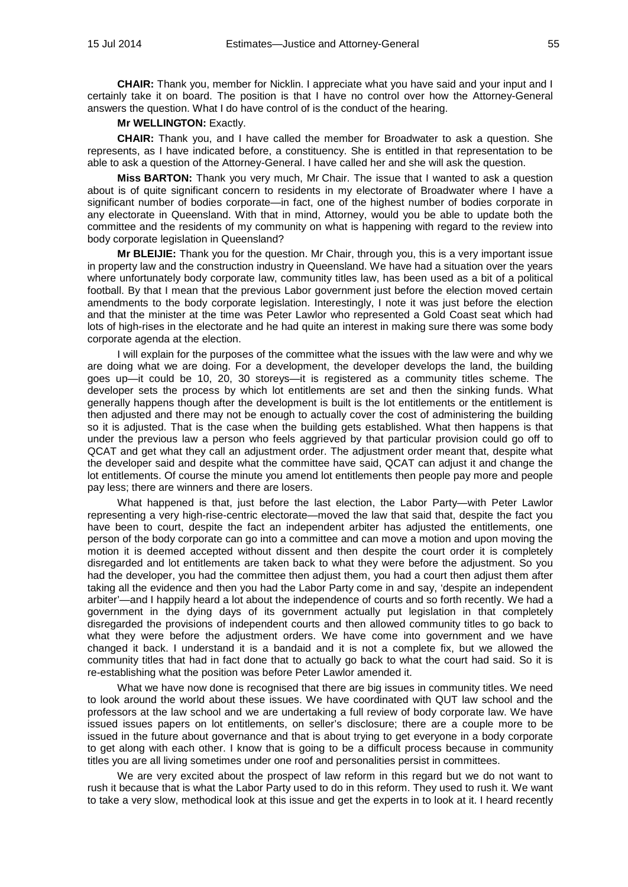**CHAIR:** Thank you, member for Nicklin. I appreciate what you have said and your input and I certainly take it on board. The position is that I have no control over how the Attorney-General answers the question. What I do have control of is the conduct of the hearing.

## **Mr WELLINGTON:** Exactly.

**CHAIR:** Thank you, and I have called the member for Broadwater to ask a question. She represents, as I have indicated before, a constituency. She is entitled in that representation to be able to ask a question of the Attorney-General. I have called her and she will ask the question.

**Miss BARTON:** Thank you very much, Mr Chair. The issue that I wanted to ask a question about is of quite significant concern to residents in my electorate of Broadwater where I have a significant number of bodies corporate—in fact, one of the highest number of bodies corporate in any electorate in Queensland. With that in mind, Attorney, would you be able to update both the committee and the residents of my community on what is happening with regard to the review into body corporate legislation in Queensland?

**Mr BLEIJIE:** Thank you for the question. Mr Chair, through you, this is a very important issue in property law and the construction industry in Queensland. We have had a situation over the years where unfortunately body corporate law, community titles law, has been used as a bit of a political football. By that I mean that the previous Labor government just before the election moved certain amendments to the body corporate legislation. Interestingly, I note it was just before the election and that the minister at the time was Peter Lawlor who represented a Gold Coast seat which had lots of high-rises in the electorate and he had quite an interest in making sure there was some body corporate agenda at the election.

I will explain for the purposes of the committee what the issues with the law were and why we are doing what we are doing. For a development, the developer develops the land, the building goes up—it could be 10, 20, 30 storeys—it is registered as a community titles scheme. The developer sets the process by which lot entitlements are set and then the sinking funds. What generally happens though after the development is built is the lot entitlements or the entitlement is then adjusted and there may not be enough to actually cover the cost of administering the building so it is adjusted. That is the case when the building gets established. What then happens is that under the previous law a person who feels aggrieved by that particular provision could go off to QCAT and get what they call an adjustment order. The adjustment order meant that, despite what the developer said and despite what the committee have said, QCAT can adjust it and change the lot entitlements. Of course the minute you amend lot entitlements then people pay more and people pay less; there are winners and there are losers.

What happened is that, just before the last election, the Labor Party—with Peter Lawlor representing a very high-rise-centric electorate—moved the law that said that, despite the fact you have been to court, despite the fact an independent arbiter has adjusted the entitlements, one person of the body corporate can go into a committee and can move a motion and upon moving the motion it is deemed accepted without dissent and then despite the court order it is completely disregarded and lot entitlements are taken back to what they were before the adjustment. So you had the developer, you had the committee then adjust them, you had a court then adjust them after taking all the evidence and then you had the Labor Party come in and say, 'despite an independent arbiter'—and I happily heard a lot about the independence of courts and so forth recently. We had a government in the dying days of its government actually put legislation in that completely disregarded the provisions of independent courts and then allowed community titles to go back to what they were before the adjustment orders. We have come into government and we have changed it back. I understand it is a bandaid and it is not a complete fix, but we allowed the community titles that had in fact done that to actually go back to what the court had said. So it is re-establishing what the position was before Peter Lawlor amended it.

What we have now done is recognised that there are big issues in community titles. We need to look around the world about these issues. We have coordinated with QUT law school and the professors at the law school and we are undertaking a full review of body corporate law. We have issued issues papers on lot entitlements, on seller's disclosure; there are a couple more to be issued in the future about governance and that is about trying to get everyone in a body corporate to get along with each other. I know that is going to be a difficult process because in community titles you are all living sometimes under one roof and personalities persist in committees.

We are very excited about the prospect of law reform in this regard but we do not want to rush it because that is what the Labor Party used to do in this reform. They used to rush it. We want to take a very slow, methodical look at this issue and get the experts in to look at it. I heard recently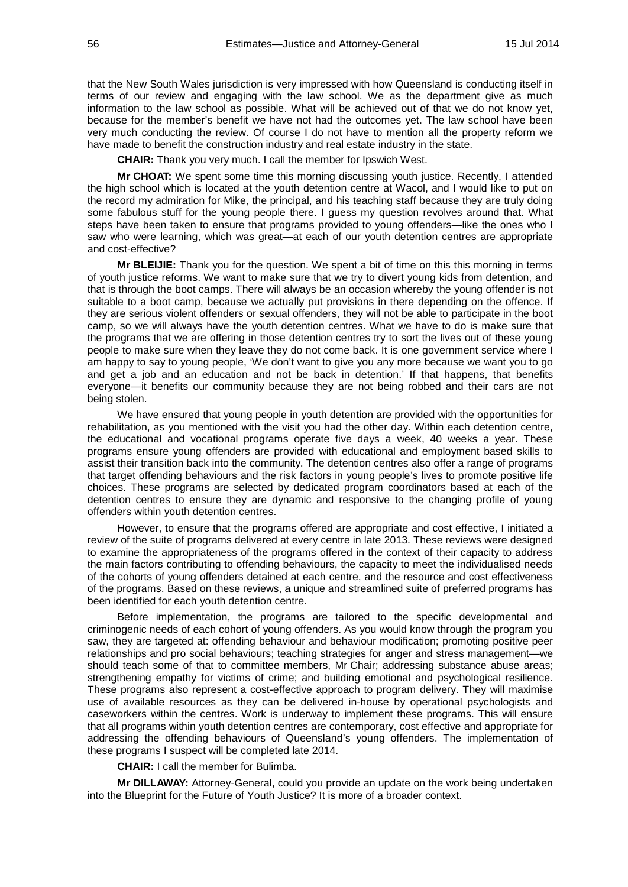that the New South Wales jurisdiction is very impressed with how Queensland is conducting itself in terms of our review and engaging with the law school. We as the department give as much information to the law school as possible. What will be achieved out of that we do not know yet, because for the member's benefit we have not had the outcomes yet. The law school have been very much conducting the review. Of course I do not have to mention all the property reform we have made to benefit the construction industry and real estate industry in the state.

**CHAIR:** Thank you very much. I call the member for Ipswich West.

**Mr CHOAT:** We spent some time this morning discussing youth justice. Recently, I attended the high school which is located at the youth detention centre at Wacol, and I would like to put on the record my admiration for Mike, the principal, and his teaching staff because they are truly doing some fabulous stuff for the young people there. I guess my question revolves around that. What steps have been taken to ensure that programs provided to young offenders—like the ones who I saw who were learning, which was great—at each of our youth detention centres are appropriate and cost-effective?

**Mr BLEIJIE:** Thank you for the question. We spent a bit of time on this this morning in terms of youth justice reforms. We want to make sure that we try to divert young kids from detention, and that is through the boot camps. There will always be an occasion whereby the young offender is not suitable to a boot camp, because we actually put provisions in there depending on the offence. If they are serious violent offenders or sexual offenders, they will not be able to participate in the boot camp, so we will always have the youth detention centres. What we have to do is make sure that the programs that we are offering in those detention centres try to sort the lives out of these young people to make sure when they leave they do not come back. It is one government service where I am happy to say to young people, 'We don't want to give you any more because we want you to go and get a job and an education and not be back in detention.' If that happens, that benefits everyone—it benefits our community because they are not being robbed and their cars are not being stolen.

We have ensured that young people in youth detention are provided with the opportunities for rehabilitation, as you mentioned with the visit you had the other day. Within each detention centre, the educational and vocational programs operate five days a week, 40 weeks a year. These programs ensure young offenders are provided with educational and employment based skills to assist their transition back into the community. The detention centres also offer a range of programs that target offending behaviours and the risk factors in young people's lives to promote positive life choices. These programs are selected by dedicated program coordinators based at each of the detention centres to ensure they are dynamic and responsive to the changing profile of young offenders within youth detention centres.

However, to ensure that the programs offered are appropriate and cost effective, I initiated a review of the suite of programs delivered at every centre in late 2013. These reviews were designed to examine the appropriateness of the programs offered in the context of their capacity to address the main factors contributing to offending behaviours, the capacity to meet the individualised needs of the cohorts of young offenders detained at each centre, and the resource and cost effectiveness of the programs. Based on these reviews, a unique and streamlined suite of preferred programs has been identified for each youth detention centre.

Before implementation, the programs are tailored to the specific developmental and criminogenic needs of each cohort of young offenders. As you would know through the program you saw, they are targeted at: offending behaviour and behaviour modification; promoting positive peer relationships and pro social behaviours; teaching strategies for anger and stress management—we should teach some of that to committee members, Mr Chair; addressing substance abuse areas; strengthening empathy for victims of crime; and building emotional and psychological resilience. These programs also represent a cost-effective approach to program delivery. They will maximise use of available resources as they can be delivered in-house by operational psychologists and caseworkers within the centres. Work is underway to implement these programs. This will ensure that all programs within youth detention centres are contemporary, cost effective and appropriate for addressing the offending behaviours of Queensland's young offenders. The implementation of these programs I suspect will be completed late 2014.

**CHAIR:** I call the member for Bulimba.

**Mr DILLAWAY:** Attorney-General, could you provide an update on the work being undertaken into the Blueprint for the Future of Youth Justice? It is more of a broader context.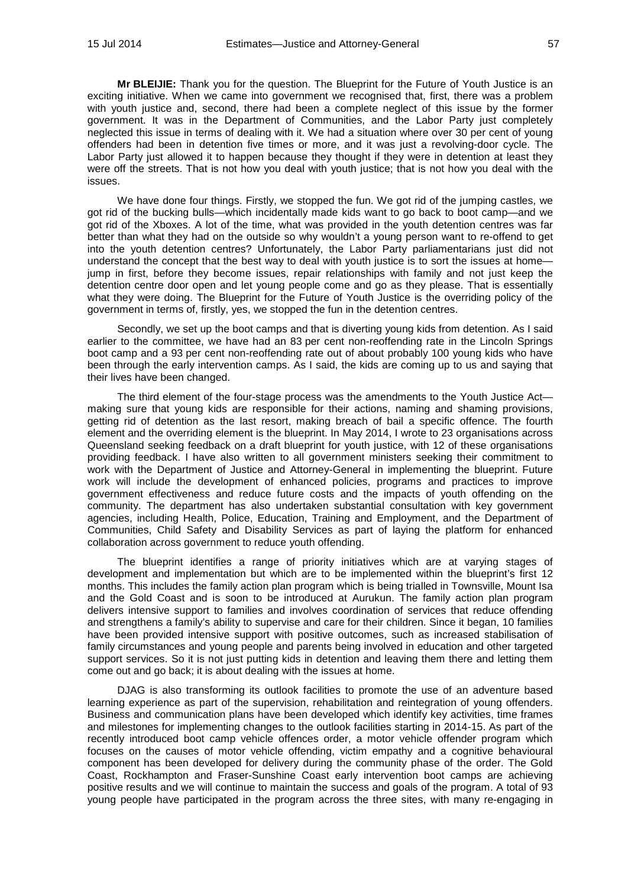**Mr BLEIJIE:** Thank you for the question. The Blueprint for the Future of Youth Justice is an exciting initiative. When we came into government we recognised that, first, there was a problem with youth justice and, second, there had been a complete neglect of this issue by the former government. It was in the Department of Communities, and the Labor Party just completely neglected this issue in terms of dealing with it. We had a situation where over 30 per cent of young offenders had been in detention five times or more, and it was just a revolving-door cycle. The Labor Party just allowed it to happen because they thought if they were in detention at least they were off the streets. That is not how you deal with youth justice; that is not how you deal with the issues.

We have done four things. Firstly, we stopped the fun. We got rid of the jumping castles, we got rid of the bucking bulls—which incidentally made kids want to go back to boot camp—and we got rid of the Xboxes. A lot of the time, what was provided in the youth detention centres was far better than what they had on the outside so why wouldn't a young person want to re-offend to get into the youth detention centres? Unfortunately, the Labor Party parliamentarians just did not understand the concept that the best way to deal with youth justice is to sort the issues at home jump in first, before they become issues, repair relationships with family and not just keep the detention centre door open and let young people come and go as they please. That is essentially what they were doing. The Blueprint for the Future of Youth Justice is the overriding policy of the government in terms of, firstly, yes, we stopped the fun in the detention centres.

Secondly, we set up the boot camps and that is diverting young kids from detention. As I said earlier to the committee, we have had an 83 per cent non-reoffending rate in the Lincoln Springs boot camp and a 93 per cent non-reoffending rate out of about probably 100 young kids who have been through the early intervention camps. As I said, the kids are coming up to us and saying that their lives have been changed.

The third element of the four-stage process was the amendments to the Youth Justice Act making sure that young kids are responsible for their actions, naming and shaming provisions, getting rid of detention as the last resort, making breach of bail a specific offence. The fourth element and the overriding element is the blueprint. In May 2014, I wrote to 23 organisations across Queensland seeking feedback on a draft blueprint for youth justice, with 12 of these organisations providing feedback. I have also written to all government ministers seeking their commitment to work with the Department of Justice and Attorney-General in implementing the blueprint. Future work will include the development of enhanced policies, programs and practices to improve government effectiveness and reduce future costs and the impacts of youth offending on the community. The department has also undertaken substantial consultation with key government agencies, including Health, Police, Education, Training and Employment, and the Department of Communities, Child Safety and Disability Services as part of laying the platform for enhanced collaboration across government to reduce youth offending.

The blueprint identifies a range of priority initiatives which are at varying stages of development and implementation but which are to be implemented within the blueprint's first 12 months. This includes the family action plan program which is being trialled in Townsville, Mount Isa and the Gold Coast and is soon to be introduced at Aurukun. The family action plan program delivers intensive support to families and involves coordination of services that reduce offending and strengthens a family's ability to supervise and care for their children. Since it began, 10 families have been provided intensive support with positive outcomes, such as increased stabilisation of family circumstances and young people and parents being involved in education and other targeted support services. So it is not just putting kids in detention and leaving them there and letting them come out and go back; it is about dealing with the issues at home.

DJAG is also transforming its outlook facilities to promote the use of an adventure based learning experience as part of the supervision, rehabilitation and reintegration of young offenders. Business and communication plans have been developed which identify key activities, time frames and milestones for implementing changes to the outlook facilities starting in 2014-15. As part of the recently introduced boot camp vehicle offences order, a motor vehicle offender program which focuses on the causes of motor vehicle offending, victim empathy and a cognitive behavioural component has been developed for delivery during the community phase of the order. The Gold Coast, Rockhampton and Fraser-Sunshine Coast early intervention boot camps are achieving positive results and we will continue to maintain the success and goals of the program. A total of 93 young people have participated in the program across the three sites, with many re-engaging in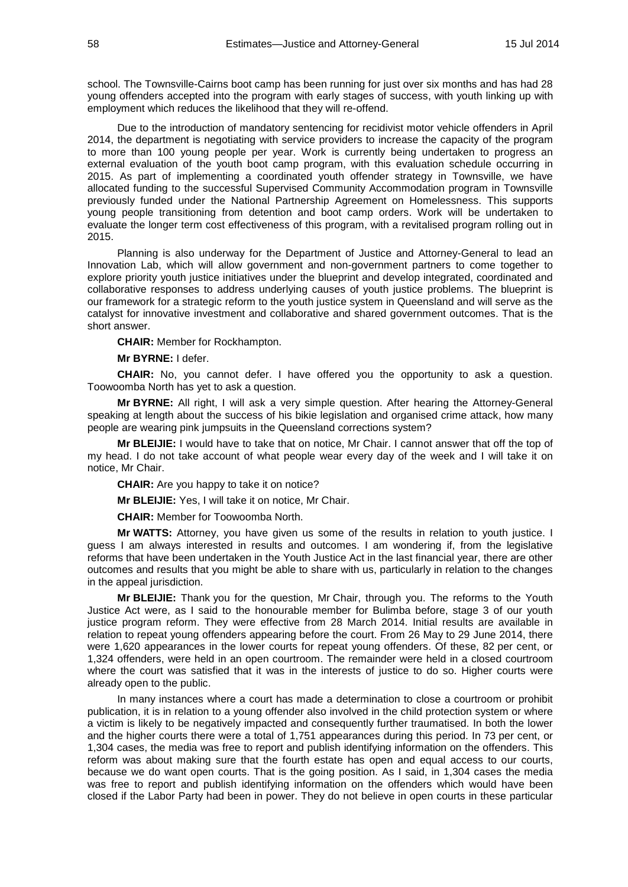school. The Townsville-Cairns boot camp has been running for just over six months and has had 28 young offenders accepted into the program with early stages of success, with youth linking up with employment which reduces the likelihood that they will re-offend.

Due to the introduction of mandatory sentencing for recidivist motor vehicle offenders in April 2014, the department is negotiating with service providers to increase the capacity of the program to more than 100 young people per year. Work is currently being undertaken to progress an external evaluation of the youth boot camp program, with this evaluation schedule occurring in 2015. As part of implementing a coordinated youth offender strategy in Townsville, we have allocated funding to the successful Supervised Community Accommodation program in Townsville previously funded under the National Partnership Agreement on Homelessness. This supports young people transitioning from detention and boot camp orders. Work will be undertaken to evaluate the longer term cost effectiveness of this program, with a revitalised program rolling out in 2015.

Planning is also underway for the Department of Justice and Attorney-General to lead an Innovation Lab, which will allow government and non-government partners to come together to explore priority youth justice initiatives under the blueprint and develop integrated, coordinated and collaborative responses to address underlying causes of youth justice problems. The blueprint is our framework for a strategic reform to the youth justice system in Queensland and will serve as the catalyst for innovative investment and collaborative and shared government outcomes. That is the short answer.

**CHAIR:** Member for Rockhampton.

**Mr BYRNE:** I defer.

**CHAIR:** No, you cannot defer. I have offered you the opportunity to ask a question. Toowoomba North has yet to ask a question.

**Mr BYRNE:** All right, I will ask a very simple question. After hearing the Attorney-General speaking at length about the success of his bikie legislation and organised crime attack, how many people are wearing pink jumpsuits in the Queensland corrections system?

**Mr BLEIJIE:** I would have to take that on notice, Mr Chair. I cannot answer that off the top of my head. I do not take account of what people wear every day of the week and I will take it on notice, Mr Chair.

**CHAIR:** Are you happy to take it on notice?

**Mr BLEIJIE:** Yes, I will take it on notice, Mr Chair.

**CHAIR:** Member for Toowoomba North.

**Mr WATTS:** Attorney, you have given us some of the results in relation to youth justice. I guess I am always interested in results and outcomes. I am wondering if, from the legislative reforms that have been undertaken in the Youth Justice Act in the last financial year, there are other outcomes and results that you might be able to share with us, particularly in relation to the changes in the appeal jurisdiction.

**Mr BLEIJIE:** Thank you for the question, Mr Chair, through you. The reforms to the Youth Justice Act were, as I said to the honourable member for Bulimba before, stage 3 of our youth justice program reform. They were effective from 28 March 2014. Initial results are available in relation to repeat young offenders appearing before the court. From 26 May to 29 June 2014, there were 1,620 appearances in the lower courts for repeat young offenders. Of these, 82 per cent, or 1,324 offenders, were held in an open courtroom. The remainder were held in a closed courtroom where the court was satisfied that it was in the interests of justice to do so. Higher courts were already open to the public.

In many instances where a court has made a determination to close a courtroom or prohibit publication, it is in relation to a young offender also involved in the child protection system or where a victim is likely to be negatively impacted and consequently further traumatised. In both the lower and the higher courts there were a total of 1,751 appearances during this period. In 73 per cent, or 1,304 cases, the media was free to report and publish identifying information on the offenders. This reform was about making sure that the fourth estate has open and equal access to our courts, because we do want open courts. That is the going position. As I said, in 1,304 cases the media was free to report and publish identifying information on the offenders which would have been closed if the Labor Party had been in power. They do not believe in open courts in these particular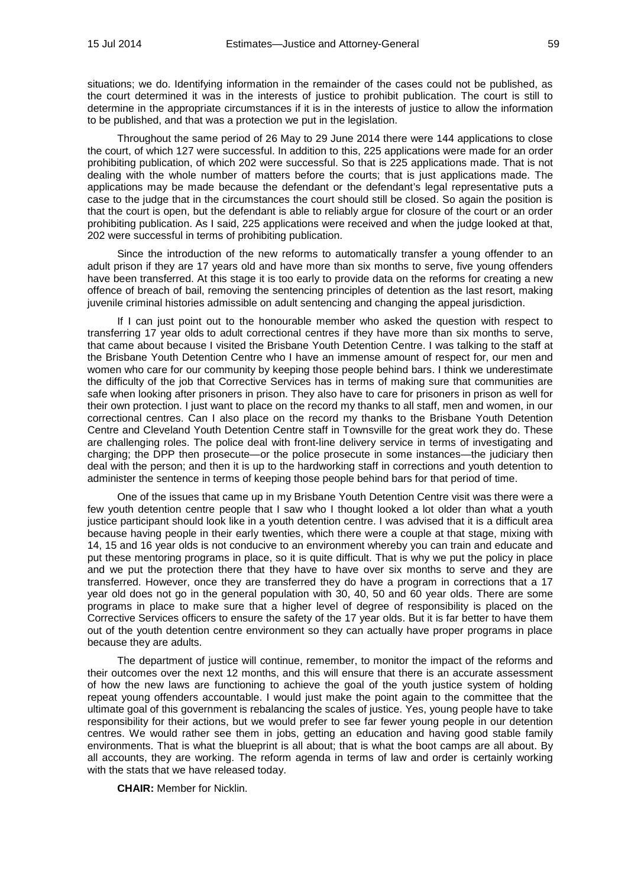situations; we do. Identifying information in the remainder of the cases could not be published, as the court determined it was in the interests of justice to prohibit publication. The court is still to determine in the appropriate circumstances if it is in the interests of justice to allow the information to be published, and that was a protection we put in the legislation.

Throughout the same period of 26 May to 29 June 2014 there were 144 applications to close the court, of which 127 were successful. In addition to this, 225 applications were made for an order prohibiting publication, of which 202 were successful. So that is 225 applications made. That is not dealing with the whole number of matters before the courts; that is just applications made. The applications may be made because the defendant or the defendant's legal representative puts a case to the judge that in the circumstances the court should still be closed. So again the position is that the court is open, but the defendant is able to reliably argue for closure of the court or an order prohibiting publication. As I said, 225 applications were received and when the judge looked at that, 202 were successful in terms of prohibiting publication.

Since the introduction of the new reforms to automatically transfer a young offender to an adult prison if they are 17 years old and have more than six months to serve, five young offenders have been transferred. At this stage it is too early to provide data on the reforms for creating a new offence of breach of bail, removing the sentencing principles of detention as the last resort, making juvenile criminal histories admissible on adult sentencing and changing the appeal jurisdiction.

If I can just point out to the honourable member who asked the question with respect to transferring 17 year olds to adult correctional centres if they have more than six months to serve, that came about because I visited the Brisbane Youth Detention Centre. I was talking to the staff at the Brisbane Youth Detention Centre who I have an immense amount of respect for, our men and women who care for our community by keeping those people behind bars. I think we underestimate the difficulty of the job that Corrective Services has in terms of making sure that communities are safe when looking after prisoners in prison. They also have to care for prisoners in prison as well for their own protection. I just want to place on the record my thanks to all staff, men and women, in our correctional centres. Can I also place on the record my thanks to the Brisbane Youth Detention Centre and Cleveland Youth Detention Centre staff in Townsville for the great work they do. These are challenging roles. The police deal with front-line delivery service in terms of investigating and charging; the DPP then prosecute—or the police prosecute in some instances—the judiciary then deal with the person; and then it is up to the hardworking staff in corrections and youth detention to administer the sentence in terms of keeping those people behind bars for that period of time.

One of the issues that came up in my Brisbane Youth Detention Centre visit was there were a few youth detention centre people that I saw who I thought looked a lot older than what a youth justice participant should look like in a youth detention centre. I was advised that it is a difficult area because having people in their early twenties, which there were a couple at that stage, mixing with 14, 15 and 16 year olds is not conducive to an environment whereby you can train and educate and put these mentoring programs in place, so it is quite difficult. That is why we put the policy in place and we put the protection there that they have to have over six months to serve and they are transferred. However, once they are transferred they do have a program in corrections that a 17 year old does not go in the general population with 30, 40, 50 and 60 year olds. There are some programs in place to make sure that a higher level of degree of responsibility is placed on the Corrective Services officers to ensure the safety of the 17 year olds. But it is far better to have them out of the youth detention centre environment so they can actually have proper programs in place because they are adults.

The department of justice will continue, remember, to monitor the impact of the reforms and their outcomes over the next 12 months, and this will ensure that there is an accurate assessment of how the new laws are functioning to achieve the goal of the youth justice system of holding repeat young offenders accountable. I would just make the point again to the committee that the ultimate goal of this government is rebalancing the scales of justice. Yes, young people have to take responsibility for their actions, but we would prefer to see far fewer young people in our detention centres. We would rather see them in jobs, getting an education and having good stable family environments. That is what the blueprint is all about; that is what the boot camps are all about. By all accounts, they are working. The reform agenda in terms of law and order is certainly working with the stats that we have released today.

**CHAIR:** Member for Nicklin.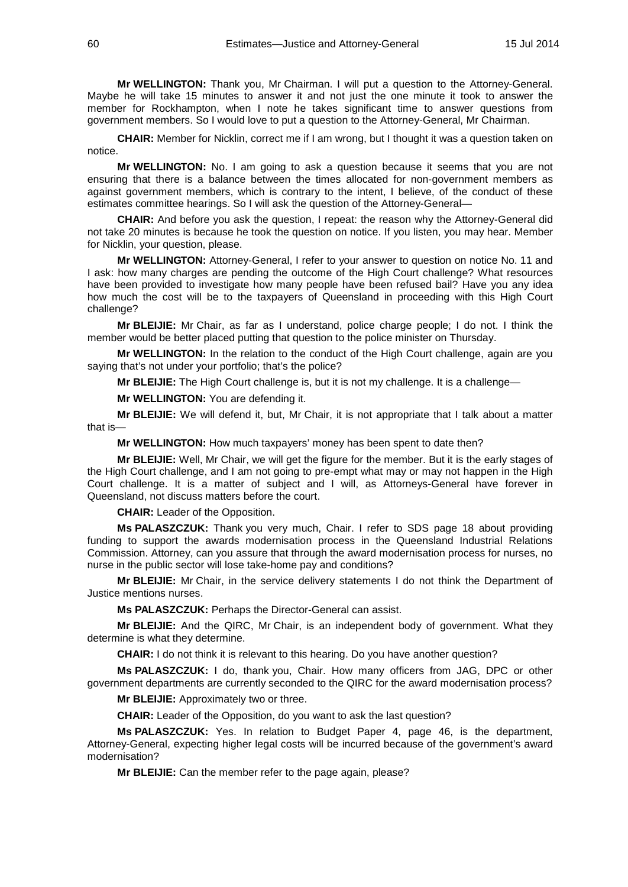**Mr WELLINGTON:** Thank you, Mr Chairman. I will put a question to the Attorney-General. Maybe he will take 15 minutes to answer it and not just the one minute it took to answer the member for Rockhampton, when I note he takes significant time to answer questions from government members. So I would love to put a question to the Attorney-General, Mr Chairman.

**CHAIR:** Member for Nicklin, correct me if I am wrong, but I thought it was a question taken on notice.

**Mr WELLINGTON:** No. I am going to ask a question because it seems that you are not ensuring that there is a balance between the times allocated for non-government members as against government members, which is contrary to the intent, I believe, of the conduct of these estimates committee hearings. So I will ask the question of the Attorney-General—

**CHAIR:** And before you ask the question, I repeat: the reason why the Attorney-General did not take 20 minutes is because he took the question on notice. If you listen, you may hear. Member for Nicklin, your question, please.

**Mr WELLINGTON:** Attorney-General, I refer to your answer to question on notice No. 11 and I ask: how many charges are pending the outcome of the High Court challenge? What resources have been provided to investigate how many people have been refused bail? Have you any idea how much the cost will be to the taxpayers of Queensland in proceeding with this High Court challenge?

**Mr BLEIJIE:** Mr Chair, as far as I understand, police charge people; I do not. I think the member would be better placed putting that question to the police minister on Thursday.

**Mr WELLINGTON:** In the relation to the conduct of the High Court challenge, again are you saying that's not under your portfolio; that's the police?

**Mr BLEIJIE:** The High Court challenge is, but it is not my challenge. It is a challenge—

**Mr WELLINGTON:** You are defending it.

**Mr BLEIJIE:** We will defend it, but, Mr Chair, it is not appropriate that I talk about a matter that is—

**Mr WELLINGTON:** How much taxpayers' money has been spent to date then?

**Mr BLEIJIE:** Well, Mr Chair, we will get the figure for the member. But it is the early stages of the High Court challenge, and I am not going to pre-empt what may or may not happen in the High Court challenge. It is a matter of subject and I will, as Attorneys-General have forever in Queensland, not discuss matters before the court.

**CHAIR:** Leader of the Opposition.

**Ms PALASZCZUK:** Thank you very much, Chair. I refer to SDS page 18 about providing funding to support the awards modernisation process in the Queensland Industrial Relations Commission. Attorney, can you assure that through the award modernisation process for nurses, no nurse in the public sector will lose take-home pay and conditions?

**Mr BLEIJIE:** Mr Chair, in the service delivery statements I do not think the Department of Justice mentions nurses.

**Ms PALASZCZUK:** Perhaps the Director-General can assist.

**Mr BLEIJIE:** And the QIRC, Mr Chair, is an independent body of government. What they determine is what they determine.

**CHAIR:** I do not think it is relevant to this hearing. Do you have another question?

**Ms PALASZCZUK:** I do, thank you, Chair. How many officers from JAG, DPC or other government departments are currently seconded to the QIRC for the award modernisation process?

**Mr BLEIJIE:** Approximately two or three.

**CHAIR:** Leader of the Opposition, do you want to ask the last question?

**Ms PALASZCZUK:** Yes. In relation to Budget Paper 4, page 46, is the department, Attorney-General, expecting higher legal costs will be incurred because of the government's award modernisation?

**Mr BLEIJIE:** Can the member refer to the page again, please?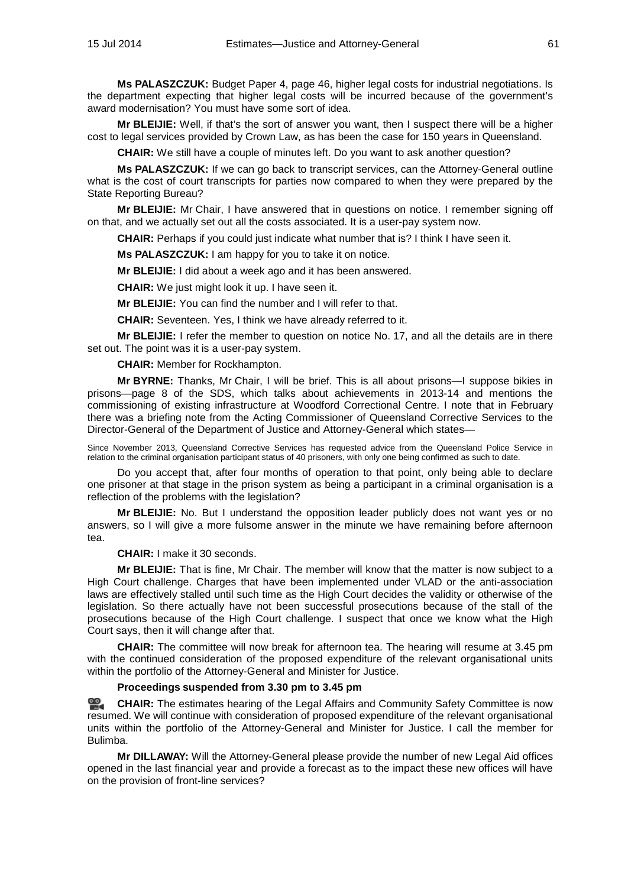**Ms PALASZCZUK:** Budget Paper 4, page 46, higher legal costs for industrial negotiations. Is the department expecting that higher legal costs will be incurred because of the government's award modernisation? You must have some sort of idea.

**Mr BLEIJIE:** Well, if that's the sort of answer you want, then I suspect there will be a higher cost to legal services provided by Crown Law, as has been the case for 150 years in Queensland.

**CHAIR:** We still have a couple of minutes left. Do you want to ask another question?

**Ms PALASZCZUK:** If we can go back to transcript services, can the Attorney-General outline what is the cost of court transcripts for parties now compared to when they were prepared by the State Reporting Bureau?

**Mr BLEIJIE:** Mr Chair, I have answered that in questions on notice. I remember signing off on that, and we actually set out all the costs associated. It is a user-pay system now.

**CHAIR:** Perhaps if you could just indicate what number that is? I think I have seen it.

**Ms PALASZCZUK:** I am happy for you to take it on notice.

**Mr BLEIJIE:** I did about a week ago and it has been answered.

**CHAIR:** We just might look it up. I have seen it.

**Mr BLEIJIE:** You can find the number and I will refer to that.

**CHAIR:** Seventeen. Yes, I think we have already referred to it.

**Mr BLEIJIE:** I refer the member to question on notice No. 17, and all the details are in there set out. The point was it is a user-pay system.

**CHAIR:** Member for Rockhampton.

**Mr BYRNE:** Thanks, Mr Chair, I will be brief. This is all about prisons—I suppose bikies in prisons—page 8 of the SDS, which talks about achievements in 2013-14 and mentions the commissioning of existing infrastructure at Woodford Correctional Centre. I note that in February there was a briefing note from the Acting Commissioner of Queensland Corrective Services to the Director-General of the Department of Justice and Attorney-General which states—

Since November 2013, Queensland Corrective Services has requested advice from the Queensland Police Service in relation to the criminal organisation participant status of 40 prisoners, with only one being confirmed as such to date.

Do you accept that, after four months of operation to that point, only being able to declare one prisoner at that stage in the prison system as being a participant in a criminal organisation is a reflection of the problems with the legislation?

**Mr BLEIJIE:** No. But I understand the opposition leader publicly does not want yes or no answers, so I will give a more fulsome answer in the minute we have remaining before afternoon tea.

**CHAIR:** I make it 30 seconds.

**Mr BLEIJIE:** That is fine, Mr Chair. The member will know that the matter is now subject to a High Court challenge. Charges that have been implemented under VLAD or the anti-association laws are effectively stalled until such time as the High Court decides the validity or otherwise of the legislation. So there actually have not been successful prosecutions because of the stall of the prosecutions because of the High Court challenge. I suspect that once we know what the High Court says, then it will change after that.

**CHAIR:** The committee will now break for afternoon tea. The hearing will resume at 3.45 pm with the continued consideration of the proposed expenditure of the relevant organisational units within the portfolio of the Attorney-General and Minister for Justice.

## **Proceedings suspended from 3.30 pm to 3.45 pm**

≌. **[CHAIR:](http://www.parliament.qld.gov.au/docs/find.aspx?id=0MbaLACSC20140715_154910)** The estimates hearing of the Legal Affairs and Community Safety Committee is now resumed. We will continue with consideration of proposed expenditure of the relevant organisational units within the portfolio of the Attorney-General and Minister for Justice. I call the member for Bulimba.

**Mr DILLAWAY:** Will the Attorney-General please provide the number of new Legal Aid offices opened in the last financial year and provide a forecast as to the impact these new offices will have on the provision of front-line services?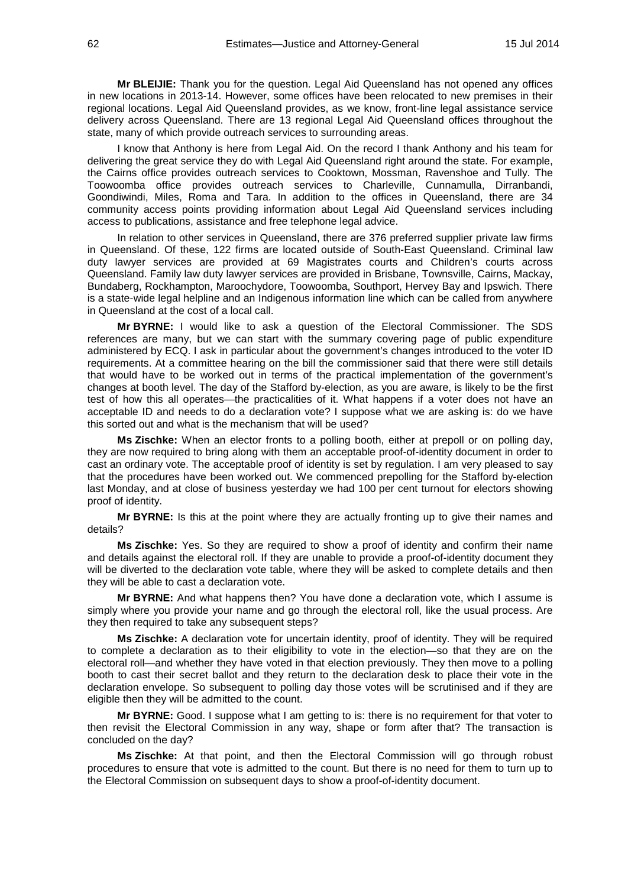**Mr BLEIJIE:** Thank you for the question. Legal Aid Queensland has not opened any offices in new locations in 2013-14. However, some offices have been relocated to new premises in their regional locations. Legal Aid Queensland provides, as we know, front-line legal assistance service delivery across Queensland. There are 13 regional Legal Aid Queensland offices throughout the state, many of which provide outreach services to surrounding areas.

I know that Anthony is here from Legal Aid. On the record I thank Anthony and his team for delivering the great service they do with Legal Aid Queensland right around the state. For example, the Cairns office provides outreach services to Cooktown, Mossman, Ravenshoe and Tully. The Toowoomba office provides outreach services to Charleville, Cunnamulla, Dirranbandi, Goondiwindi, Miles, Roma and Tara. In addition to the offices in Queensland, there are 34 community access points providing information about Legal Aid Queensland services including access to publications, assistance and free telephone legal advice.

In relation to other services in Queensland, there are 376 preferred supplier private law firms in Queensland. Of these, 122 firms are located outside of South-East Queensland. Criminal law duty lawyer services are provided at 69 Magistrates courts and Children's courts across Queensland. Family law duty lawyer services are provided in Brisbane, Townsville, Cairns, Mackay, Bundaberg, Rockhampton, Maroochydore, Toowoomba, Southport, Hervey Bay and Ipswich. There is a state-wide legal helpline and an Indigenous information line which can be called from anywhere in Queensland at the cost of a local call.

**Mr BYRNE:** I would like to ask a question of the Electoral Commissioner. The SDS references are many, but we can start with the summary covering page of public expenditure administered by ECQ. I ask in particular about the government's changes introduced to the voter ID requirements. At a committee hearing on the bill the commissioner said that there were still details that would have to be worked out in terms of the practical implementation of the government's changes at booth level. The day of the Stafford by-election, as you are aware, is likely to be the first test of how this all operates—the practicalities of it. What happens if a voter does not have an acceptable ID and needs to do a declaration vote? I suppose what we are asking is: do we have this sorted out and what is the mechanism that will be used?

**Ms Zischke:** When an elector fronts to a polling booth, either at prepoll or on polling day, they are now required to bring along with them an acceptable proof-of-identity document in order to cast an ordinary vote. The acceptable proof of identity is set by regulation. I am very pleased to say that the procedures have been worked out. We commenced prepolling for the Stafford by-election last Monday, and at close of business yesterday we had 100 per cent turnout for electors showing proof of identity.

**Mr BYRNE:** Is this at the point where they are actually fronting up to give their names and details?

**Ms Zischke:** Yes. So they are required to show a proof of identity and confirm their name and details against the electoral roll. If they are unable to provide a proof-of-identity document they will be diverted to the declaration vote table, where they will be asked to complete details and then they will be able to cast a declaration vote.

**Mr BYRNE:** And what happens then? You have done a declaration vote, which I assume is simply where you provide your name and go through the electoral roll, like the usual process. Are they then required to take any subsequent steps?

**Ms Zischke:** A declaration vote for uncertain identity, proof of identity. They will be required to complete a declaration as to their eligibility to vote in the election—so that they are on the electoral roll—and whether they have voted in that election previously. They then move to a polling booth to cast their secret ballot and they return to the declaration desk to place their vote in the declaration envelope. So subsequent to polling day those votes will be scrutinised and if they are eligible then they will be admitted to the count.

**Mr BYRNE:** Good. I suppose what I am getting to is: there is no requirement for that voter to then revisit the Electoral Commission in any way, shape or form after that? The transaction is concluded on the day?

**Ms Zischke:** At that point, and then the Electoral Commission will go through robust procedures to ensure that vote is admitted to the count. But there is no need for them to turn up to the Electoral Commission on subsequent days to show a proof-of-identity document.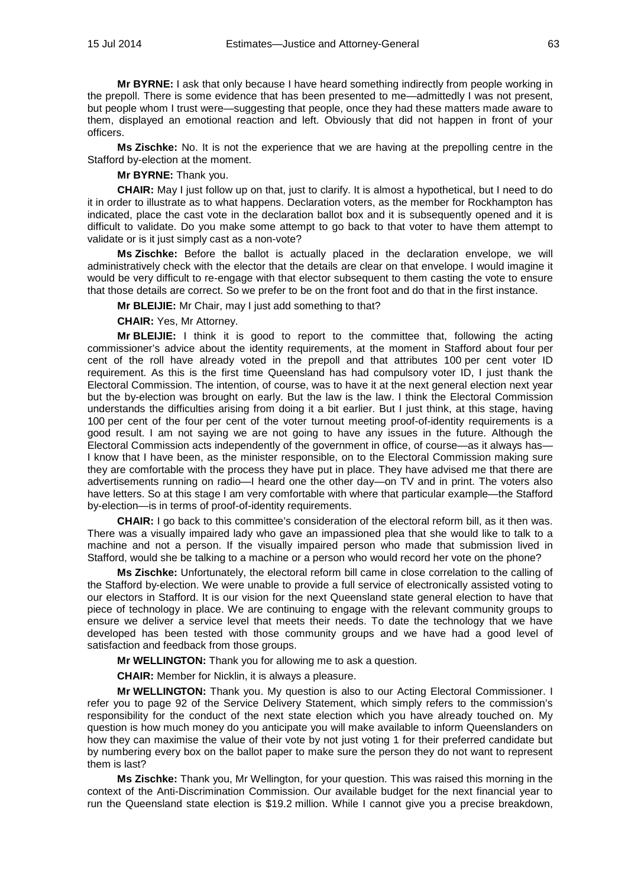**Mr BYRNE:** I ask that only because I have heard something indirectly from people working in the prepoll. There is some evidence that has been presented to me—admittedly I was not present, but people whom I trust were—suggesting that people, once they had these matters made aware to them, displayed an emotional reaction and left. Obviously that did not happen in front of your officers.

**Ms Zischke:** No. It is not the experience that we are having at the prepolling centre in the Stafford by-election at the moment.

**Mr BYRNE:** Thank you.

**CHAIR:** May I just follow up on that, just to clarify. It is almost a hypothetical, but I need to do it in order to illustrate as to what happens. Declaration voters, as the member for Rockhampton has indicated, place the cast vote in the declaration ballot box and it is subsequently opened and it is difficult to validate. Do you make some attempt to go back to that voter to have them attempt to validate or is it just simply cast as a non-vote?

**Ms Zischke:** Before the ballot is actually placed in the declaration envelope, we will administratively check with the elector that the details are clear on that envelope. I would imagine it would be very difficult to re-engage with that elector subsequent to them casting the vote to ensure that those details are correct. So we prefer to be on the front foot and do that in the first instance.

**Mr BLEIJIE:** Mr Chair, may I just add something to that?

**CHAIR:** Yes, Mr Attorney.

**Mr BLEIJIE:** I think it is good to report to the committee that, following the acting commissioner's advice about the identity requirements, at the moment in Stafford about four per cent of the roll have already voted in the prepoll and that attributes 100 per cent voter ID requirement. As this is the first time Queensland has had compulsory voter ID, I just thank the Electoral Commission. The intention, of course, was to have it at the next general election next year but the by-election was brought on early. But the law is the law. I think the Electoral Commission understands the difficulties arising from doing it a bit earlier. But I just think, at this stage, having 100 per cent of the four per cent of the voter turnout meeting proof-of-identity requirements is a good result. I am not saying we are not going to have any issues in the future. Although the Electoral Commission acts independently of the government in office, of course—as it always has— I know that I have been, as the minister responsible, on to the Electoral Commission making sure they are comfortable with the process they have put in place. They have advised me that there are advertisements running on radio—I heard one the other day—on TV and in print. The voters also have letters. So at this stage I am very comfortable with where that particular example—the Stafford by-election—is in terms of proof-of-identity requirements.

**CHAIR:** I go back to this committee's consideration of the electoral reform bill, as it then was. There was a visually impaired lady who gave an impassioned plea that she would like to talk to a machine and not a person. If the visually impaired person who made that submission lived in Stafford, would she be talking to a machine or a person who would record her vote on the phone?

**Ms Zischke:** Unfortunately, the electoral reform bill came in close correlation to the calling of the Stafford by-election. We were unable to provide a full service of electronically assisted voting to our electors in Stafford. It is our vision for the next Queensland state general election to have that piece of technology in place. We are continuing to engage with the relevant community groups to ensure we deliver a service level that meets their needs. To date the technology that we have developed has been tested with those community groups and we have had a good level of satisfaction and feedback from those groups.

**Mr WELLINGTON:** Thank you for allowing me to ask a question.

**CHAIR:** Member for Nicklin, it is always a pleasure.

**Mr WELLINGTON:** Thank you. My question is also to our Acting Electoral Commissioner. I refer you to page 92 of the Service Delivery Statement, which simply refers to the commission's responsibility for the conduct of the next state election which you have already touched on. My question is how much money do you anticipate you will make available to inform Queenslanders on how they can maximise the value of their vote by not just voting 1 for their preferred candidate but by numbering every box on the ballot paper to make sure the person they do not want to represent them is last?

**Ms Zischke:** Thank you, Mr Wellington, for your question. This was raised this morning in the context of the Anti-Discrimination Commission. Our available budget for the next financial year to run the Queensland state election is \$19.2 million. While I cannot give you a precise breakdown,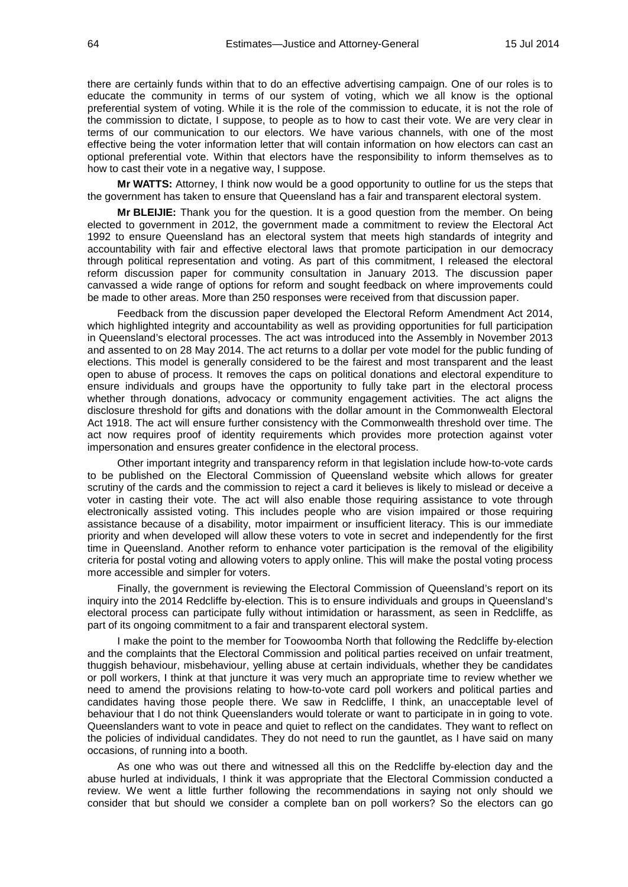there are certainly funds within that to do an effective advertising campaign. One of our roles is to educate the community in terms of our system of voting, which we all know is the optional preferential system of voting. While it is the role of the commission to educate, it is not the role of the commission to dictate, I suppose, to people as to how to cast their vote. We are very clear in terms of our communication to our electors. We have various channels, with one of the most effective being the voter information letter that will contain information on how electors can cast an optional preferential vote. Within that electors have the responsibility to inform themselves as to how to cast their vote in a negative way, I suppose.

**Mr WATTS:** Attorney, I think now would be a good opportunity to outline for us the steps that the government has taken to ensure that Queensland has a fair and transparent electoral system.

**Mr BLEIJIE:** Thank you for the question. It is a good question from the member. On being elected to government in 2012, the government made a commitment to review the Electoral Act 1992 to ensure Queensland has an electoral system that meets high standards of integrity and accountability with fair and effective electoral laws that promote participation in our democracy through political representation and voting. As part of this commitment, I released the electoral reform discussion paper for community consultation in January 2013. The discussion paper canvassed a wide range of options for reform and sought feedback on where improvements could be made to other areas. More than 250 responses were received from that discussion paper.

Feedback from the discussion paper developed the Electoral Reform Amendment Act 2014, which highlighted integrity and accountability as well as providing opportunities for full participation in Queensland's electoral processes. The act was introduced into the Assembly in November 2013 and assented to on 28 May 2014. The act returns to a dollar per vote model for the public funding of elections. This model is generally considered to be the fairest and most transparent and the least open to abuse of process. It removes the caps on political donations and electoral expenditure to ensure individuals and groups have the opportunity to fully take part in the electoral process whether through donations, advocacy or community engagement activities. The act aligns the disclosure threshold for gifts and donations with the dollar amount in the Commonwealth Electoral Act 1918. The act will ensure further consistency with the Commonwealth threshold over time. The act now requires proof of identity requirements which provides more protection against voter impersonation and ensures greater confidence in the electoral process.

Other important integrity and transparency reform in that legislation include how-to-vote cards to be published on the Electoral Commission of Queensland website which allows for greater scrutiny of the cards and the commission to reject a card it believes is likely to mislead or deceive a voter in casting their vote. The act will also enable those requiring assistance to vote through electronically assisted voting. This includes people who are vision impaired or those requiring assistance because of a disability, motor impairment or insufficient literacy. This is our immediate priority and when developed will allow these voters to vote in secret and independently for the first time in Queensland. Another reform to enhance voter participation is the removal of the eligibility criteria for postal voting and allowing voters to apply online. This will make the postal voting process more accessible and simpler for voters.

Finally, the government is reviewing the Electoral Commission of Queensland's report on its inquiry into the 2014 Redcliffe by-election. This is to ensure individuals and groups in Queensland's electoral process can participate fully without intimidation or harassment, as seen in Redcliffe, as part of its ongoing commitment to a fair and transparent electoral system.

I make the point to the member for Toowoomba North that following the Redcliffe by-election and the complaints that the Electoral Commission and political parties received on unfair treatment, thuggish behaviour, misbehaviour, yelling abuse at certain individuals, whether they be candidates or poll workers, I think at that juncture it was very much an appropriate time to review whether we need to amend the provisions relating to how-to-vote card poll workers and political parties and candidates having those people there. We saw in Redcliffe, I think, an unacceptable level of behaviour that I do not think Queenslanders would tolerate or want to participate in in going to vote. Queenslanders want to vote in peace and quiet to reflect on the candidates. They want to reflect on the policies of individual candidates. They do not need to run the gauntlet, as I have said on many occasions, of running into a booth.

As one who was out there and witnessed all this on the Redcliffe by-election day and the abuse hurled at individuals, I think it was appropriate that the Electoral Commission conducted a review. We went a little further following the recommendations in saying not only should we consider that but should we consider a complete ban on poll workers? So the electors can go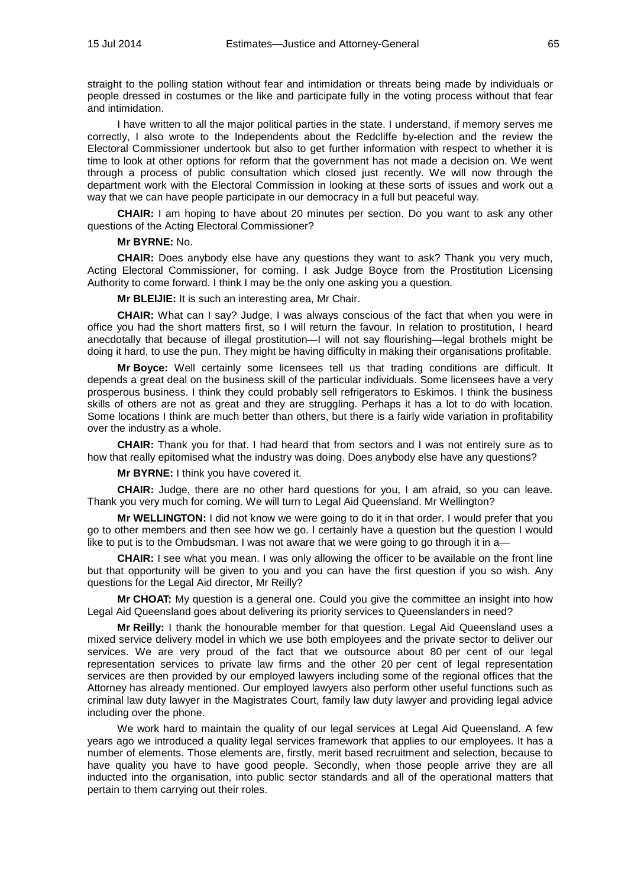straight to the polling station without fear and intimidation or threats being made by individuals or people dressed in costumes or the like and participate fully in the voting process without that fear and intimidation.

I have written to all the major political parties in the state. I understand, if memory serves me correctly, I also wrote to the Independents about the Redcliffe by-election and the review the Electoral Commissioner undertook but also to get further information with respect to whether it is time to look at other options for reform that the government has not made a decision on. We went through a process of public consultation which closed just recently. We will now through the department work with the Electoral Commission in looking at these sorts of issues and work out a way that we can have people participate in our democracy in a full but peaceful way.

**CHAIR:** I am hoping to have about 20 minutes per section. Do you want to ask any other questions of the Acting Electoral Commissioner?

### **Mr BYRNE:** No.

**CHAIR:** Does anybody else have any questions they want to ask? Thank you very much, Acting Electoral Commissioner, for coming. I ask Judge Boyce from the Prostitution Licensing Authority to come forward. I think I may be the only one asking you a question.

**Mr BLEIJIE:** It is such an interesting area, Mr Chair.

**CHAIR:** What can I say? Judge, I was always conscious of the fact that when you were in office you had the short matters first, so I will return the favour. In relation to prostitution, I heard anecdotally that because of illegal prostitution—I will not say flourishing—legal brothels might be doing it hard, to use the pun. They might be having difficulty in making their organisations profitable.

**Mr Boyce:** Well certainly some licensees tell us that trading conditions are difficult. It depends a great deal on the business skill of the particular individuals. Some licensees have a very prosperous business. I think they could probably sell refrigerators to Eskimos. I think the business skills of others are not as great and they are struggling. Perhaps it has a lot to do with location. Some locations I think are much better than others, but there is a fairly wide variation in profitability over the industry as a whole.

**CHAIR:** Thank you for that. I had heard that from sectors and I was not entirely sure as to how that really epitomised what the industry was doing. Does anybody else have any questions?

**Mr BYRNE:** I think you have covered it.

**CHAIR:** Judge, there are no other hard questions for you, I am afraid, so you can leave. Thank you very much for coming. We will turn to Legal Aid Queensland. Mr Wellington?

**Mr WELLINGTON:** I did not know we were going to do it in that order. I would prefer that you go to other members and then see how we go. I certainly have a question but the question I would like to put is to the Ombudsman. I was not aware that we were going to go through it in a-

**CHAIR:** I see what you mean. I was only allowing the officer to be available on the front line but that opportunity will be given to you and you can have the first question if you so wish. Any questions for the Legal Aid director, Mr Reilly?

**Mr CHOAT:** My question is a general one. Could you give the committee an insight into how Legal Aid Queensland goes about delivering its priority services to Queenslanders in need?

**Mr Reilly:** I thank the honourable member for that question. Legal Aid Queensland uses a mixed service delivery model in which we use both employees and the private sector to deliver our services. We are very proud of the fact that we outsource about 80 per cent of our legal representation services to private law firms and the other 20 per cent of legal representation services are then provided by our employed lawyers including some of the regional offices that the Attorney has already mentioned. Our employed lawyers also perform other useful functions such as criminal law duty lawyer in the Magistrates Court, family law duty lawyer and providing legal advice including over the phone.

We work hard to maintain the quality of our legal services at Legal Aid Queensland. A few years ago we introduced a quality legal services framework that applies to our employees. It has a number of elements. Those elements are, firstly, merit based recruitment and selection, because to have quality you have to have good people. Secondly, when those people arrive they are all inducted into the organisation, into public sector standards and all of the operational matters that pertain to them carrying out their roles.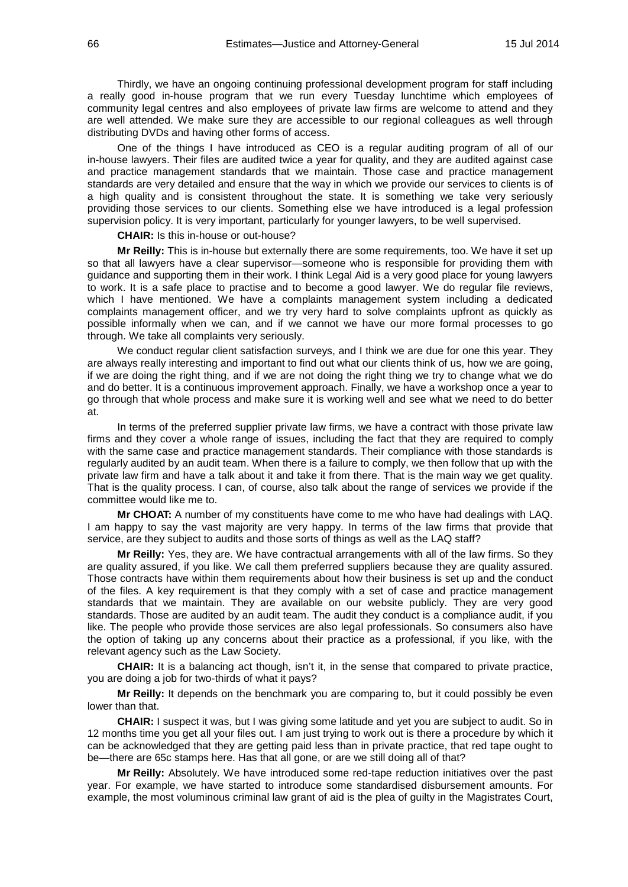Thirdly, we have an ongoing continuing professional development program for staff including a really good in-house program that we run every Tuesday lunchtime which employees of community legal centres and also employees of private law firms are welcome to attend and they are well attended. We make sure they are accessible to our regional colleagues as well through distributing DVDs and having other forms of access.

One of the things I have introduced as CEO is a regular auditing program of all of our in-house lawyers. Their files are audited twice a year for quality, and they are audited against case and practice management standards that we maintain. Those case and practice management standards are very detailed and ensure that the way in which we provide our services to clients is of a high quality and is consistent throughout the state. It is something we take very seriously providing those services to our clients. Something else we have introduced is a legal profession supervision policy. It is very important, particularly for younger lawyers, to be well supervised.

## **CHAIR:** Is this in-house or out-house?

**Mr Reilly:** This is in-house but externally there are some requirements, too. We have it set up so that all lawyers have a clear supervisor—someone who is responsible for providing them with guidance and supporting them in their work. I think Legal Aid is a very good place for young lawyers to work. It is a safe place to practise and to become a good lawyer. We do regular file reviews, which I have mentioned. We have a complaints management system including a dedicated complaints management officer, and we try very hard to solve complaints upfront as quickly as possible informally when we can, and if we cannot we have our more formal processes to go through. We take all complaints very seriously.

We conduct regular client satisfaction surveys, and I think we are due for one this year. They are always really interesting and important to find out what our clients think of us, how we are going, if we are doing the right thing, and if we are not doing the right thing we try to change what we do and do better. It is a continuous improvement approach. Finally, we have a workshop once a year to go through that whole process and make sure it is working well and see what we need to do better at.

In terms of the preferred supplier private law firms, we have a contract with those private law firms and they cover a whole range of issues, including the fact that they are required to comply with the same case and practice management standards. Their compliance with those standards is regularly audited by an audit team. When there is a failure to comply, we then follow that up with the private law firm and have a talk about it and take it from there. That is the main way we get quality. That is the quality process. I can, of course, also talk about the range of services we provide if the committee would like me to.

**Mr CHOAT:** A number of my constituents have come to me who have had dealings with LAQ. I am happy to say the vast majority are very happy. In terms of the law firms that provide that service, are they subject to audits and those sorts of things as well as the LAQ staff?

**Mr Reilly:** Yes, they are. We have contractual arrangements with all of the law firms. So they are quality assured, if you like. We call them preferred suppliers because they are quality assured. Those contracts have within them requirements about how their business is set up and the conduct of the files. A key requirement is that they comply with a set of case and practice management standards that we maintain. They are available on our website publicly. They are very good standards. Those are audited by an audit team. The audit they conduct is a compliance audit, if you like. The people who provide those services are also legal professionals. So consumers also have the option of taking up any concerns about their practice as a professional, if you like, with the relevant agency such as the Law Society.

**CHAIR:** It is a balancing act though, isn't it, in the sense that compared to private practice, you are doing a job for two-thirds of what it pays?

**Mr Reilly:** It depends on the benchmark you are comparing to, but it could possibly be even lower than that.

**CHAIR:** I suspect it was, but I was giving some latitude and yet you are subject to audit. So in 12 months time you get all your files out. I am just trying to work out is there a procedure by which it can be acknowledged that they are getting paid less than in private practice, that red tape ought to be—there are 65c stamps here. Has that all gone, or are we still doing all of that?

**Mr Reilly:** Absolutely. We have introduced some red-tape reduction initiatives over the past year. For example, we have started to introduce some standardised disbursement amounts. For example, the most voluminous criminal law grant of aid is the plea of guilty in the Magistrates Court,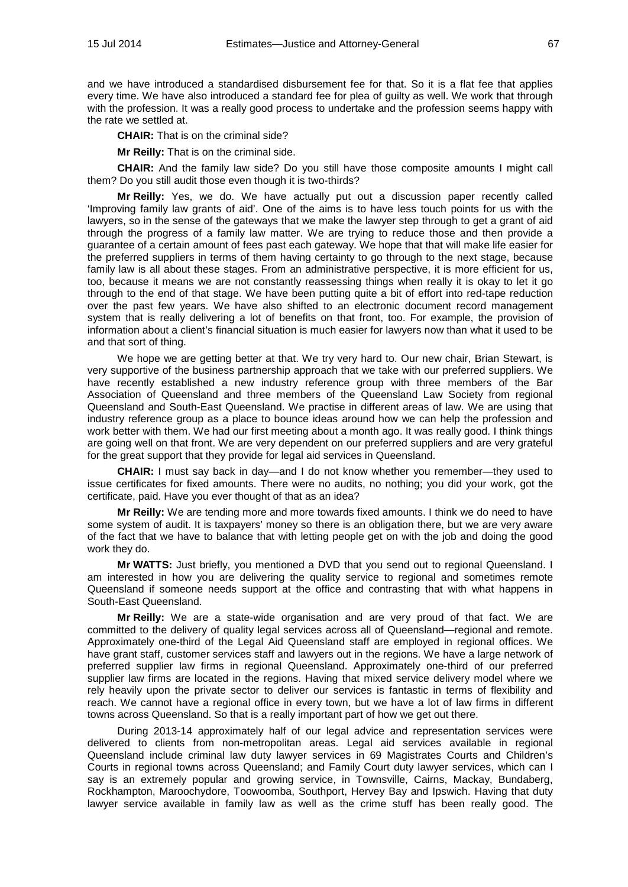and we have introduced a standardised disbursement fee for that. So it is a flat fee that applies every time. We have also introduced a standard fee for plea of guilty as well. We work that through with the profession. It was a really good process to undertake and the profession seems happy with the rate we settled at.

**CHAIR:** That is on the criminal side?

**Mr Reilly:** That is on the criminal side.

**CHAIR:** And the family law side? Do you still have those composite amounts I might call them? Do you still audit those even though it is two-thirds?

**Mr Reilly:** Yes, we do. We have actually put out a discussion paper recently called 'Improving family law grants of aid'. One of the aims is to have less touch points for us with the lawyers, so in the sense of the gateways that we make the lawyer step through to get a grant of aid through the progress of a family law matter. We are trying to reduce those and then provide a guarantee of a certain amount of fees past each gateway. We hope that that will make life easier for the preferred suppliers in terms of them having certainty to go through to the next stage, because family law is all about these stages. From an administrative perspective, it is more efficient for us, too, because it means we are not constantly reassessing things when really it is okay to let it go through to the end of that stage. We have been putting quite a bit of effort into red-tape reduction over the past few years. We have also shifted to an electronic document record management system that is really delivering a lot of benefits on that front, too. For example, the provision of information about a client's financial situation is much easier for lawyers now than what it used to be and that sort of thing.

We hope we are getting better at that. We try very hard to. Our new chair, Brian Stewart, is very supportive of the business partnership approach that we take with our preferred suppliers. We have recently established a new industry reference group with three members of the Bar Association of Queensland and three members of the Queensland Law Society from regional Queensland and South-East Queensland. We practise in different areas of law. We are using that industry reference group as a place to bounce ideas around how we can help the profession and work better with them. We had our first meeting about a month ago. It was really good. I think things are going well on that front. We are very dependent on our preferred suppliers and are very grateful for the great support that they provide for legal aid services in Queensland.

**CHAIR:** I must say back in day—and I do not know whether you remember—they used to issue certificates for fixed amounts. There were no audits, no nothing; you did your work, got the certificate, paid. Have you ever thought of that as an idea?

**Mr Reilly:** We are tending more and more towards fixed amounts. I think we do need to have some system of audit. It is taxpayers' money so there is an obligation there, but we are very aware of the fact that we have to balance that with letting people get on with the job and doing the good work they do.

**Mr WATTS:** Just briefly, you mentioned a DVD that you send out to regional Queensland. I am interested in how you are delivering the quality service to regional and sometimes remote Queensland if someone needs support at the office and contrasting that with what happens in South-East Queensland.

**Mr Reilly:** We are a state-wide organisation and are very proud of that fact. We are committed to the delivery of quality legal services across all of Queensland—regional and remote. Approximately one-third of the Legal Aid Queensland staff are employed in regional offices. We have grant staff, customer services staff and lawyers out in the regions. We have a large network of preferred supplier law firms in regional Queensland. Approximately one-third of our preferred supplier law firms are located in the regions. Having that mixed service delivery model where we rely heavily upon the private sector to deliver our services is fantastic in terms of flexibility and reach. We cannot have a regional office in every town, but we have a lot of law firms in different towns across Queensland. So that is a really important part of how we get out there.

During 2013-14 approximately half of our legal advice and representation services were delivered to clients from non-metropolitan areas. Legal aid services available in regional Queensland include criminal law duty lawyer services in 69 Magistrates Courts and Children's Courts in regional towns across Queensland; and Family Court duty lawyer services, which can I say is an extremely popular and growing service, in Townsville, Cairns, Mackay, Bundaberg, Rockhampton, Maroochydore, Toowoomba, Southport, Hervey Bay and Ipswich. Having that duty lawyer service available in family law as well as the crime stuff has been really good. The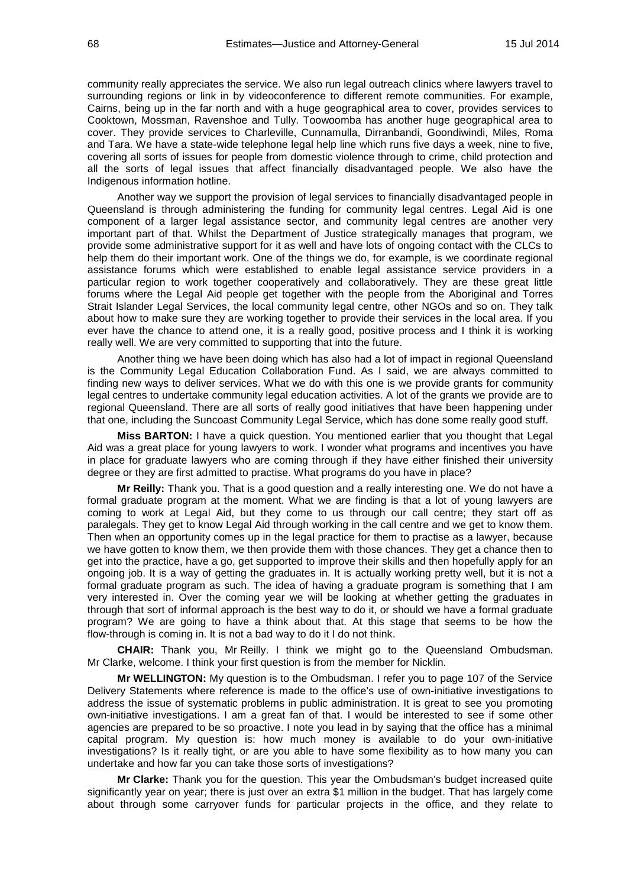community really appreciates the service. We also run legal outreach clinics where lawyers travel to surrounding regions or link in by videoconference to different remote communities. For example, Cairns, being up in the far north and with a huge geographical area to cover, provides services to Cooktown, Mossman, Ravenshoe and Tully. Toowoomba has another huge geographical area to cover. They provide services to Charleville, Cunnamulla, Dirranbandi, Goondiwindi, Miles, Roma and Tara. We have a state-wide telephone legal help line which runs five days a week, nine to five, covering all sorts of issues for people from domestic violence through to crime, child protection and all the sorts of legal issues that affect financially disadvantaged people. We also have the Indigenous information hotline.

Another way we support the provision of legal services to financially disadvantaged people in Queensland is through administering the funding for community legal centres. Legal Aid is one component of a larger legal assistance sector, and community legal centres are another very important part of that. Whilst the Department of Justice strategically manages that program, we provide some administrative support for it as well and have lots of ongoing contact with the CLCs to help them do their important work. One of the things we do, for example, is we coordinate regional assistance forums which were established to enable legal assistance service providers in a particular region to work together cooperatively and collaboratively. They are these great little forums where the Legal Aid people get together with the people from the Aboriginal and Torres Strait Islander Legal Services, the local community legal centre, other NGOs and so on. They talk about how to make sure they are working together to provide their services in the local area. If you ever have the chance to attend one, it is a really good, positive process and I think it is working really well. We are very committed to supporting that into the future.

Another thing we have been doing which has also had a lot of impact in regional Queensland is the Community Legal Education Collaboration Fund. As I said, we are always committed to finding new ways to deliver services. What we do with this one is we provide grants for community legal centres to undertake community legal education activities. A lot of the grants we provide are to regional Queensland. There are all sorts of really good initiatives that have been happening under that one, including the Suncoast Community Legal Service, which has done some really good stuff.

**Miss BARTON:** I have a quick question. You mentioned earlier that you thought that Legal Aid was a great place for young lawyers to work. I wonder what programs and incentives you have in place for graduate lawyers who are coming through if they have either finished their university degree or they are first admitted to practise. What programs do you have in place?

**Mr Reilly:** Thank you. That is a good question and a really interesting one. We do not have a formal graduate program at the moment. What we are finding is that a lot of young lawyers are coming to work at Legal Aid, but they come to us through our call centre; they start off as paralegals. They get to know Legal Aid through working in the call centre and we get to know them. Then when an opportunity comes up in the legal practice for them to practise as a lawyer, because we have gotten to know them, we then provide them with those chances. They get a chance then to get into the practice, have a go, get supported to improve their skills and then hopefully apply for an ongoing job. It is a way of getting the graduates in. It is actually working pretty well, but it is not a formal graduate program as such. The idea of having a graduate program is something that I am very interested in. Over the coming year we will be looking at whether getting the graduates in through that sort of informal approach is the best way to do it, or should we have a formal graduate program? We are going to have a think about that. At this stage that seems to be how the flow-through is coming in. It is not a bad way to do it I do not think.

**CHAIR:** Thank you, Mr Reilly. I think we might go to the Queensland Ombudsman. Mr Clarke, welcome. I think your first question is from the member for Nicklin.

**Mr WELLINGTON:** My question is to the Ombudsman. I refer you to page 107 of the Service Delivery Statements where reference is made to the office's use of own-initiative investigations to address the issue of systematic problems in public administration. It is great to see you promoting own-initiative investigations. I am a great fan of that. I would be interested to see if some other agencies are prepared to be so proactive. I note you lead in by saying that the office has a minimal capital program. My question is: how much money is available to do your own-initiative investigations? Is it really tight, or are you able to have some flexibility as to how many you can undertake and how far you can take those sorts of investigations?

**Mr Clarke:** Thank you for the question. This year the Ombudsman's budget increased quite significantly year on year; there is just over an extra \$1 million in the budget. That has largely come about through some carryover funds for particular projects in the office, and they relate to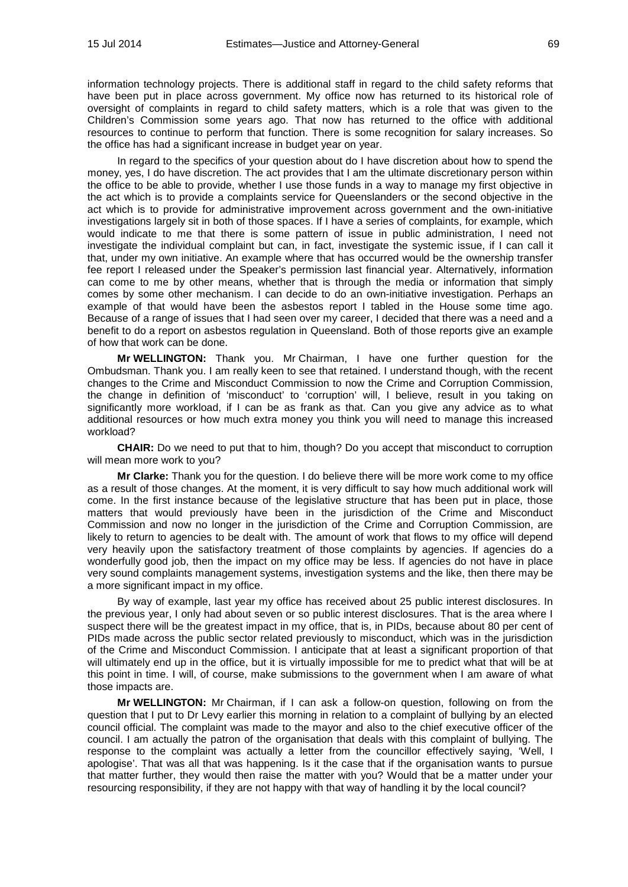information technology projects. There is additional staff in regard to the child safety reforms that have been put in place across government. My office now has returned to its historical role of oversight of complaints in regard to child safety matters, which is a role that was given to the Children's Commission some years ago. That now has returned to the office with additional resources to continue to perform that function. There is some recognition for salary increases. So the office has had a significant increase in budget year on year.

In regard to the specifics of your question about do I have discretion about how to spend the money, yes, I do have discretion. The act provides that I am the ultimate discretionary person within the office to be able to provide, whether I use those funds in a way to manage my first objective in the act which is to provide a complaints service for Queenslanders or the second objective in the act which is to provide for administrative improvement across government and the own-initiative investigations largely sit in both of those spaces. If I have a series of complaints, for example, which would indicate to me that there is some pattern of issue in public administration, I need not investigate the individual complaint but can, in fact, investigate the systemic issue, if I can call it that, under my own initiative. An example where that has occurred would be the ownership transfer fee report I released under the Speaker's permission last financial year. Alternatively, information can come to me by other means, whether that is through the media or information that simply comes by some other mechanism. I can decide to do an own-initiative investigation. Perhaps an example of that would have been the asbestos report I tabled in the House some time ago. Because of a range of issues that I had seen over my career, I decided that there was a need and a benefit to do a report on asbestos regulation in Queensland. Both of those reports give an example of how that work can be done.

**Mr WELLINGTON:** Thank you. Mr Chairman, I have one further question for the Ombudsman. Thank you. I am really keen to see that retained. I understand though, with the recent changes to the Crime and Misconduct Commission to now the Crime and Corruption Commission, the change in definition of 'misconduct' to 'corruption' will, I believe, result in you taking on significantly more workload, if I can be as frank as that. Can you give any advice as to what additional resources or how much extra money you think you will need to manage this increased workload?

**CHAIR:** Do we need to put that to him, though? Do you accept that misconduct to corruption will mean more work to you?

**Mr Clarke:** Thank you for the question. I do believe there will be more work come to my office as a result of those changes. At the moment, it is very difficult to say how much additional work will come. In the first instance because of the legislative structure that has been put in place, those matters that would previously have been in the jurisdiction of the Crime and Misconduct Commission and now no longer in the jurisdiction of the Crime and Corruption Commission, are likely to return to agencies to be dealt with. The amount of work that flows to my office will depend very heavily upon the satisfactory treatment of those complaints by agencies. If agencies do a wonderfully good job, then the impact on my office may be less. If agencies do not have in place very sound complaints management systems, investigation systems and the like, then there may be a more significant impact in my office.

By way of example, last year my office has received about 25 public interest disclosures. In the previous year, I only had about seven or so public interest disclosures. That is the area where I suspect there will be the greatest impact in my office, that is, in PIDs, because about 80 per cent of PIDs made across the public sector related previously to misconduct, which was in the jurisdiction of the Crime and Misconduct Commission. I anticipate that at least a significant proportion of that will ultimately end up in the office, but it is virtually impossible for me to predict what that will be at this point in time. I will, of course, make submissions to the government when I am aware of what those impacts are.

**Mr WELLINGTON:** Mr Chairman, if I can ask a follow-on question, following on from the question that I put to Dr Levy earlier this morning in relation to a complaint of bullying by an elected council official. The complaint was made to the mayor and also to the chief executive officer of the council. I am actually the patron of the organisation that deals with this complaint of bullying. The response to the complaint was actually a letter from the councillor effectively saying, 'Well, I apologise'. That was all that was happening. Is it the case that if the organisation wants to pursue that matter further, they would then raise the matter with you? Would that be a matter under your resourcing responsibility, if they are not happy with that way of handling it by the local council?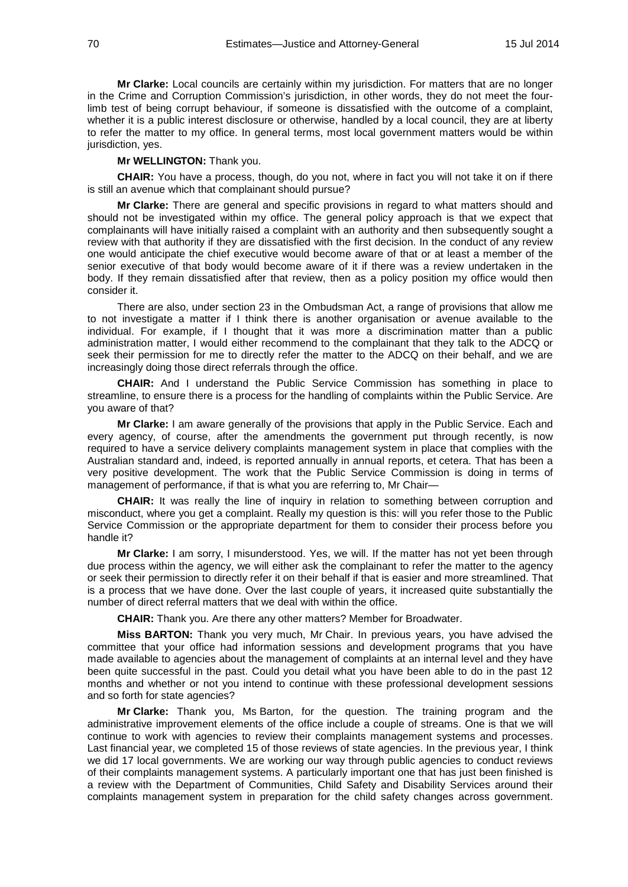**Mr Clarke:** Local councils are certainly within my jurisdiction. For matters that are no longer in the Crime and Corruption Commission's jurisdiction, in other words, they do not meet the fourlimb test of being corrupt behaviour, if someone is dissatisfied with the outcome of a complaint, whether it is a public interest disclosure or otherwise, handled by a local council, they are at liberty to refer the matter to my office. In general terms, most local government matters would be within jurisdiction, yes.

## **Mr WELLINGTON:** Thank you.

**CHAIR:** You have a process, though, do you not, where in fact you will not take it on if there is still an avenue which that complainant should pursue?

**Mr Clarke:** There are general and specific provisions in regard to what matters should and should not be investigated within my office. The general policy approach is that we expect that complainants will have initially raised a complaint with an authority and then subsequently sought a review with that authority if they are dissatisfied with the first decision. In the conduct of any review one would anticipate the chief executive would become aware of that or at least a member of the senior executive of that body would become aware of it if there was a review undertaken in the body. If they remain dissatisfied after that review, then as a policy position my office would then consider it.

There are also, under section 23 in the Ombudsman Act, a range of provisions that allow me to not investigate a matter if I think there is another organisation or avenue available to the individual. For example, if I thought that it was more a discrimination matter than a public administration matter, I would either recommend to the complainant that they talk to the ADCQ or seek their permission for me to directly refer the matter to the ADCQ on their behalf, and we are increasingly doing those direct referrals through the office.

**CHAIR:** And I understand the Public Service Commission has something in place to streamline, to ensure there is a process for the handling of complaints within the Public Service. Are you aware of that?

**Mr Clarke:** I am aware generally of the provisions that apply in the Public Service. Each and every agency, of course, after the amendments the government put through recently, is now required to have a service delivery complaints management system in place that complies with the Australian standard and, indeed, is reported annually in annual reports, et cetera. That has been a very positive development. The work that the Public Service Commission is doing in terms of management of performance, if that is what you are referring to, Mr Chair—

**CHAIR:** It was really the line of inquiry in relation to something between corruption and misconduct, where you get a complaint. Really my question is this: will you refer those to the Public Service Commission or the appropriate department for them to consider their process before you handle it?

**Mr Clarke:** I am sorry, I misunderstood. Yes, we will. If the matter has not yet been through due process within the agency, we will either ask the complainant to refer the matter to the agency or seek their permission to directly refer it on their behalf if that is easier and more streamlined. That is a process that we have done. Over the last couple of years, it increased quite substantially the number of direct referral matters that we deal with within the office.

**CHAIR:** Thank you. Are there any other matters? Member for Broadwater.

**Miss BARTON:** Thank you very much, Mr Chair. In previous years, you have advised the committee that your office had information sessions and development programs that you have made available to agencies about the management of complaints at an internal level and they have been quite successful in the past. Could you detail what you have been able to do in the past 12 months and whether or not you intend to continue with these professional development sessions and so forth for state agencies?

**Mr Clarke:** Thank you, Ms Barton, for the question. The training program and the administrative improvement elements of the office include a couple of streams. One is that we will continue to work with agencies to review their complaints management systems and processes. Last financial year, we completed 15 of those reviews of state agencies. In the previous year, I think we did 17 local governments. We are working our way through public agencies to conduct reviews of their complaints management systems. A particularly important one that has just been finished is a review with the Department of Communities, Child Safety and Disability Services around their complaints management system in preparation for the child safety changes across government.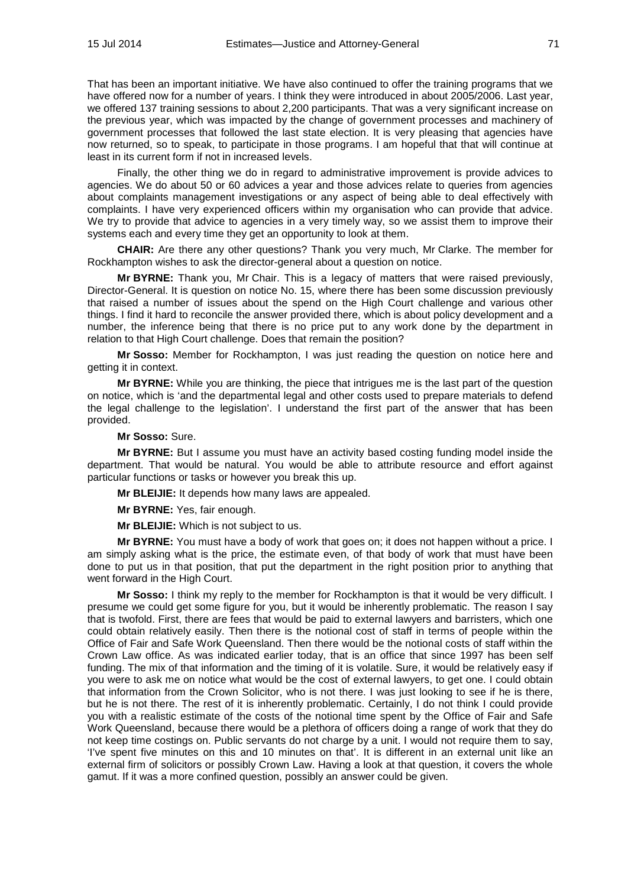That has been an important initiative. We have also continued to offer the training programs that we have offered now for a number of years. I think they were introduced in about 2005/2006. Last year, we offered 137 training sessions to about 2,200 participants. That was a very significant increase on the previous year, which was impacted by the change of government processes and machinery of government processes that followed the last state election. It is very pleasing that agencies have now returned, so to speak, to participate in those programs. I am hopeful that that will continue at least in its current form if not in increased levels.

Finally, the other thing we do in regard to administrative improvement is provide advices to agencies. We do about 50 or 60 advices a year and those advices relate to queries from agencies about complaints management investigations or any aspect of being able to deal effectively with complaints. I have very experienced officers within my organisation who can provide that advice. We try to provide that advice to agencies in a very timely way, so we assist them to improve their systems each and every time they get an opportunity to look at them.

**CHAIR:** Are there any other questions? Thank you very much, Mr Clarke. The member for Rockhampton wishes to ask the director-general about a question on notice.

**Mr BYRNE:** Thank you, Mr Chair. This is a legacy of matters that were raised previously, Director-General. It is question on notice No. 15, where there has been some discussion previously that raised a number of issues about the spend on the High Court challenge and various other things. I find it hard to reconcile the answer provided there, which is about policy development and a number, the inference being that there is no price put to any work done by the department in relation to that High Court challenge. Does that remain the position?

**Mr Sosso:** Member for Rockhampton, I was just reading the question on notice here and getting it in context.

**Mr BYRNE:** While you are thinking, the piece that intrigues me is the last part of the question on notice, which is 'and the departmental legal and other costs used to prepare materials to defend the legal challenge to the legislation'. I understand the first part of the answer that has been provided.

### **Mr Sosso:** Sure.

**Mr BYRNE:** But I assume you must have an activity based costing funding model inside the department. That would be natural. You would be able to attribute resource and effort against particular functions or tasks or however you break this up.

**Mr BLEIJIE:** It depends how many laws are appealed.

**Mr BYRNE:** Yes, fair enough.

**Mr BLEIJIE:** Which is not subject to us.

**Mr BYRNE:** You must have a body of work that goes on; it does not happen without a price. I am simply asking what is the price, the estimate even, of that body of work that must have been done to put us in that position, that put the department in the right position prior to anything that went forward in the High Court.

**Mr Sosso:** I think my reply to the member for Rockhampton is that it would be very difficult. I presume we could get some figure for you, but it would be inherently problematic. The reason I say that is twofold. First, there are fees that would be paid to external lawyers and barristers, which one could obtain relatively easily. Then there is the notional cost of staff in terms of people within the Office of Fair and Safe Work Queensland. Then there would be the notional costs of staff within the Crown Law office. As was indicated earlier today, that is an office that since 1997 has been self funding. The mix of that information and the timing of it is volatile. Sure, it would be relatively easy if you were to ask me on notice what would be the cost of external lawyers, to get one. I could obtain that information from the Crown Solicitor, who is not there. I was just looking to see if he is there, but he is not there. The rest of it is inherently problematic. Certainly, I do not think I could provide you with a realistic estimate of the costs of the notional time spent by the Office of Fair and Safe Work Queensland, because there would be a plethora of officers doing a range of work that they do not keep time costings on. Public servants do not charge by a unit. I would not require them to say, 'I've spent five minutes on this and 10 minutes on that'. It is different in an external unit like an external firm of solicitors or possibly Crown Law. Having a look at that question, it covers the whole gamut. If it was a more confined question, possibly an answer could be given.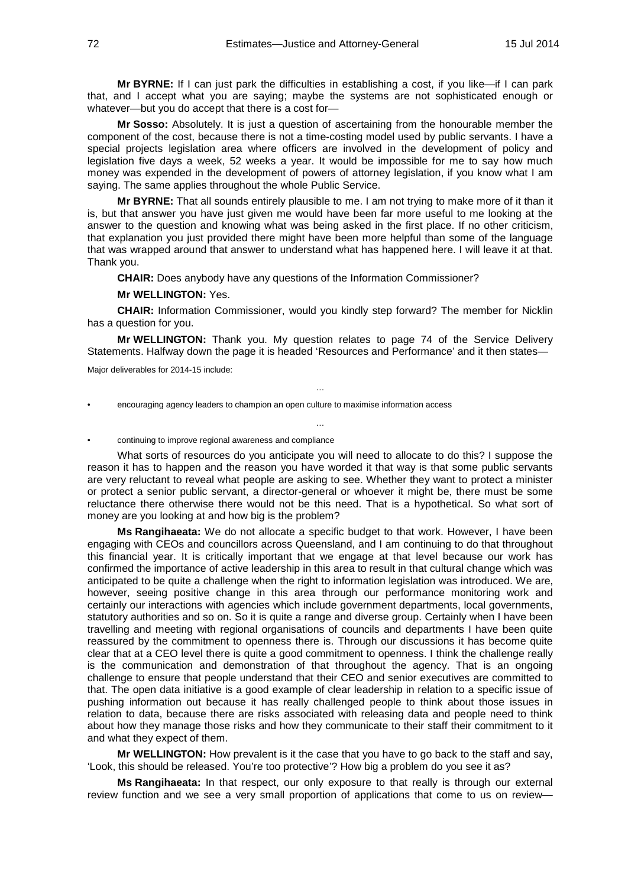**Mr BYRNE:** If I can just park the difficulties in establishing a cost, if you like—if I can park that, and I accept what you are saying; maybe the systems are not sophisticated enough or whatever—but you do accept that there is a cost for—

**Mr Sosso:** Absolutely. It is just a question of ascertaining from the honourable member the component of the cost, because there is not a time-costing model used by public servants. I have a special projects legislation area where officers are involved in the development of policy and legislation five days a week, 52 weeks a year. It would be impossible for me to say how much money was expended in the development of powers of attorney legislation, if you know what I am saying. The same applies throughout the whole Public Service.

**Mr BYRNE:** That all sounds entirely plausible to me. I am not trying to make more of it than it is, but that answer you have just given me would have been far more useful to me looking at the answer to the question and knowing what was being asked in the first place. If no other criticism, that explanation you just provided there might have been more helpful than some of the language that was wrapped around that answer to understand what has happened here. I will leave it at that. Thank you.

**CHAIR:** Does anybody have any questions of the Information Commissioner?

**Mr WELLINGTON:** Yes.

**CHAIR:** Information Commissioner, would you kindly step forward? The member for Nicklin has a question for you.

**Mr WELLINGTON:** Thank you. My question relates to page 74 of the Service Delivery Statements. Halfway down the page it is headed 'Resources and Performance' and it then states—

…

…

Major deliverables for 2014-15 include:

• encouraging agency leaders to champion an open culture to maximise information access

• continuing to improve regional awareness and compliance

What sorts of resources do you anticipate you will need to allocate to do this? I suppose the reason it has to happen and the reason you have worded it that way is that some public servants are very reluctant to reveal what people are asking to see. Whether they want to protect a minister or protect a senior public servant, a director-general or whoever it might be, there must be some reluctance there otherwise there would not be this need. That is a hypothetical. So what sort of money are you looking at and how big is the problem?

**Ms Rangihaeata:** We do not allocate a specific budget to that work. However, I have been engaging with CEOs and councillors across Queensland, and I am continuing to do that throughout this financial year. It is critically important that we engage at that level because our work has confirmed the importance of active leadership in this area to result in that cultural change which was anticipated to be quite a challenge when the right to information legislation was introduced. We are, however, seeing positive change in this area through our performance monitoring work and certainly our interactions with agencies which include government departments, local governments, statutory authorities and so on. So it is quite a range and diverse group. Certainly when I have been travelling and meeting with regional organisations of councils and departments I have been quite reassured by the commitment to openness there is. Through our discussions it has become quite clear that at a CEO level there is quite a good commitment to openness. I think the challenge really is the communication and demonstration of that throughout the agency. That is an ongoing challenge to ensure that people understand that their CEO and senior executives are committed to that. The open data initiative is a good example of clear leadership in relation to a specific issue of pushing information out because it has really challenged people to think about those issues in relation to data, because there are risks associated with releasing data and people need to think about how they manage those risks and how they communicate to their staff their commitment to it and what they expect of them.

**Mr WELLINGTON:** How prevalent is it the case that you have to go back to the staff and say, 'Look, this should be released. You're too protective'? How big a problem do you see it as?

**Ms Rangihaeata:** In that respect, our only exposure to that really is through our external review function and we see a very small proportion of applications that come to us on review—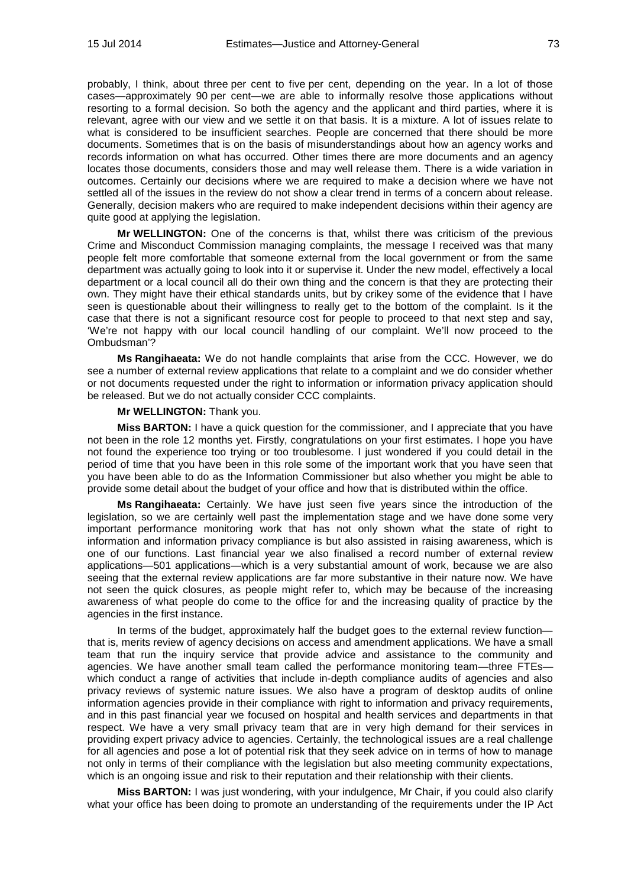probably, I think, about three per cent to five per cent, depending on the year. In a lot of those cases—approximately 90 per cent—we are able to informally resolve those applications without resorting to a formal decision. So both the agency and the applicant and third parties, where it is relevant, agree with our view and we settle it on that basis. It is a mixture. A lot of issues relate to what is considered to be insufficient searches. People are concerned that there should be more documents. Sometimes that is on the basis of misunderstandings about how an agency works and records information on what has occurred. Other times there are more documents and an agency locates those documents, considers those and may well release them. There is a wide variation in outcomes. Certainly our decisions where we are required to make a decision where we have not settled all of the issues in the review do not show a clear trend in terms of a concern about release. Generally, decision makers who are required to make independent decisions within their agency are quite good at applying the legislation.

**Mr WELLINGTON:** One of the concerns is that, whilst there was criticism of the previous Crime and Misconduct Commission managing complaints, the message I received was that many people felt more comfortable that someone external from the local government or from the same department was actually going to look into it or supervise it. Under the new model, effectively a local department or a local council all do their own thing and the concern is that they are protecting their own. They might have their ethical standards units, but by crikey some of the evidence that I have seen is questionable about their willingness to really get to the bottom of the complaint. Is it the case that there is not a significant resource cost for people to proceed to that next step and say, 'We're not happy with our local council handling of our complaint. We'll now proceed to the Ombudsman'?

**Ms Rangihaeata:** We do not handle complaints that arise from the CCC. However, we do see a number of external review applications that relate to a complaint and we do consider whether or not documents requested under the right to information or information privacy application should be released. But we do not actually consider CCC complaints.

## **Mr WELLINGTON:** Thank you.

**Miss BARTON:** I have a quick question for the commissioner, and I appreciate that you have not been in the role 12 months yet. Firstly, congratulations on your first estimates. I hope you have not found the experience too trying or too troublesome. I just wondered if you could detail in the period of time that you have been in this role some of the important work that you have seen that you have been able to do as the Information Commissioner but also whether you might be able to provide some detail about the budget of your office and how that is distributed within the office.

**Ms Rangihaeata:** Certainly. We have just seen five years since the introduction of the legislation, so we are certainly well past the implementation stage and we have done some very important performance monitoring work that has not only shown what the state of right to information and information privacy compliance is but also assisted in raising awareness, which is one of our functions. Last financial year we also finalised a record number of external review applications—501 applications—which is a very substantial amount of work, because we are also seeing that the external review applications are far more substantive in their nature now. We have not seen the quick closures, as people might refer to, which may be because of the increasing awareness of what people do come to the office for and the increasing quality of practice by the agencies in the first instance.

In terms of the budget, approximately half the budget goes to the external review function that is, merits review of agency decisions on access and amendment applications. We have a small team that run the inquiry service that provide advice and assistance to the community and agencies. We have another small team called the performance monitoring team—three FTEs which conduct a range of activities that include in-depth compliance audits of agencies and also privacy reviews of systemic nature issues. We also have a program of desktop audits of online information agencies provide in their compliance with right to information and privacy requirements, and in this past financial year we focused on hospital and health services and departments in that respect. We have a very small privacy team that are in very high demand for their services in providing expert privacy advice to agencies. Certainly, the technological issues are a real challenge for all agencies and pose a lot of potential risk that they seek advice on in terms of how to manage not only in terms of their compliance with the legislation but also meeting community expectations, which is an ongoing issue and risk to their reputation and their relationship with their clients.

**Miss BARTON:** I was just wondering, with your indulgence, Mr Chair, if you could also clarify what your office has been doing to promote an understanding of the requirements under the IP Act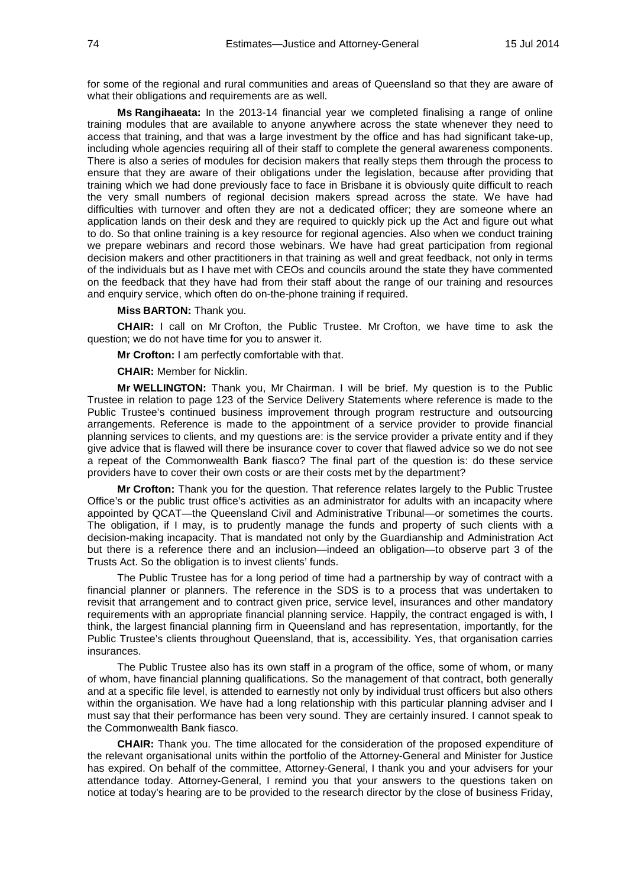for some of the regional and rural communities and areas of Queensland so that they are aware of what their obligations and requirements are as well.

**Ms Rangihaeata:** In the 2013-14 financial year we completed finalising a range of online training modules that are available to anyone anywhere across the state whenever they need to access that training, and that was a large investment by the office and has had significant take-up, including whole agencies requiring all of their staff to complete the general awareness components. There is also a series of modules for decision makers that really steps them through the process to ensure that they are aware of their obligations under the legislation, because after providing that training which we had done previously face to face in Brisbane it is obviously quite difficult to reach the very small numbers of regional decision makers spread across the state. We have had difficulties with turnover and often they are not a dedicated officer; they are someone where an application lands on their desk and they are required to quickly pick up the Act and figure out what to do. So that online training is a key resource for regional agencies. Also when we conduct training we prepare webinars and record those webinars. We have had great participation from regional decision makers and other practitioners in that training as well and great feedback, not only in terms of the individuals but as I have met with CEOs and councils around the state they have commented on the feedback that they have had from their staff about the range of our training and resources and enquiry service, which often do on-the-phone training if required.

## **Miss BARTON:** Thank you.

**CHAIR:** I call on Mr Crofton, the Public Trustee. Mr Crofton, we have time to ask the question; we do not have time for you to answer it.

**Mr Crofton:** I am perfectly comfortable with that.

**CHAIR:** Member for Nicklin.

**Mr WELLINGTON:** Thank you, Mr Chairman. I will be brief. My question is to the Public Trustee in relation to page 123 of the Service Delivery Statements where reference is made to the Public Trustee's continued business improvement through program restructure and outsourcing arrangements. Reference is made to the appointment of a service provider to provide financial planning services to clients, and my questions are: is the service provider a private entity and if they give advice that is flawed will there be insurance cover to cover that flawed advice so we do not see a repeat of the Commonwealth Bank fiasco? The final part of the question is: do these service providers have to cover their own costs or are their costs met by the department?

**Mr Crofton:** Thank you for the question. That reference relates largely to the Public Trustee Office's or the public trust office's activities as an administrator for adults with an incapacity where appointed by QCAT—the Queensland Civil and Administrative Tribunal—or sometimes the courts. The obligation, if I may, is to prudently manage the funds and property of such clients with a decision-making incapacity. That is mandated not only by the Guardianship and Administration Act but there is a reference there and an inclusion—indeed an obligation—to observe part 3 of the Trusts Act. So the obligation is to invest clients' funds.

The Public Trustee has for a long period of time had a partnership by way of contract with a financial planner or planners. The reference in the SDS is to a process that was undertaken to revisit that arrangement and to contract given price, service level, insurances and other mandatory requirements with an appropriate financial planning service. Happily, the contract engaged is with, I think, the largest financial planning firm in Queensland and has representation, importantly, for the Public Trustee's clients throughout Queensland, that is, accessibility. Yes, that organisation carries insurances.

The Public Trustee also has its own staff in a program of the office, some of whom, or many of whom, have financial planning qualifications. So the management of that contract, both generally and at a specific file level, is attended to earnestly not only by individual trust officers but also others within the organisation. We have had a long relationship with this particular planning adviser and I must say that their performance has been very sound. They are certainly insured. I cannot speak to the Commonwealth Bank fiasco.

**CHAIR:** Thank you. The time allocated for the consideration of the proposed expenditure of the relevant organisational units within the portfolio of the Attorney-General and Minister for Justice has expired. On behalf of the committee, Attorney-General, I thank you and your advisers for your attendance today. Attorney-General, I remind you that your answers to the questions taken on notice at today's hearing are to be provided to the research director by the close of business Friday,